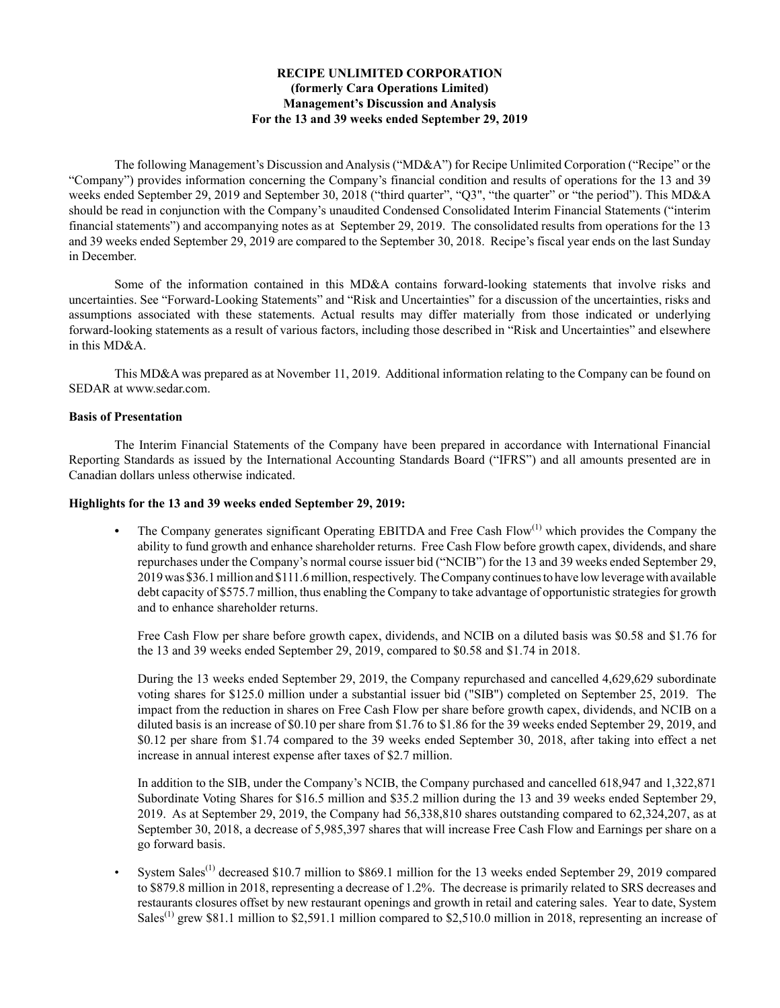# **RECIPE UNLIMITED CORPORATION (formerly Cara Operations Limited) Management's Discussion and Analysis For the 13 and 39 weeks ended September 29, 2019**

The following Management's Discussion and Analysis ("MD&A") for Recipe Unlimited Corporation ("Recipe" or the "Company") provides information concerning the Company's financial condition and results of operations for the 13 and 39 weeks ended September 29, 2019 and September 30, 2018 ("third quarter", "Q3", "the quarter" or "the period"). This MD&A should be read in conjunction with the Company's unaudited Condensed Consolidated Interim Financial Statements ("interim financial statements") and accompanying notes as at September 29, 2019. The consolidated results from operations for the 13 and 39 weeks ended September 29, 2019 are compared to the September 30, 2018. Recipe's fiscal year ends on the last Sunday in December.

Some of the information contained in this MD&A contains forward-looking statements that involve risks and uncertainties. See "Forward‑Looking Statements" and "Risk and Uncertainties" for a discussion of the uncertainties, risks and assumptions associated with these statements. Actual results may differ materially from those indicated or underlying forward-looking statements as a result of various factors, including those described in "Risk and Uncertainties" and elsewhere in this MD&A.

This MD&A was prepared as at November 11, 2019. Additional information relating to the Company can be found on SEDAR at www.sedar.com.

# **Basis of Presentation**

The Interim Financial Statements of the Company have been prepared in accordance with International Financial Reporting Standards as issued by the International Accounting Standards Board ("IFRS") and all amounts presented are in Canadian dollars unless otherwise indicated.

### **Highlights for the 13 and 39 weeks ended September 29, 2019:**

The Company generates significant Operating EBITDA and Free Cash Flow<sup>(1)</sup> which provides the Company the ability to fund growth and enhance shareholder returns. Free Cash Flow before growth capex, dividends, and share repurchases under the Company's normal course issuer bid ("NCIB") for the 13 and 39 weeks ended September 29, 2019 was \$36.1 million and \$111.6 million, respectively. The Company continues to have low leverage with available debt capacity of \$575.7 million, thus enabling the Company to take advantage of opportunistic strategies for growth and to enhance shareholder returns.

Free Cash Flow per share before growth capex, dividends, and NCIB on a diluted basis was \$0.58 and \$1.76 for the 13 and 39 weeks ended September 29, 2019, compared to \$0.58 and \$1.74 in 2018.

During the 13 weeks ended September 29, 2019, the Company repurchased and cancelled 4,629,629 subordinate voting shares for \$125.0 million under a substantial issuer bid ("SIB") completed on September 25, 2019. The impact from the reduction in shares on Free Cash Flow per share before growth capex, dividends, and NCIB on a diluted basis is an increase of \$0.10 per share from \$1.76 to \$1.86 for the 39 weeks ended September 29, 2019, and \$0.12 per share from \$1.74 compared to the 39 weeks ended September 30, 2018, after taking into effect a net increase in annual interest expense after taxes of \$2.7 million.

In addition to the SIB, under the Company's NCIB, the Company purchased and cancelled 618,947 and 1,322,871 Subordinate Voting Shares for \$16.5 million and \$35.2 million during the 13 and 39 weeks ended September 29, 2019. As at September 29, 2019, the Company had 56,338,810 shares outstanding compared to 62,324,207, as at September 30, 2018, a decrease of 5,985,397 shares that will increase Free Cash Flow and Earnings per share on a go forward basis.

System Sales<sup>(1)</sup> decreased \$10.7 million to \$869.1 million for the 13 weeks ended September 29, 2019 compared to \$879.8 million in 2018, representing a decrease of 1.2%. The decrease is primarily related to SRS decreases and restaurants closures offset by new restaurant openings and growth in retail and catering sales. Year to date, System Sales<sup>(1)</sup> grew \$81.1 million to \$2,591.1 million compared to \$2,510.0 million in 2018, representing an increase of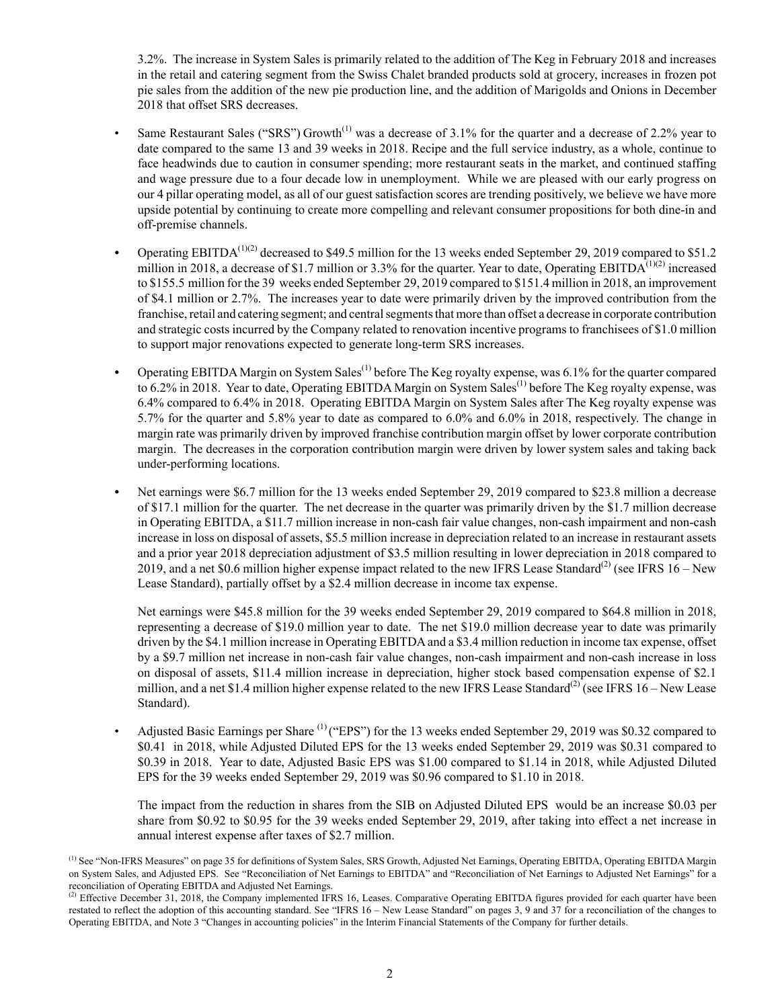3.2%. The increase in System Sales is primarily related to the addition of The Keg in February 2018 and increases in the retail and catering segment from the Swiss Chalet branded products sold at grocery, increases in frozen pot pie sales from the addition of the new pie production line, and the addition of Marigolds and Onions in December 2018 that offset SRS decreases.

- Same Restaurant Sales ("SRS") Growth<sup>(1)</sup> was a decrease of 3.1% for the quarter and a decrease of 2.2% year to date compared to the same 13 and 39 weeks in 2018. Recipe and the full service industry, as a whole, continue to face headwinds due to caution in consumer spending; more restaurant seats in the market, and continued staffing and wage pressure due to a four decade low in unemployment. While we are pleased with our early progress on our 4 pillar operating model, as all of our guest satisfaction scores are trending positively, we believe we have more upside potential by continuing to create more compelling and relevant consumer propositions for both dine-in and off-premise channels.
- *•* Operating EBITDA(1)(2) decreased to \$49.5 million for the 13 weeks ended September 29, 2019 compared to \$51.2 million in 2018, a decrease of \$1.7 million or 3.3% for the quarter. Year to date, Operating EBITDA<sup>(1)(2)</sup> increased to \$155.5 million for the 39 weeks ended September 29, 2019 compared to \$151.4 million in 2018, an improvement of \$4.1 million or 2.7%. The increases year to date were primarily driven by the improved contribution from the franchise, retail and catering segment; and central segments that more than offset a decrease in corporate contribution and strategic costs incurred by the Company related to renovation incentive programs to franchisees of \$1.0 million to support major renovations expected to generate long-term SRS increases.
- Operating EBITDA Margin on System Sales<sup>(1)</sup> before The Keg royalty expense, was 6.1% for the quarter compared to 6.2% in 2018. Year to date, Operating EBITDA Margin on System Sales<sup>(1)</sup> before The Keg royalty expense, was 6.4% compared to 6.4% in 2018. Operating EBITDA Margin on System Sales after The Keg royalty expense was 5.7% for the quarter and 5.8% year to date as compared to 6.0% and 6.0% in 2018, respectively. The change in margin rate was primarily driven by improved franchise contribution margin offset by lower corporate contribution margin. The decreases in the corporation contribution margin were driven by lower system sales and taking back under-performing locations.
- *•* Net earnings were \$6.7 million for the 13 weeks ended September 29, 2019 compared to \$23.8 million a decrease of \$17.1 million for the quarter. The net decrease in the quarter was primarily driven by the \$1.7 million decrease in Operating EBITDA, a \$11.7 million increase in non-cash fair value changes, non-cash impairment and non-cash increase in loss on disposal of assets, \$5.5 million increase in depreciation related to an increase in restaurant assets and a prior year 2018 depreciation adjustment of \$3.5 million resulting in lower depreciation in 2018 compared to 2019, and a net \$0.6 million higher expense impact related to the new IFRS Lease Standard<sup>(2)</sup> (see IFRS  $16 -$ New Lease Standard), partially offset by a \$2.4 million decrease in income tax expense.

Net earnings were \$45.8 million for the 39 weeks ended September 29, 2019 compared to \$64.8 million in 2018, representing a decrease of \$19.0 million year to date. The net \$19.0 million decrease year to date was primarily driven by the \$4.1 million increase in Operating EBITDA and a \$3.4 million reduction in income tax expense, offset by a \$9.7 million net increase in non-cash fair value changes, non-cash impairment and non-cash increase in loss on disposal of assets, \$11.4 million increase in depreciation, higher stock based compensation expense of \$2.1 million, and a net \$1.4 million higher expense related to the new IFRS Lease Standard<sup>(2)</sup> (see IFRS 16 – New Lease Standard).

Adjusted Basic Earnings per Share <sup>(1)</sup> ("EPS") for the 13 weeks ended September 29, 2019 was \$0.32 compared to \$0.41 in 2018, while Adjusted Diluted EPS for the 13 weeks ended September 29, 2019 was \$0.31 compared to \$0.39 in 2018. Year to date, Adjusted Basic EPS was \$1.00 compared to \$1.14 in 2018, while Adjusted Diluted EPS for the 39 weeks ended September 29, 2019 was \$0.96 compared to \$1.10 in 2018.

The impact from the reduction in shares from the SIB on Adjusted Diluted EPS would be an increase \$0.03 per share from \$0.92 to \$0.95 for the 39 weeks ended September 29, 2019, after taking into effect a net increase in annual interest expense after taxes of \$2.7 million.

<sup>&</sup>lt;sup>(1)</sup> See "Non-IFRS Measures" on page 35 for definitions of System Sales, SRS Growth, Adjusted Net Earnings, Operating EBITDA, Operating EBITDA Margin on System Sales, and Adjusted EPS. See "Reconciliation of Net Earnings to EBITDA" and "Reconciliation of Net Earnings to Adjusted Net Earnings" for a reconciliation of Operating EBITDA and Adjusted Net Earnings.

 $^{(2)}$  Effective December 31, 2018, the Company implemented IFRS 16, Leases. Comparative Operating EBITDA figures provided for each quarter have been restated to reflect the adoption of this accounting standard. See "IFRS 16 – New Lease Standard" on pages 3, 9 and 37 for a reconciliation of the changes to Operating EBITDA, and Note 3 "Changes in accounting policies" in the Interim Financial Statements of the Company for further details.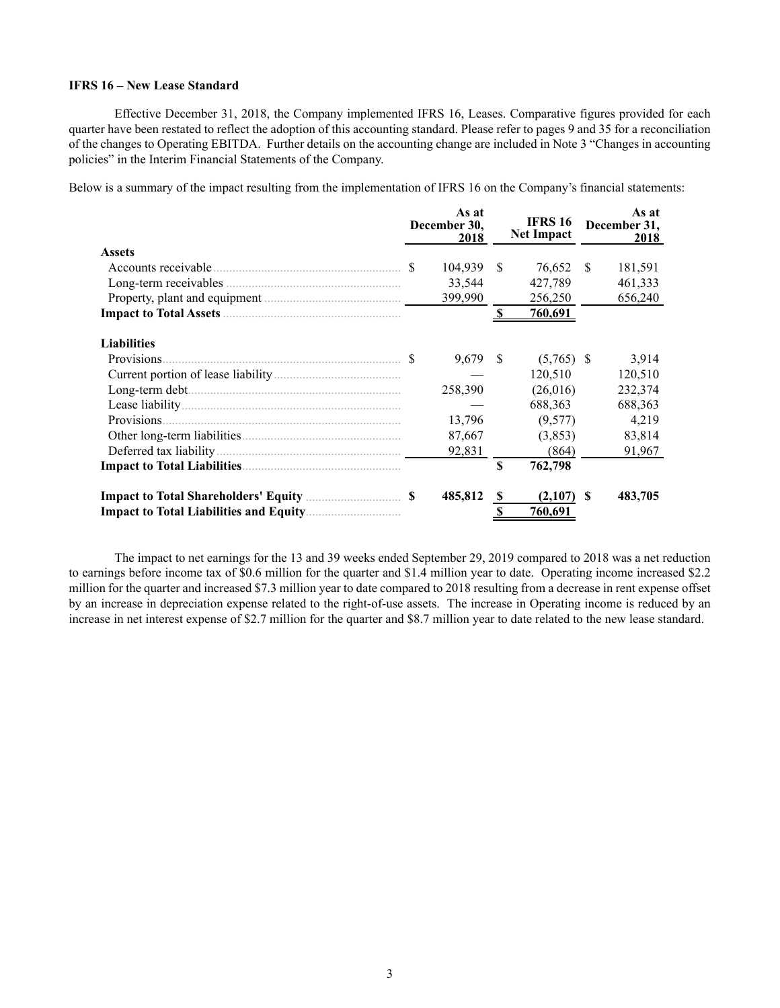# **IFRS 16 – New Lease Standard**

Effective December 31, 2018, the Company implemented IFRS 16, Leases. Comparative figures provided for each quarter have been restated to reflect the adoption of this accounting standard. Please refer to pages 9 and 35 for a reconciliation of the changes to Operating EBITDA. Further details on the accounting change are included in Note 3 "Changes in accounting policies" in the Interim Financial Statements of the Company.

Below is a summary of the impact resulting from the implementation of IFRS 16 on the Company's financial statements:

|                                                                    |    | As at<br>December 30,<br>2018 |              | <b>IFRS 16</b><br><b>Net Impact</b> |              | As at<br>December 31,<br>2018 |  |
|--------------------------------------------------------------------|----|-------------------------------|--------------|-------------------------------------|--------------|-------------------------------|--|
| <b>Assets</b>                                                      |    |                               |              |                                     |              |                               |  |
|                                                                    | -S | 104,939                       | -S           | 76,652                              | <sup>S</sup> | 181,591                       |  |
|                                                                    |    | 33,544                        |              | 427,789                             |              | 461,333                       |  |
|                                                                    |    | 399,990                       |              | 256,250                             |              | 656,240                       |  |
|                                                                    |    |                               |              | 760,691                             |              |                               |  |
| <b>Liabilities</b>                                                 |    |                               |              |                                     |              |                               |  |
| Provisions                                                         |    | 9,679                         | -S           | $(5,765)$ \$                        |              | 3.914                         |  |
|                                                                    |    |                               |              | 120,510                             |              | 120,510                       |  |
|                                                                    |    | 258,390                       |              | (26,016)                            |              | 232,374                       |  |
|                                                                    |    |                               |              | 688,363                             |              | 688,363                       |  |
|                                                                    |    | 13,796                        |              | (9,577)                             |              | 4,219                         |  |
|                                                                    |    | 87,667                        |              | (3,853)                             |              | 83,814                        |  |
|                                                                    |    | 92,831                        |              | (864)                               |              | 91,967                        |  |
|                                                                    |    |                               | \$           | 762,798                             |              |                               |  |
| <b>Impact to Total Shareholders' Equity</b> <i>manuformation</i> S |    | 485,812                       | S            | (2,107)                             | \$.          | 483,705                       |  |
|                                                                    |    |                               | $\mathbf{s}$ | 760,691                             |              |                               |  |

The impact to net earnings for the 13 and 39 weeks ended September 29, 2019 compared to 2018 was a net reduction to earnings before income tax of \$0.6 million for the quarter and \$1.4 million year to date. Operating income increased \$2.2 million for the quarter and increased \$7.3 million year to date compared to 2018 resulting from a decrease in rent expense offset by an increase in depreciation expense related to the right-of-use assets. The increase in Operating income is reduced by an increase in net interest expense of \$2.7 million for the quarter and \$8.7 million year to date related to the new lease standard.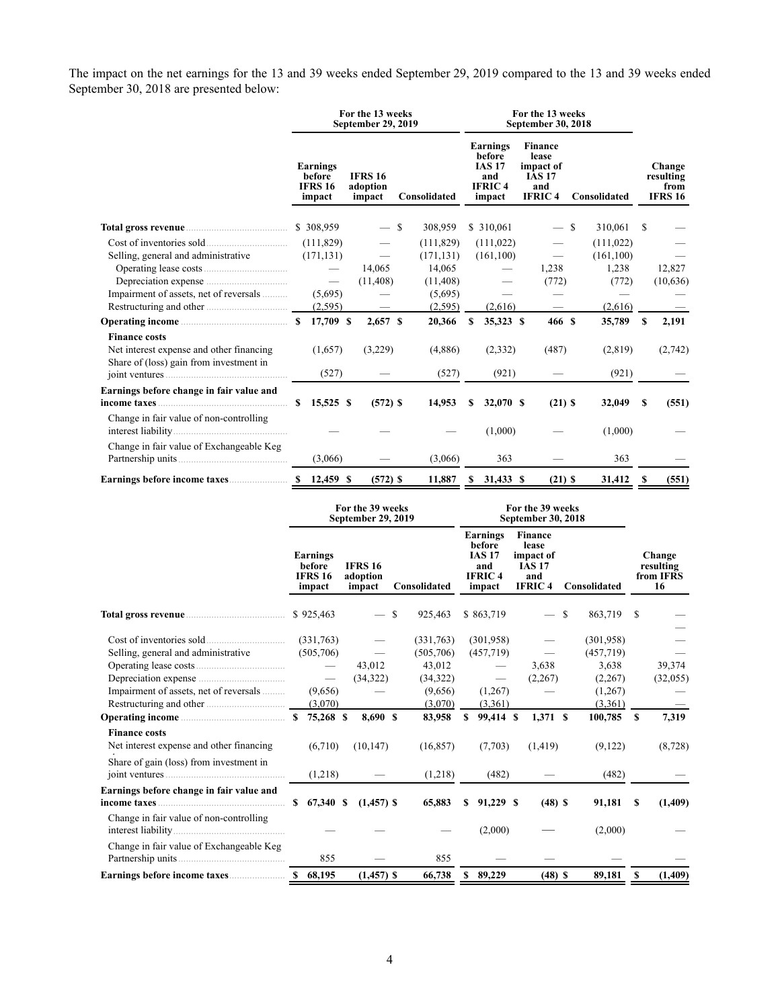The impact on the net earnings for the 13 and 39 weeks ended September 29, 2019 compared to the 13 and 39 weeks ended September 30, 2018 are presented below:

|                                                                                                                                                                                                                                      | For the 13 weeks<br><b>September 29, 2019</b> |                                                |  |                                                      |  |            |                                                                       | For the 13 weeks<br><b>September 30, 2018</b> |  |                                                                               |               |              |    |                                               |  |
|--------------------------------------------------------------------------------------------------------------------------------------------------------------------------------------------------------------------------------------|-----------------------------------------------|------------------------------------------------|--|------------------------------------------------------|--|------------|-----------------------------------------------------------------------|-----------------------------------------------|--|-------------------------------------------------------------------------------|---------------|--------------|----|-----------------------------------------------|--|
|                                                                                                                                                                                                                                      |                                               | Earnings<br>before<br><b>IFRS 16</b><br>impact |  | <b>IFRS 16</b><br>adoption<br>Consolidated<br>impact |  |            | Earnings<br>before<br><b>IAS 17</b><br>and<br><b>IFRIC4</b><br>impact |                                               |  | <b>Finance</b><br>lease<br>impact of<br><b>IAS 17</b><br>and<br><b>IFRIC4</b> |               | Consolidated |    | Change<br>resulting<br>from<br><b>IFRS 16</b> |  |
| Total gross revenue <b>contract to the contract of the contract of the contract of the contract of the contract of the contract of the contract of the contract of the contract of the contract of the contract of the contract </b> |                                               | \$308,959                                      |  | — S                                                  |  | 308,959    |                                                                       | \$310,061                                     |  |                                                                               | <sup>\$</sup> | 310,061      | S  |                                               |  |
|                                                                                                                                                                                                                                      |                                               | (111, 829)                                     |  |                                                      |  | (111, 829) |                                                                       | (111, 022)                                    |  |                                                                               |               | (111, 022)   |    |                                               |  |
| Selling, general and administrative                                                                                                                                                                                                  |                                               | (171, 131)                                     |  |                                                      |  | (171, 131) |                                                                       | (161, 100)                                    |  |                                                                               |               | (161, 100)   |    |                                               |  |
|                                                                                                                                                                                                                                      |                                               | $\hspace{0.1mm}-\hspace{0.1mm}$                |  | 14,065                                               |  | 14,065     |                                                                       |                                               |  | 1,238                                                                         |               | 1,238        |    | 12,827                                        |  |
|                                                                                                                                                                                                                                      |                                               | $\hspace{0.1mm}-\hspace{0.1mm}$                |  | (11, 408)                                            |  | (11, 408)  |                                                                       |                                               |  | (772)                                                                         |               | (772)        |    | (10, 636)                                     |  |
| Impairment of assets, net of reversals                                                                                                                                                                                               |                                               | (5,695)                                        |  |                                                      |  | (5,695)    |                                                                       |                                               |  |                                                                               |               |              |    |                                               |  |
|                                                                                                                                                                                                                                      |                                               | (2,595)                                        |  |                                                      |  | (2,595)    |                                                                       | (2,616)                                       |  |                                                                               |               | (2,616)      |    |                                               |  |
|                                                                                                                                                                                                                                      |                                               | 17,709 \$                                      |  | $2,657$ \$                                           |  | 20,366     | \$                                                                    | 35,323 \$                                     |  | 466 \$                                                                        |               | 35,789       | \$ | 2,191                                         |  |
| <b>Finance costs</b><br>Net interest expense and other financing<br>Share of (loss) gain from investment in                                                                                                                          |                                               | (1,657)                                        |  | (3,229)                                              |  | (4,886)    |                                                                       | (2,332)                                       |  | (487)                                                                         |               | (2,819)      |    | (2,742)                                       |  |
|                                                                                                                                                                                                                                      |                                               | (527)                                          |  |                                                      |  | (527)      |                                                                       | (921)                                         |  |                                                                               |               | (921)        |    |                                               |  |
| Earnings before change in fair value and                                                                                                                                                                                             | <sup>S</sup>                                  | 15,525 \$                                      |  | $(572)$ \$                                           |  | 14,953     | \$                                                                    | 32,070 \$                                     |  | $(21)$ \$                                                                     |               | 32,049       | S  | (551)                                         |  |
| Change in fair value of non-controlling                                                                                                                                                                                              |                                               |                                                |  |                                                      |  |            |                                                                       | (1,000)                                       |  |                                                                               |               | (1,000)      |    |                                               |  |
| Change in fair value of Exchangeable Keg                                                                                                                                                                                             |                                               | (3,066)                                        |  |                                                      |  | (3,066)    |                                                                       | 363                                           |  |                                                                               |               | 363          |    |                                               |  |
|                                                                                                                                                                                                                                      |                                               | $$12,459$ \$                                   |  | $(572)$ \$                                           |  | 11,887     | S                                                                     | 31,433 \$                                     |  | $(21)$ \$                                                                     |               | 31,412       |    | (551)                                         |  |

|                                                                                                                                                                                                                  | For the 39 weeks<br><b>September 29, 2019</b> |                                                                                                  |  |                                              |               |                                                                                            |   | For the 39 weeks                                                          | September 30, 2018                                                     |    |                                                                                         |   |                                        |
|------------------------------------------------------------------------------------------------------------------------------------------------------------------------------------------------------------------|-----------------------------------------------|--------------------------------------------------------------------------------------------------|--|----------------------------------------------|---------------|--------------------------------------------------------------------------------------------|---|---------------------------------------------------------------------------|------------------------------------------------------------------------|----|-----------------------------------------------------------------------------------------|---|----------------------------------------|
|                                                                                                                                                                                                                  |                                               | Earnings<br>before<br><b>IFRS 16</b><br>impact                                                   |  | <b>IFRS 16</b><br>adoption<br>impact         |               | Consolidated                                                                               |   | Earnings<br>before<br><b>IAS 17</b><br>and<br><b>IFRIC4</b><br>impact     | Finance<br>lease<br>impact of<br><b>IAS 17</b><br>and<br><b>IFRIC4</b> |    | Consolidated                                                                            |   | Change<br>resulting<br>from IFRS<br>16 |
|                                                                                                                                                                                                                  |                                               | \$925,463                                                                                        |  |                                              | <sup>\$</sup> | 925,463                                                                                    |   | \$863,719                                                                 |                                                                        | \$ | 863,719                                                                                 | S |                                        |
| Selling, general and administrative<br>Impairment of assets, net of reversals<br>Operating income<br><b>Finance costs</b><br>Net interest expense and other financing<br>Share of gain (loss) from investment in |                                               | (331,763)<br>(505,706)<br>$\overline{\phantom{m}}$<br>(9,656)<br>(3,070)<br>75,268 \$<br>(6,710) |  | 43,012<br>(34, 322)<br>8,690 \$<br>(10, 147) |               | (331,763)<br>(505,706)<br>43,012<br>(34, 322)<br>(9,656)<br>(3,070)<br>83,958<br>(16, 857) | S | (301,958)<br>(457,719)<br>—<br>(1,267)<br>(3,361)<br>99,414 \$<br>(7,703) | 3,638<br>(2,267)<br>$1,371$ \$<br>(1, 419)                             |    | (301,958)<br>(457, 719)<br>3.638<br>(2,267)<br>(1,267)<br>(3,361)<br>100,785<br>(9,122) | S | 39,374<br>(32,055)<br>7,319<br>(8,728) |
|                                                                                                                                                                                                                  |                                               | (1,218)                                                                                          |  |                                              |               | (1,218)                                                                                    |   | (482)                                                                     |                                                                        |    | (482)                                                                                   |   |                                        |
| Earnings before change in fair value and                                                                                                                                                                         | S.                                            | 67,340 \$                                                                                        |  | $(1,457)$ \$                                 |               | 65,883                                                                                     | S | 91,229 \$                                                                 | $(48)$ \$                                                              |    | 91,181                                                                                  | S | (1,409)                                |
| Change in fair value of non-controlling                                                                                                                                                                          |                                               |                                                                                                  |  |                                              |               |                                                                                            |   | (2,000)                                                                   |                                                                        |    | (2,000)                                                                                 |   |                                        |
| Change in fair value of Exchangeable Keg                                                                                                                                                                         |                                               | 855                                                                                              |  |                                              |               | 855                                                                                        |   |                                                                           |                                                                        |    |                                                                                         |   |                                        |
|                                                                                                                                                                                                                  |                                               | 68,195                                                                                           |  | $(1,457)$ \$                                 |               | 66,738                                                                                     |   | \$89,229                                                                  | $(48)$ \$                                                              |    | 89,181                                                                                  | S | (1, 409)                               |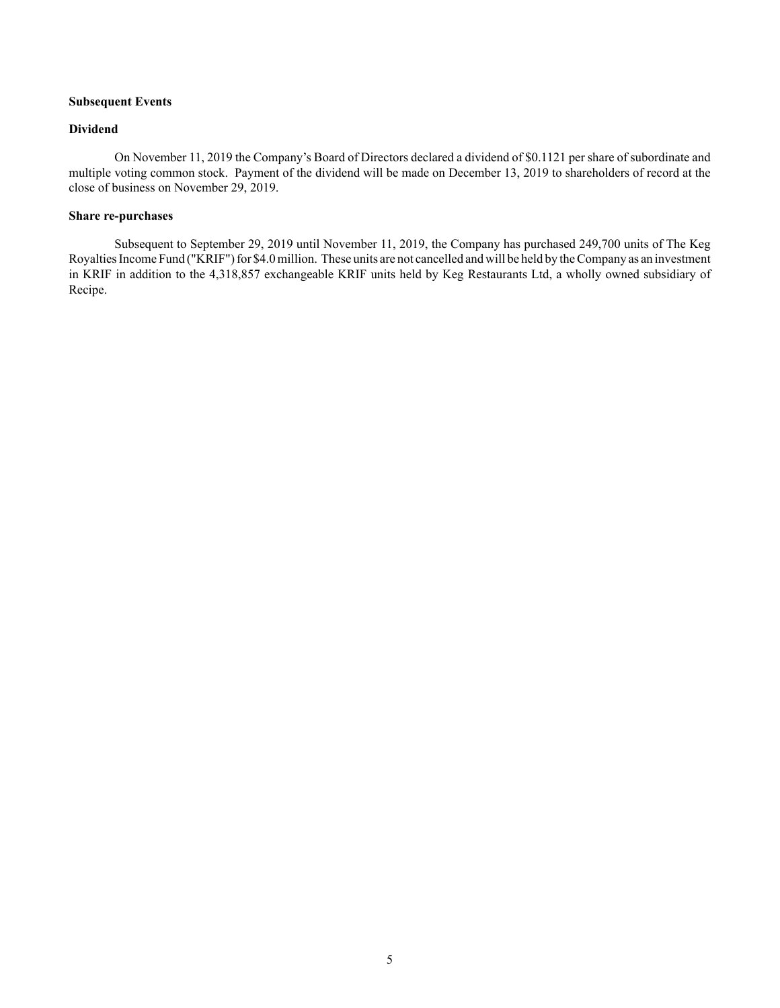# **Subsequent Events**

## **Dividend**

On November 11, 2019 the Company's Board of Directors declared a dividend of \$0.1121 per share of subordinate and multiple voting common stock. Payment of the dividend will be made on December 13, 2019 to shareholders of record at the close of business on November 29, 2019.

# **Share re-purchases**

Subsequent to September 29, 2019 until November 11, 2019, the Company has purchased 249,700 units of The Keg Royalties Income Fund ("KRIF") for \$4.0 million. These units are not cancelled and will be held by the Company as an investment in KRIF in addition to the 4,318,857 exchangeable KRIF units held by Keg Restaurants Ltd, a wholly owned subsidiary of Recipe.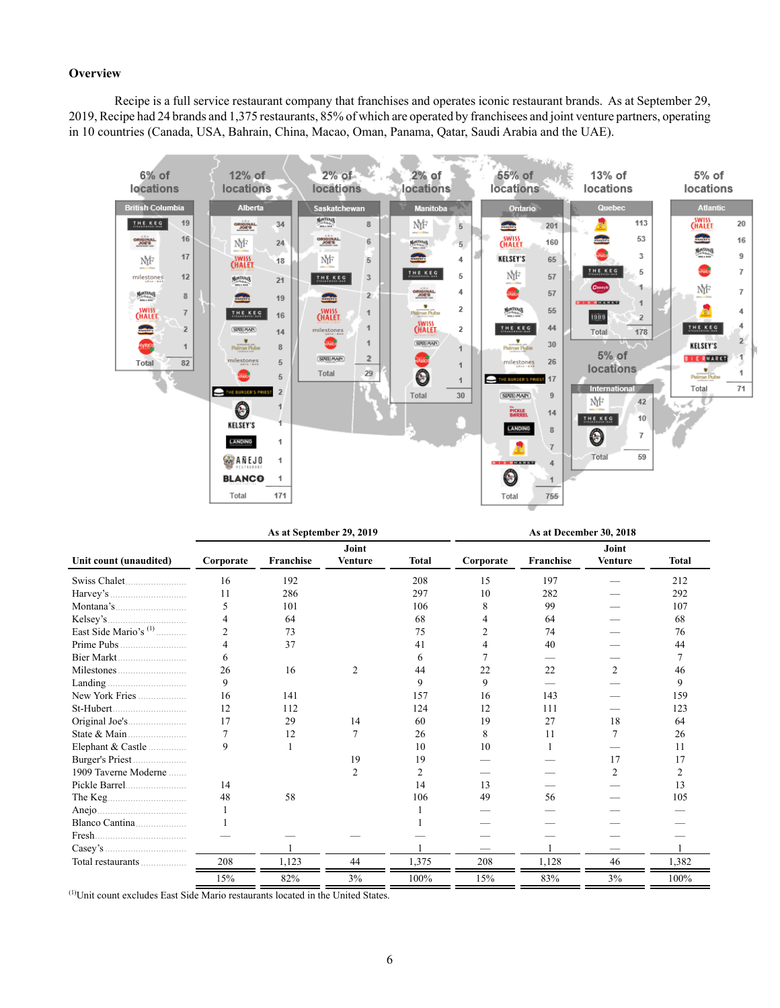## **Overview**

Recipe is a full service restaurant company that franchises and operates iconic restaurant brands. As at September 29, 2019, Recipe had 24 brands and 1,375 restaurants, 85% of which are operated by franchisees and joint venture partners, operating in 10 countries (Canada, USA, Bahrain, China, Macao, Oman, Panama, Qatar, Saudi Arabia and the UAE).



|                         |                | As at September 29, 2019 |                         |              |           | As at December 30, 2018<br>Joint<br><b>Franchise</b><br><b>Venture</b><br>15<br>197 |                |              |  |  |  |
|-------------------------|----------------|--------------------------|-------------------------|--------------|-----------|-------------------------------------------------------------------------------------|----------------|--------------|--|--|--|
| Unit count (unaudited)  | Corporate      | Franchise                | Joint<br><b>Venture</b> | <b>Total</b> | Corporate |                                                                                     |                | <b>Total</b> |  |  |  |
|                         | 16             | 192                      |                         | 208          |           |                                                                                     |                | 212          |  |  |  |
|                         | 11             | 286                      |                         | 297          | 10        | 282                                                                                 |                | 292          |  |  |  |
| Montana's               | 5              | 101                      |                         | 106          | 8         | 99                                                                                  |                | 107          |  |  |  |
|                         |                | 64                       |                         | 68           |           | 64                                                                                  |                | 68           |  |  |  |
| East Side Mario's $(1)$ | $\mathfrak{D}$ | 73                       |                         | 75           |           | 74                                                                                  |                | 76           |  |  |  |
|                         |                | 37                       |                         | 41           |           | 40                                                                                  |                | 44           |  |  |  |
|                         | 6              |                          |                         | 6.           |           |                                                                                     |                |              |  |  |  |
|                         | 26             | 16                       | $\overline{c}$          | 44           | 22        | 22                                                                                  | 2              | 46           |  |  |  |
|                         | 9              |                          |                         | 9            | 9         |                                                                                     |                | 9            |  |  |  |
| New York Fries          | 16             | 141                      |                         | 157          | 16        | 143                                                                                 |                | 159          |  |  |  |
|                         | 12             | 112                      |                         | 124          | 12        | 111                                                                                 |                | 123          |  |  |  |
|                         | 17             | 29                       | 14                      | 60           | 19        | 27                                                                                  | 18             | 64           |  |  |  |
| State $\&$ Main         | $\tau$         | 12                       |                         | 26           | 8         | 11                                                                                  |                | 26           |  |  |  |
| Elephant & Castle       | 9              |                          |                         | 10           | 10        |                                                                                     |                | 11           |  |  |  |
|                         |                |                          | 19                      | 19           |           |                                                                                     | 17             | 17           |  |  |  |
| 1909 Taverne Moderne    |                |                          | $\overline{c}$          | 2            |           |                                                                                     | $\overline{c}$ | 2            |  |  |  |
|                         | 14             |                          |                         | 14           | 13        |                                                                                     |                | 13           |  |  |  |
|                         | 48             | 58                       |                         | 106          | 49        | 56                                                                                  |                | 105          |  |  |  |
|                         |                |                          |                         |              |           |                                                                                     |                |              |  |  |  |
| Blanco Cantina          |                |                          |                         |              |           |                                                                                     |                |              |  |  |  |
|                         |                |                          |                         |              |           |                                                                                     |                |              |  |  |  |
| Casev's                 |                |                          |                         |              |           |                                                                                     |                |              |  |  |  |
| Total restaurants       | 208            | 1,123                    | 44                      | 1,375        | 208       | 1,128                                                                               | 46             | 1,382        |  |  |  |
|                         | 15%            | 82%                      | 3%                      | 100%         | 15%       | 83%                                                                                 | 3%             | 100%         |  |  |  |

(1)Unit count excludes East Side Mario restaurants located in the United States.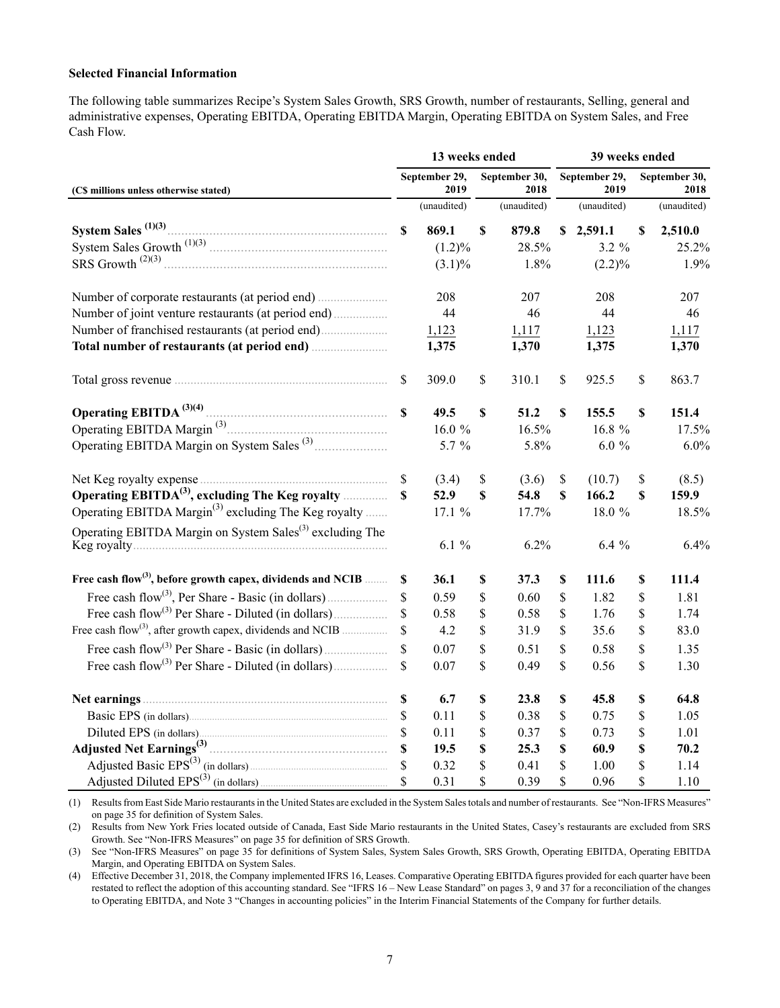## **Selected Financial Information**

The following table summarizes Recipe's System Sales Growth, SRS Growth, number of restaurants, Selling, general and administrative expenses, Operating EBITDA, Operating EBITDA Margin, Operating EBITDA on System Sales, and Free Cash Flow.

|                                                                         |              | 13 weeks ended        |                           |                       | 39 weeks ended            |                       |    |                       |  |  |
|-------------------------------------------------------------------------|--------------|-----------------------|---------------------------|-----------------------|---------------------------|-----------------------|----|-----------------------|--|--|
| (C\$ millions unless otherwise stated)                                  |              | September 29,<br>2019 |                           | September 30,<br>2018 |                           | September 29,<br>2019 |    | September 30,<br>2018 |  |  |
|                                                                         |              | (unaudited)           | (unaudited)               |                       |                           | (unaudited)           |    | (unaudited)           |  |  |
| System Sales $(1)(3)$ .                                                 | $\mathbf S$  | 869.1                 | $\boldsymbol{\mathsf{S}}$ | 879.8                 |                           | \$2,591.1             | \$ | 2,510.0               |  |  |
|                                                                         |              | (1.2)%                |                           | 28.5%                 |                           | 3.2 %                 |    | 25.2%                 |  |  |
| SRS Growth <sup>(2)(3)</sup>                                            |              | $(3.1)\%$             |                           | 1.8%                  |                           | $(2.2)\%$             |    | 1.9%                  |  |  |
|                                                                         |              | 208                   |                           | 207                   |                           | 208                   |    | 207                   |  |  |
|                                                                         |              | 44                    |                           | 46                    |                           | 44                    |    | 46                    |  |  |
|                                                                         |              | 1,123                 |                           | 1,117                 |                           | 1,123                 |    | 1,117                 |  |  |
|                                                                         |              | 1,375                 |                           | 1,370                 |                           | 1,375                 |    | 1,370                 |  |  |
|                                                                         | \$           | 309.0                 | \$                        | 310.1                 | $\mathsf{\$}$             | 925.5                 | \$ | 863.7                 |  |  |
| Operating EBITDA $^{(3)(4)}$ .                                          | $\mathbf S$  | 49.5                  | \$                        | 51.2                  | $\boldsymbol{\mathsf{S}}$ | 155.5                 | \$ | 151.4                 |  |  |
|                                                                         |              | 16.0 %                |                           | 16.5%                 |                           | 16.8 %                |    | 17.5%                 |  |  |
|                                                                         |              | 5.7 %                 |                           | 5.8%                  |                           | $6.0 \%$              |    | 6.0%                  |  |  |
|                                                                         | $\mathbb{S}$ | (3.4)                 | \$                        | (3.6)                 | \$                        | (10.7)                | \$ | (8.5)                 |  |  |
| Operating $EBITDA(3)$ , excluding The Keg royalty                       | \$           | 52.9                  | \$                        | 54.8                  | $\boldsymbol{\mathsf{S}}$ | 166.2                 | \$ | 159.9                 |  |  |
| Operating EBITDA Margin <sup>(3)</sup> excluding The Keg royalty        |              | 17.1 %                |                           | 17.7%                 |                           | 18.0 %                |    | 18.5%                 |  |  |
| Operating EBITDA Margin on System Sales <sup>(3)</sup> excluding The    |              | 6.1%                  |                           | 6.2%                  |                           | $6.4\%$               |    | 6.4%                  |  |  |
| Free cash flow <sup>(3)</sup> , before growth capex, dividends and NCIB | S            | 36.1                  | \$                        | 37.3                  | $\mathbb S$               | 111.6                 | \$ | 111.4                 |  |  |
|                                                                         | \$           | 0.59                  | \$                        | 0.60                  | \$                        | 1.82                  | \$ | 1.81                  |  |  |
|                                                                         | \$           | 0.58                  | \$                        | 0.58                  | \$                        | 1.76                  | \$ | 1.74                  |  |  |
| Free cash flow <sup>(3)</sup> , after growth capex, dividends and NCIB  | \$           | 4.2                   | \$                        | 31.9                  | \$                        | 35.6                  | \$ | 83.0                  |  |  |
|                                                                         | \$           | 0.07                  | \$                        | 0.51                  | \$                        | 0.58                  | \$ | 1.35                  |  |  |
|                                                                         | \$           | 0.07                  | \$                        | 0.49                  | \$                        | 0.56                  | \$ | 1.30                  |  |  |
|                                                                         | S            | 6.7                   | \$                        | 23.8                  | \$                        | 45.8                  | \$ | 64.8                  |  |  |
|                                                                         | S.           | 0.11                  | \$                        | 0.38                  | \$                        | 0.75                  | \$ | 1.05                  |  |  |
|                                                                         | \$           | 0.11                  | \$                        | 0.37                  | \$                        | 0.73                  | \$ | 1.01                  |  |  |
|                                                                         | $\mathbf S$  | 19.5                  | \$                        | 25.3                  | \$                        | 60.9                  | \$ | 70.2                  |  |  |
|                                                                         |              | 0.32                  | \$                        | 0.41                  | \$                        | 1.00                  | \$ | 1.14                  |  |  |
|                                                                         |              | 0.31                  | \$                        | 0.39                  | \$                        | 0.96                  | \$ | 1.10                  |  |  |

(1) Results from East Side Mario restaurants in the United States are excluded in the System Sales totals and number of restaurants. See "Non-IFRS Measures" on page 35 for definition of System Sales.

(2) Results from New York Fries located outside of Canada, East Side Mario restaurants in the United States, Casey's restaurants are excluded from SRS Growth. See "Non-IFRS Measures" on page 35 for definition of SRS Growth.

(3) See "Non-IFRS Measures" on page 35 for definitions of System Sales, System Sales Growth, SRS Growth, Operating EBITDA, Operating EBITDA Margin, and Operating EBITDA on System Sales.

(4) Effective December 31, 2018, the Company implemented IFRS 16, Leases. Comparative Operating EBITDA figures provided for each quarter have been restated to reflect the adoption of this accounting standard. See "IFRS 16 – New Lease Standard" on pages 3, 9 and 37 for a reconciliation of the changes to Operating EBITDA, and Note 3 "Changes in accounting policies" in the Interim Financial Statements of the Company for further details.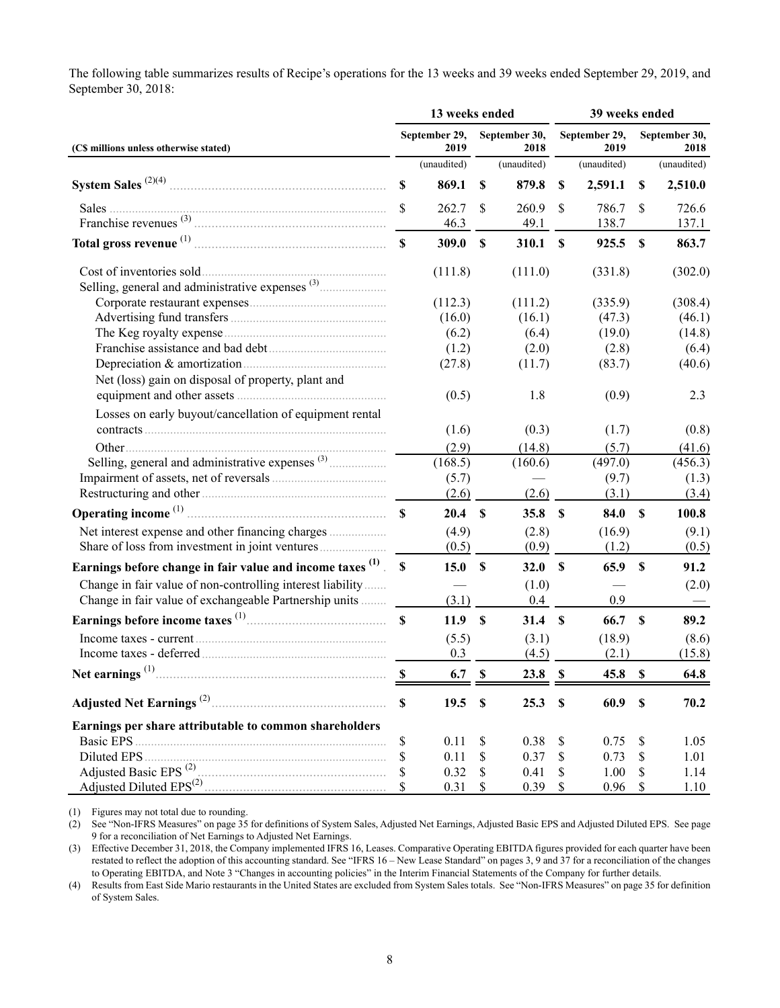The following table summarizes results of Recipe's operations for the 13 weeks and 39 weeks ended September 29, 2019, and September 30, 2018:

|                                                             |             | 13 weeks ended        |                           |                       | 39 weeks ended            |                       |                       |             |  |  |
|-------------------------------------------------------------|-------------|-----------------------|---------------------------|-----------------------|---------------------------|-----------------------|-----------------------|-------------|--|--|
| (C\$ millions unless otherwise stated)                      |             | September 29,<br>2019 |                           | September 30,<br>2018 |                           | September 29,<br>2019 | September 30,<br>2018 |             |  |  |
|                                                             |             | (unaudited)           |                           | (unaudited)           |                           | (unaudited)           |                       | (unaudited) |  |  |
|                                                             | S           | 869.1                 | <b>S</b>                  | 879.8                 | \$                        | 2,591.1               | S                     | 2,510.0     |  |  |
| Sales                                                       |             | 262.7                 | S                         | 260.9                 | \$                        | 786.7                 | $\mathbb{S}$          | 726.6       |  |  |
|                                                             |             | 46.3                  |                           | 49.1                  |                           | 138.7                 |                       | 137.1       |  |  |
|                                                             |             | 309.0                 | $\boldsymbol{\mathsf{S}}$ | 310.1                 | <sup>\$</sup>             | 925.5                 | $\mathbf{s}$          | 863.7       |  |  |
|                                                             |             | (111.8)               |                           | (111.0)               |                           | (331.8)               |                       | (302.0)     |  |  |
|                                                             |             |                       |                           |                       |                           |                       |                       |             |  |  |
|                                                             |             | (112.3)               |                           | (111.2)               |                           | (335.9)               |                       | (308.4)     |  |  |
|                                                             |             | (16.0)                |                           | (16.1)                |                           | (47.3)                |                       | (46.1)      |  |  |
|                                                             |             | (6.2)                 |                           | (6.4)                 |                           | (19.0)                |                       | (14.8)      |  |  |
|                                                             |             | (1.2)                 |                           | (2.0)                 |                           | (2.8)                 |                       | (6.4)       |  |  |
|                                                             |             | (27.8)                |                           | (11.7)                |                           | (83.7)                |                       | (40.6)      |  |  |
| Net (loss) gain on disposal of property, plant and          |             | (0.5)                 |                           | 1.8                   |                           | (0.9)                 |                       | 2.3         |  |  |
| Losses on early buyout/cancellation of equipment rental     |             |                       |                           |                       |                           |                       |                       |             |  |  |
|                                                             |             | (1.6)                 |                           | (0.3)                 |                           | (1.7)                 |                       | (0.8)       |  |  |
|                                                             |             | (2.9)                 |                           | (14.8)                |                           | (5.7)                 |                       | (41.6)      |  |  |
|                                                             |             | (168.5)               |                           | (160.6)               |                           | (497.0)               |                       | (456.3)     |  |  |
|                                                             |             | (5.7)                 |                           |                       |                           | (9.7)                 |                       | (1.3)       |  |  |
|                                                             |             | (2.6)                 |                           | (2.6)                 |                           | (3.1)                 |                       | (3.4)       |  |  |
|                                                             |             | 20.4 S                |                           | 35.8 S                |                           | 84.0 \$               |                       | 100.8       |  |  |
|                                                             |             | (4.9)                 |                           | (2.8)                 |                           | (16.9)                |                       | (9.1)       |  |  |
|                                                             |             | (0.5)                 |                           | (0.9)                 |                           | (1.2)                 |                       | (0.5)       |  |  |
| Earnings before change in fair value and income taxes (1) S |             | 15.0 S                |                           | 32.0                  | $\mathbf s$               | 65.9                  | $\mathbf{s}$          | 91.2        |  |  |
| Change in fair value of non-controlling interest liability  |             |                       |                           | (1.0)                 |                           |                       |                       | (2.0)       |  |  |
| Change in fair value of exchangeable Partnership units      |             | (3.1)                 |                           | 0.4                   |                           | 0.9                   |                       |             |  |  |
|                                                             |             | 11.9 <sup>°</sup>     |                           | 31.4 S                |                           | 66.7 \$               |                       | 89.2        |  |  |
|                                                             |             | (5.5)                 |                           | (3.1)                 |                           | (18.9)                |                       | (8.6)       |  |  |
|                                                             |             | 0.3                   |                           | (4.5)                 |                           | (2.1)                 |                       | (15.8)      |  |  |
|                                                             | \$          | 6.7                   | $\boldsymbol{\mathsf{S}}$ | 23.8                  | $\boldsymbol{\mathsf{S}}$ | 45.8                  | $\mathbf S$           | 64.8        |  |  |
| Adjusted Net Earnings <sup>(2)</sup> .                      | $\mathbf S$ | 19.5                  | \$                        | 25.3                  | $\boldsymbol{\mathsf{S}}$ | 60.9                  | $\mathbf{s}$          | 70.2        |  |  |
| Earnings per share attributable to common shareholders      |             |                       |                           |                       |                           |                       |                       |             |  |  |
| Basic EPS                                                   | \$          | 0.11                  | \$                        | 0.38                  | \$                        | 0.75                  | \$                    | 1.05        |  |  |
| Diluted EPS                                                 |             | 0.11                  | \$                        | 0.37                  | \$                        | 0.73                  | \$                    | 1.01        |  |  |
| Adjusted Basic EPS <sup>(2)</sup>                           |             | 0.32                  | \$                        | 0.41                  | \$                        | 1.00                  |                       | 1.14        |  |  |
|                                                             |             | 0.31                  | \$                        | 0.39                  | \$                        | 0.96                  | \$                    | 1.10        |  |  |

(1) Figures may not total due to rounding.

(2) See "Non-IFRS Measures" on page 35 for definitions of System Sales, Adjusted Net Earnings, Adjusted Basic EPS and Adjusted Diluted EPS. See page 9 for a reconciliation of Net Earnings to Adjusted Net Earnings.

(3) Effective December 31, 2018, the Company implemented IFRS 16, Leases. Comparative Operating EBITDA figures provided for each quarter have been restated to reflect the adoption of this accounting standard. See "IFRS 16 – New Lease Standard" on pages 3, 9 and 37 for a reconciliation of the changes to Operating EBITDA, and Note 3 "Changes in accounting policies" in the Interim Financial Statements of the Company for further details.

(4) Results from East Side Mario restaurants in the United States are excluded from System Sales totals. See "Non-IFRS Measures" on page 35 for definition of System Sales.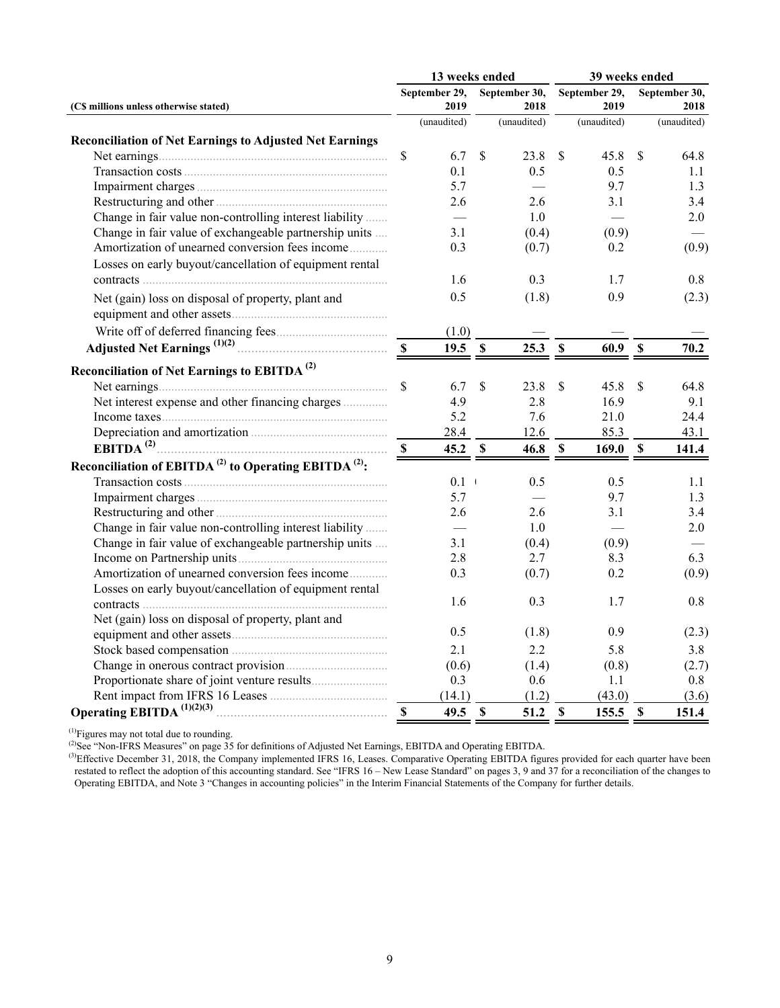|                                                                              |             | 13 weeks ended        |               |                       | 39 weeks ended            |                       |                           |                       |  |  |
|------------------------------------------------------------------------------|-------------|-----------------------|---------------|-----------------------|---------------------------|-----------------------|---------------------------|-----------------------|--|--|
| (C\$ millions unless otherwise stated)                                       |             | September 29,<br>2019 |               | September 30,<br>2018 |                           | September 29,<br>2019 |                           | September 30,<br>2018 |  |  |
|                                                                              |             | (unaudited)           |               | (unaudited)           |                           | (unaudited)           |                           | (unaudited)           |  |  |
| <b>Reconciliation of Net Earnings to Adjusted Net Earnings</b>               |             |                       |               |                       |                           |                       |                           |                       |  |  |
|                                                                              | \$          | 6.7                   | $\mathbb{S}$  | 23.8                  | $\mathbf{\hat{S}}$        | 45.8                  | <sup>\$</sup>             | 64.8                  |  |  |
|                                                                              |             | 0.1                   |               | 0.5                   |                           | 0.5                   |                           | 1.1                   |  |  |
|                                                                              |             | 5.7                   |               |                       |                           | 9.7                   |                           | 1.3                   |  |  |
|                                                                              |             | 2.6                   |               | 2.6                   |                           | 3.1                   |                           | 3.4                   |  |  |
| Change in fair value non-controlling interest liability                      |             |                       |               | 1.0                   |                           |                       |                           | 2.0                   |  |  |
| Change in fair value of exchangeable partnership units                       |             | 3.1                   |               | (0.4)                 |                           | (0.9)                 |                           |                       |  |  |
| Amortization of unearned conversion fees income                              |             | 0.3                   |               | (0.7)                 |                           | 0.2                   |                           | (0.9)                 |  |  |
| Losses on early buyout/cancellation of equipment rental                      |             |                       |               |                       |                           |                       |                           |                       |  |  |
|                                                                              |             | 1.6                   |               | 0.3                   |                           | 1.7                   |                           | 0.8                   |  |  |
| Net (gain) loss on disposal of property, plant and                           |             | 0.5                   |               | (1.8)                 |                           | 0.9                   |                           | (2.3)                 |  |  |
|                                                                              |             |                       |               |                       |                           |                       |                           |                       |  |  |
|                                                                              |             | (1.0)                 |               |                       |                           |                       |                           |                       |  |  |
|                                                                              |             | 19.5                  | $\mathbf s$   | 25.3                  | $\boldsymbol{\mathsf{S}}$ | 60.9                  | $\boldsymbol{\mathsf{S}}$ | 70.2                  |  |  |
| Reconciliation of Net Earnings to EBITDA <sup>(2)</sup>                      |             |                       |               |                       |                           |                       |                           |                       |  |  |
|                                                                              | \$          | 6.7                   | $\mathsf{\$}$ | 23.8                  | \$                        | 45.8                  | \$                        | 64.8                  |  |  |
| Net interest expense and other financing charges                             |             | 4.9                   |               | 2.8                   |                           | 16.9                  |                           | 9.1                   |  |  |
|                                                                              |             | 5.2                   |               | 7.6                   |                           | 21.0                  |                           | 24.4                  |  |  |
|                                                                              |             | 28.4                  |               | 12.6                  |                           | 85.3                  |                           | 43.1                  |  |  |
|                                                                              | -S          | 45.2 S                |               | 46.8                  | $\mathbf S$               | 169.0 S               |                           | 141.4                 |  |  |
| Reconciliation of EBITDA <sup>(2)</sup> to Operating EBITDA <sup>(2)</sup> : |             |                       |               |                       |                           |                       |                           |                       |  |  |
|                                                                              |             | 0.1                   |               | 0.5                   |                           | 0.5                   |                           | 1.1                   |  |  |
|                                                                              |             | 5.7                   |               |                       |                           | 9.7                   |                           | 1.3                   |  |  |
|                                                                              |             | 2.6                   |               | 2.6                   |                           | 3.1                   |                           | 3.4                   |  |  |
| Change in fair value non-controlling interest liability                      |             |                       |               | 1.0                   |                           |                       |                           | 2.0                   |  |  |
| Change in fair value of exchangeable partnership units                       |             | 3.1                   |               | (0.4)                 |                           | (0.9)                 |                           |                       |  |  |
|                                                                              |             | 2.8                   |               | 2.7                   |                           | 8.3                   |                           | 6.3                   |  |  |
| Amortization of unearned conversion fees income                              |             | 0.3                   |               | (0.7)                 |                           | 0.2                   |                           | (0.9)                 |  |  |
| Losses on early buyout/cancellation of equipment rental                      |             |                       |               |                       |                           |                       |                           |                       |  |  |
|                                                                              |             | 1.6                   |               | 0.3                   |                           | 1.7                   |                           | 0.8                   |  |  |
| Net (gain) loss on disposal of property, plant and                           |             |                       |               |                       |                           |                       |                           |                       |  |  |
|                                                                              |             | 0.5                   |               | (1.8)                 |                           | 0.9                   |                           | (2.3)                 |  |  |
|                                                                              |             | 2.1                   |               | 2.2                   |                           | 5.8                   |                           | 3.8                   |  |  |
|                                                                              |             | (0.6)                 |               | (1.4)                 |                           | (0.8)                 |                           | (2.7)                 |  |  |
|                                                                              |             | 0.3                   |               | 0.6                   |                           | 1.1                   |                           | 0.8                   |  |  |
|                                                                              |             | (14.1)                |               | (1.2)                 |                           | (43.0)                |                           | (3.6)                 |  |  |
| Operating EBITDA <sup><math>(1)(2)(3)</math></sup>                           | $\mathbf S$ | 49.5                  | $\mathbf S$   | 51.2                  | $\mathbf S$               | 155.5                 | $\mathbb{S}$              | 151.4                 |  |  |

 $<sup>(1)</sup>$ Figures may not total due to rounding.</sup>

( $^{2}$ )See "Non-IFRS Measures" on page 35 for definitions of Adjusted Net Earnings, EBITDA and Operating EBITDA.

 $(3)$ Effective December 31, 2018, the Company implemented IFRS 16, Leases. Comparative Operating EBITDA figures provided for each quarter have been restated to reflect the adoption of this accounting standard. See "IFRS 16 – New Lease Standard" on pages 3, 9 and 37 for a reconciliation of the changes to Operating EBITDA, and Note 3 "Changes in accounting policies" in the Interim Financial Statements of the Company for further details.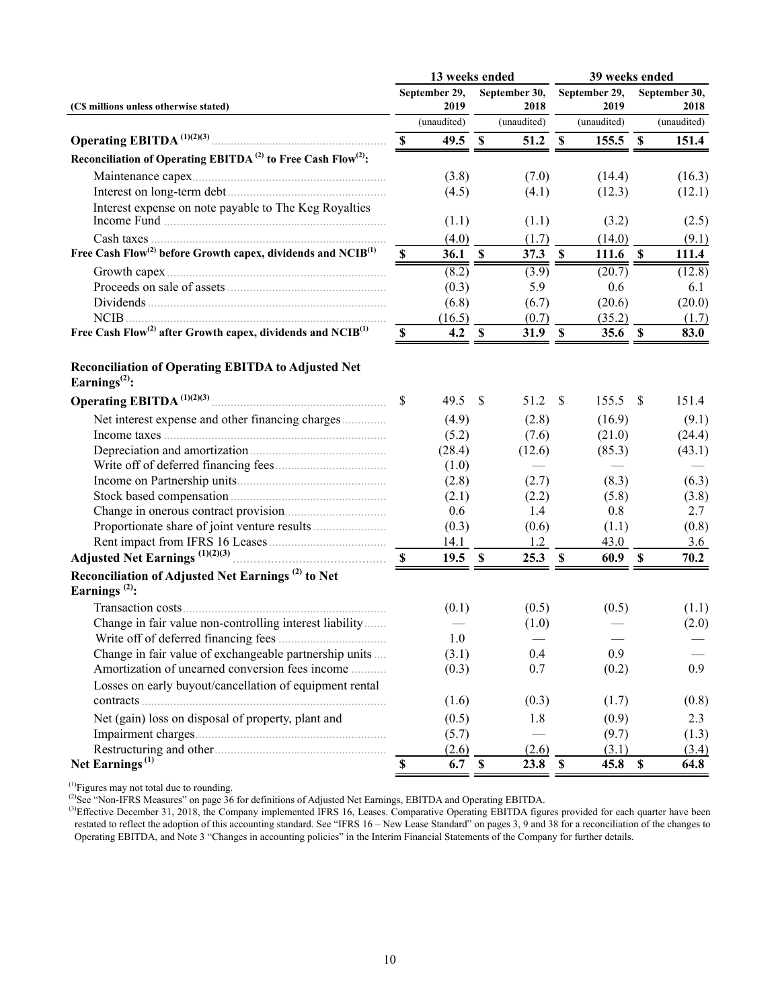|                                                                                      |                           | 13 weeks ended |             |                   | 39 weeks ended |                   |                           |               |  |  |
|--------------------------------------------------------------------------------------|---------------------------|----------------|-------------|-------------------|----------------|-------------------|---------------------------|---------------|--|--|
|                                                                                      |                           | September 29,  |             | September 30,     |                | September 29,     |                           | September 30, |  |  |
| (C\$ millions unless otherwise stated)                                               |                           | 2019           |             | 2018              |                | 2019              |                           | 2018          |  |  |
|                                                                                      |                           | (unaudited)    |             | (unaudited)       |                | (unaudited)       |                           | (unaudited)   |  |  |
|                                                                                      | $\mathbf S$               | $49.5$ \$      |             | 51.2              | <b>S</b>       | $155.5$ \$        |                           | 151.4         |  |  |
| Reconciliation of Operating EBITDA <sup>(2)</sup> to Free Cash Flow <sup>(2)</sup> : |                           |                |             |                   |                |                   |                           |               |  |  |
|                                                                                      |                           | (3.8)          |             | (7.0)             |                | (14.4)            |                           | (16.3)        |  |  |
|                                                                                      |                           | (4.5)          |             | (4.1)             |                | (12.3)            |                           | (12.1)        |  |  |
| Interest expense on note payable to The Keg Royalties                                |                           | (1.1)          |             | (1.1)             |                | (3.2)             |                           | (2.5)         |  |  |
|                                                                                      |                           | (4.0)          |             | (1.7)             |                | (14.0)            |                           | (9.1)         |  |  |
| Free Cash Flow <sup>(2)</sup> before Growth capex, dividends and NCIB <sup>(1)</sup> | $\mathbb S$               | <b>36.1</b>    | $\mathbf S$ | 37.3              | $\mathbf S$    | 111.6 $\sqrt{s}$  |                           | 111.4         |  |  |
|                                                                                      |                           | (8.2)          |             | (3.9)             |                | (20.7)            |                           | (12.8)        |  |  |
|                                                                                      |                           | (0.3)          |             | 5.9               |                | 0.6               |                           | 6.1           |  |  |
|                                                                                      |                           | (6.8)          |             | (6.7)             |                | (20.6)            |                           | (20.0)        |  |  |
| $NCIB$                                                                               |                           | (16.5)         |             | (0.7)             |                | (35.2)            |                           | (1.7)         |  |  |
| Free Cash Flow <sup>(2)</sup> after Growth capex, dividends and $NCIB^{(1)}$         | $\boldsymbol{\mathsf{s}}$ | 4.2            | <b>S</b>    | 31.9 <sup>°</sup> |                | 35.6 <sup>8</sup> |                           | 83.0          |  |  |
| <b>Reconciliation of Operating EBITDA to Adjusted Net</b><br>Earnings $^{(2)}$ :     |                           |                |             |                   |                |                   |                           |               |  |  |
|                                                                                      | \$                        | 49.5           | \$          | 51.2              | -S             | $155.5$ \$        |                           | 151.4         |  |  |
| Net interest expense and other financing charges                                     |                           | (4.9)          |             | (2.8)             |                | (16.9)            |                           | (9.1)         |  |  |
|                                                                                      |                           | (5.2)          |             | (7.6)             |                | (21.0)            |                           | (24.4)        |  |  |
|                                                                                      |                           | (28.4)         |             | (12.6)            |                | (85.3)            |                           | (43.1)        |  |  |
|                                                                                      |                           | (1.0)          |             |                   |                |                   |                           |               |  |  |
|                                                                                      |                           | (2.8)          |             | (2.7)             |                | (8.3)             |                           | (6.3)         |  |  |
|                                                                                      |                           | (2.1)          |             | (2.2)             |                | (5.8)             |                           | (3.8)         |  |  |
|                                                                                      |                           | 0.6            |             | 1.4               |                | 0.8               |                           | 2.7           |  |  |
|                                                                                      |                           | (0.3)          |             | (0.6)             |                | (1.1)             |                           | (0.8)         |  |  |
|                                                                                      |                           | 14.1           |             | 1.2               |                | 43.0              |                           | 3.6           |  |  |
|                                                                                      | - \$                      | $19.5$ \$      |             | 25.3              | $\mathbf s$    | 60.9              | $\boldsymbol{\mathsf{S}}$ | 70.2          |  |  |
| Reconciliation of Adjusted Net Earnings <sup>(2)</sup> to Net<br>Earnings $^{(2)}$ : |                           |                |             |                   |                |                   |                           |               |  |  |
|                                                                                      |                           | (0.1)          |             | (0.5)             |                | (0.5)             |                           | (1.1)         |  |  |
| Change in fair value non-controlling interest liability                              |                           |                |             | (1.0)             |                |                   |                           | (2.0)         |  |  |
|                                                                                      |                           | 1.0            |             |                   |                |                   |                           |               |  |  |
| Change in fair value of exchangeable partnership units                               |                           | (3.1)          |             | 0.4               |                | 0.9               |                           |               |  |  |
| Amortization of unearned conversion fees income                                      |                           | (0.3)          |             | 0.7               |                | (0.2)             |                           | 0.9           |  |  |
| Losses on early buyout/cancellation of equipment rental                              |                           | (1.6)          |             | (0.3)             |                | (1.7)             |                           | (0.8)         |  |  |
| Net (gain) loss on disposal of property, plant and                                   |                           | (0.5)          |             | 1.8               |                | (0.9)             |                           | 2.3           |  |  |
|                                                                                      |                           | (5.7)          |             |                   |                | (9.7)             |                           | (1.3)         |  |  |
|                                                                                      |                           | (2.6)          |             | (2.6)             |                | (3.1)             |                           | (3.4)         |  |  |
| Net Earnings $^{(1)}$                                                                | $\mathbf S$               | 6.7            | $\mathbf S$ | 23.8              | $\mathbf S$    | 45.8              | $\boldsymbol{\mathsf{S}}$ | 64.8          |  |  |
|                                                                                      |                           |                |             |                   |                |                   |                           |               |  |  |

 $<sup>(1)</sup>$ Figures may not total due to rounding.</sup>

( $^{2}$ )See "Non-IFRS Measures" on page  $36$  for definitions of Adjusted Net Earnings, EBITDA and Operating EBITDA.

 $(3)$ Effective December 31, 2018, the Company implemented IFRS 16, Leases. Comparative Operating EBITDA figures provided for each quarter have been restated to reflect the adoption of this accounting standard. See "IFRS 16 – New Lease Standard" on pages 3, 9 and 38 for a reconciliation of the changes to Operating EBITDA, and Note 3 "Changes in accounting policies" in the Interim Financial Statements of the Company for further details.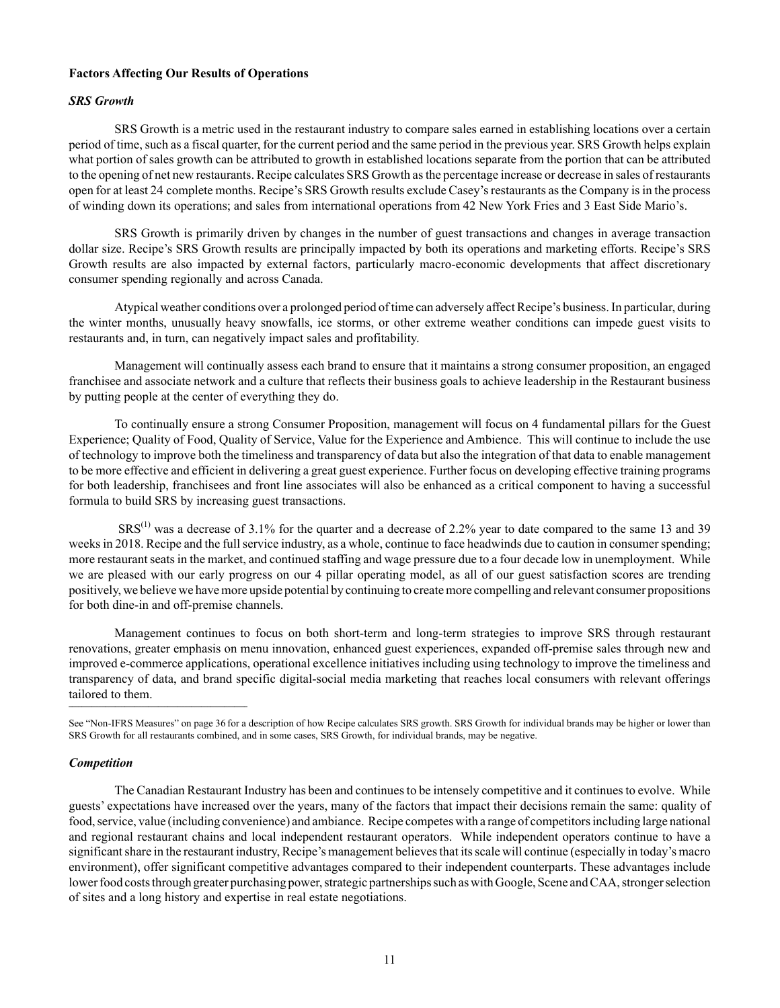# **Factors Affecting Our Results of Operations**

## *SRS Growth*

SRS Growth is a metric used in the restaurant industry to compare sales earned in establishing locations over a certain period of time, such as a fiscal quarter, for the current period and the same period in the previous year. SRS Growth helps explain what portion of sales growth can be attributed to growth in established locations separate from the portion that can be attributed to the opening of net new restaurants. Recipe calculates SRS Growth as the percentage increase or decrease in sales of restaurants open for at least 24 complete months. Recipe's SRS Growth results exclude Casey's restaurants as the Company is in the process of winding down its operations; and sales from international operations from 42 New York Fries and 3 East Side Mario's.

SRS Growth is primarily driven by changes in the number of guest transactions and changes in average transaction dollar size. Recipe's SRS Growth results are principally impacted by both its operations and marketing efforts. Recipe's SRS Growth results are also impacted by external factors, particularly macro‑economic developments that affect discretionary consumer spending regionally and across Canada.

Atypical weather conditions over a prolonged period of time can adversely affect Recipe's business. In particular, during the winter months, unusually heavy snowfalls, ice storms, or other extreme weather conditions can impede guest visits to restaurants and, in turn, can negatively impact sales and profitability.

Management will continually assess each brand to ensure that it maintains a strong consumer proposition, an engaged franchisee and associate network and a culture that reflects their business goals to achieve leadership in the Restaurant business by putting people at the center of everything they do.

To continually ensure a strong Consumer Proposition, management will focus on 4 fundamental pillars for the Guest Experience; Quality of Food, Quality of Service, Value for the Experience and Ambience. This will continue to include the use of technology to improve both the timeliness and transparency of data but also the integration of that data to enable management to be more effective and efficient in delivering a great guest experience. Further focus on developing effective training programs for both leadership, franchisees and front line associates will also be enhanced as a critical component to having a successful formula to build SRS by increasing guest transactions.

SRS<sup>(1)</sup> was a decrease of 3.1% for the quarter and a decrease of 2.2% year to date compared to the same 13 and 39 weeks in 2018. Recipe and the full service industry, as a whole, continue to face headwinds due to caution in consumer spending; more restaurant seats in the market, and continued staffing and wage pressure due to a four decade low in unemployment. While we are pleased with our early progress on our 4 pillar operating model, as all of our guest satisfaction scores are trending positively, we believe we have more upside potential by continuing to create more compelling and relevant consumer propositions for both dine-in and off-premise channels.

Management continues to focus on both short-term and long-term strategies to improve SRS through restaurant renovations, greater emphasis on menu innovation, enhanced guest experiences, expanded off-premise sales through new and improved e-commerce applications, operational excellence initiatives including using technology to improve the timeliness and transparency of data, and brand specific digital-social media marketing that reaches local consumers with relevant offerings tailored to them.

## *Competition*

The Canadian Restaurant Industry has been and continues to be intensely competitive and it continues to evolve. While guests' expectations have increased over the years, many of the factors that impact their decisions remain the same: quality of food, service, value (including convenience) and ambiance. Recipe competes with a range of competitors including large national and regional restaurant chains and local independent restaurant operators. While independent operators continue to have a significant share in the restaurant industry, Recipe's management believes that its scale will continue (especially in today's macro environment), offer significant competitive advantages compared to their independent counterparts. These advantages include lower food costs through greater purchasing power, strategic partnerships such as with Google, Scene and CAA, stronger selection of sites and a long history and expertise in real estate negotiations.

See "Non-IFRS Measures" on page 36 for a description of how Recipe calculates SRS growth. SRS Growth for individual brands may be higher or lower than SRS Growth for all restaurants combined, and in some cases, SRS Growth, for individual brands, may be negative.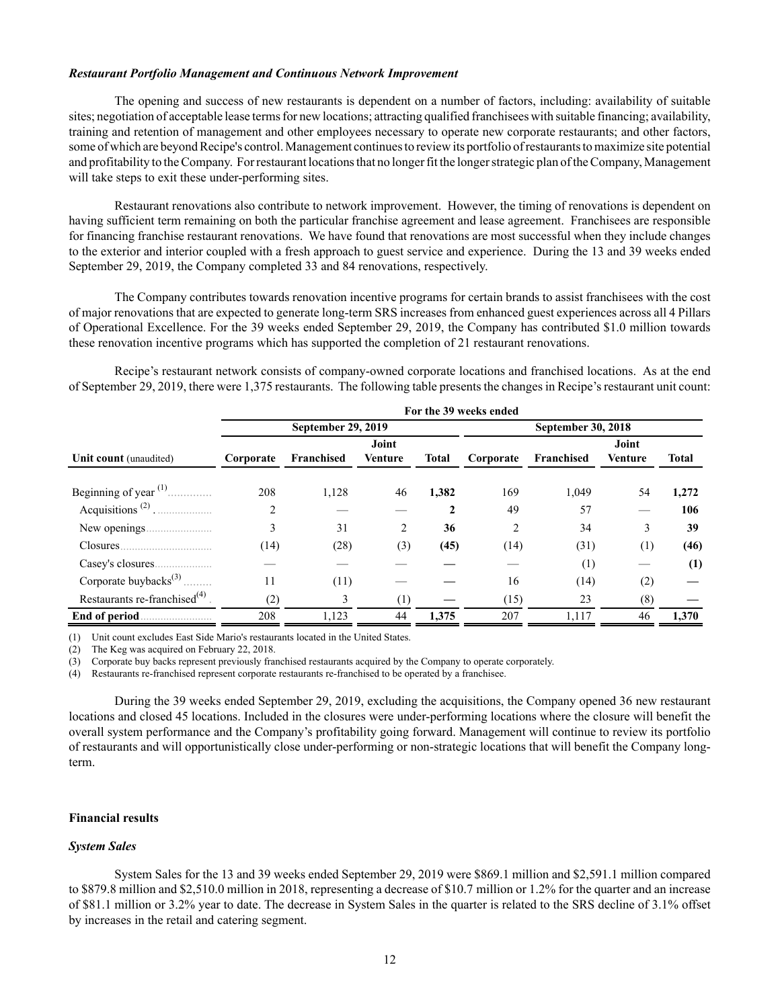#### *Restaurant Portfolio Management and Continuous Network Improvement*

The opening and success of new restaurants is dependent on a number of factors, including: availability of suitable sites; negotiation of acceptable lease terms for new locations; attracting qualified franchisees with suitable financing; availability, training and retention of management and other employees necessary to operate new corporate restaurants; and other factors, some of which are beyond Recipe's control. Management continues to review its portfolio of restaurants to maximize site potential and profitability to the Company. For restaurant locations that no longer fit the longer strategic plan of the Company, Management will take steps to exit these under-performing sites.

Restaurant renovations also contribute to network improvement. However, the timing of renovations is dependent on having sufficient term remaining on both the particular franchise agreement and lease agreement. Franchisees are responsible for financing franchise restaurant renovations. We have found that renovations are most successful when they include changes to the exterior and interior coupled with a fresh approach to guest service and experience. During the 13 and 39 weeks ended September 29, 2019, the Company completed 33 and 84 renovations, respectively.

The Company contributes towards renovation incentive programs for certain brands to assist franchisees with the cost of major renovations that are expected to generate long-term SRS increases from enhanced guest experiences across all 4 Pillars of Operational Excellence. For the 39 weeks ended September 29, 2019, the Company has contributed \$1.0 million towards these renovation incentive programs which has supported the completion of 21 restaurant renovations.

Recipe's restaurant network consists of company-owned corporate locations and franchised locations. As at the end of September 29, 2019, there were 1,375 restaurants. The following table presents the changes in Recipe's restaurant unit count:

|                                               | For the 39 weeks ended |                    |                |              |           |                    |                |       |  |  |  |  |  |
|-----------------------------------------------|------------------------|--------------------|----------------|--------------|-----------|--------------------|----------------|-------|--|--|--|--|--|
|                                               |                        | September 29, 2019 |                |              |           | September 30, 2018 |                |       |  |  |  |  |  |
|                                               |                        |                    | Joint          |              |           |                    | Joint          |       |  |  |  |  |  |
| <b>Unit count</b> (unaudited)                 | Corporate              | Franchised         | <b>Venture</b> | <b>Total</b> | Corporate | Franchised         | <b>Venture</b> | Total |  |  |  |  |  |
|                                               |                        |                    |                |              |           |                    |                |       |  |  |  |  |  |
| Beginning of year <sup><math>(1)</math></sup> | 208                    | 1,128              | 46             | 1,382        | 169       | 1,049              | 54             | 1,272 |  |  |  |  |  |
| Acquisitions <sup><math>(2)</math></sup> .    | 2                      |                    |                | 2            | 49        | 57                 |                | 106   |  |  |  |  |  |
|                                               | 3                      | 31                 | 2              | 36           | 2         | 34                 | 3              | 39    |  |  |  |  |  |
|                                               | (14)                   | (28)               | (3)            | (45)         | (14)      | (31)               | (1)            | (46)  |  |  |  |  |  |
|                                               |                        |                    |                |              |           | (1)                |                | (1)   |  |  |  |  |  |
| Corporate buybacks $^{(3)}$                   | 11                     | (11)               |                |              | 16        | (14)               | (2)            |       |  |  |  |  |  |
| Restaurants re-franchised $^{(4)}$            | (2)                    | 3                  | $^{(1)}$       |              | (15)      | 23                 | (8)            |       |  |  |  |  |  |
| End of period                                 | 208                    | 1,123              | 44             | 1,375        | 207       | 1,117              | 46             | 1,370 |  |  |  |  |  |

(1) Unit count excludes East Side Mario's restaurants located in the United States.

(2) The Keg was acquired on February 22, 2018.

(3) Corporate buy backs represent previously franchised restaurants acquired by the Company to operate corporately.

(4) Restaurants re-franchised represent corporate restaurants re-franchised to be operated by a franchisee.

During the 39 weeks ended September 29, 2019, excluding the acquisitions, the Company opened 36 new restaurant locations and closed 45 locations. Included in the closures were under-performing locations where the closure will benefit the overall system performance and the Company's profitability going forward. Management will continue to review its portfolio of restaurants and will opportunistically close under-performing or non-strategic locations that will benefit the Company longterm.

### **Financial results**

### *System Sales*

System Sales for the 13 and 39 weeks ended September 29, 2019 were \$869.1 million and \$2,591.1 million compared to \$879.8 million and \$2,510.0 million in 2018, representing a decrease of \$10.7 million or 1.2% for the quarter and an increase of \$81.1 million or 3.2% year to date. The decrease in System Sales in the quarter is related to the SRS decline of 3.1% offset by increases in the retail and catering segment.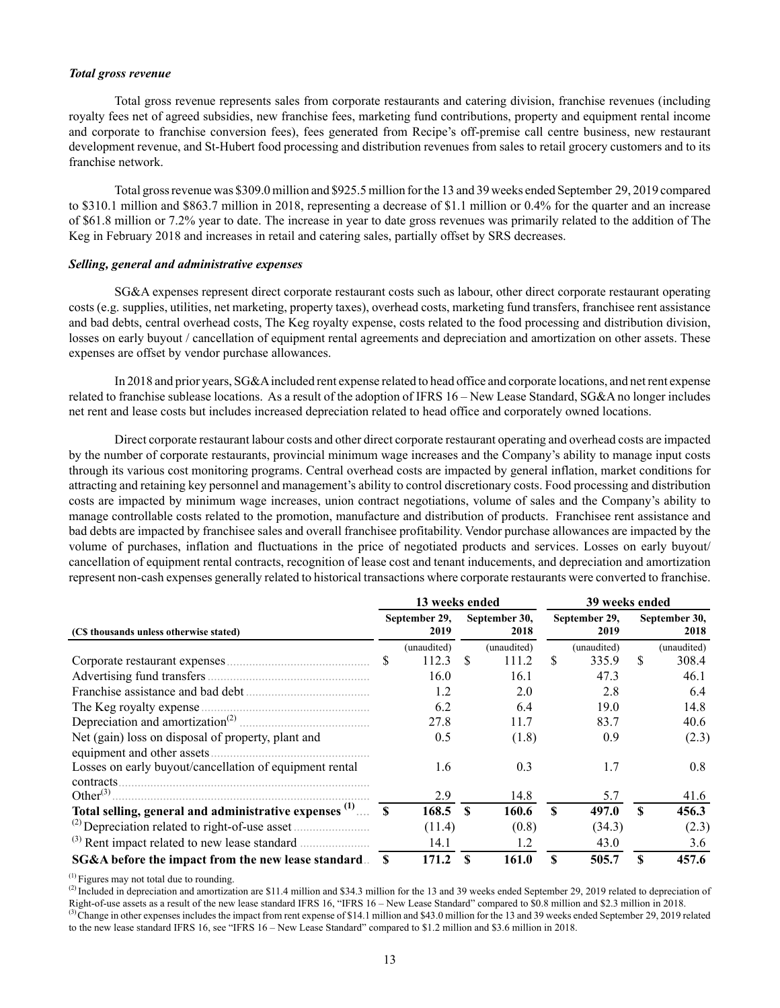### *Total gross revenue*

Total gross revenue represents sales from corporate restaurants and catering division, franchise revenues (including royalty fees net of agreed subsidies, new franchise fees, marketing fund contributions, property and equipment rental income and corporate to franchise conversion fees), fees generated from Recipe's off-premise call centre business, new restaurant development revenue, and St-Hubert food processing and distribution revenues from sales to retail grocery customers and to its franchise network.

Total gross revenue was \$309.0 million and \$925.5 million for the 13 and 39 weeks ended September 29, 2019 compared to \$310.1 million and \$863.7 million in 2018, representing a decrease of \$1.1 million or 0.4% for the quarter and an increase of \$61.8 million or 7.2% year to date. The increase in year to date gross revenues was primarily related to the addition of The Keg in February 2018 and increases in retail and catering sales, partially offset by SRS decreases.

#### *Selling, general and administrative expenses*

SG&A expenses represent direct corporate restaurant costs such as labour, other direct corporate restaurant operating costs (e.g. supplies, utilities, net marketing, property taxes), overhead costs, marketing fund transfers, franchisee rent assistance and bad debts, central overhead costs, The Keg royalty expense, costs related to the food processing and distribution division, losses on early buyout / cancellation of equipment rental agreements and depreciation and amortization on other assets. These expenses are offset by vendor purchase allowances.

In 2018 and prior years, SG&A included rent expense related to head office and corporate locations, and net rent expense related to franchise sublease locations. As a result of the adoption of IFRS 16 – New Lease Standard, SG&A no longer includes net rent and lease costs but includes increased depreciation related to head office and corporately owned locations.

Direct corporate restaurant labour costs and other direct corporate restaurant operating and overhead costs are impacted by the number of corporate restaurants, provincial minimum wage increases and the Company's ability to manage input costs through its various cost monitoring programs. Central overhead costs are impacted by general inflation, market conditions for attracting and retaining key personnel and management's ability to control discretionary costs. Food processing and distribution costs are impacted by minimum wage increases, union contract negotiations, volume of sales and the Company's ability to manage controllable costs related to the promotion, manufacture and distribution of products. Franchisee rent assistance and bad debts are impacted by franchisee sales and overall franchisee profitability. Vendor purchase allowances are impacted by the volume of purchases, inflation and fluctuations in the price of negotiated products and services. Losses on early buyout/ cancellation of equipment rental contracts, recognition of lease cost and tenant inducements, and depreciation and amortization represent non‑cash expenses generally related to historical transactions where corporate restaurants were converted to franchise.

|                                                                                   |  | 13 weeks ended        |          |                       | 39 weeks ended |                       |                       |                       |  |  |
|-----------------------------------------------------------------------------------|--|-----------------------|----------|-----------------------|----------------|-----------------------|-----------------------|-----------------------|--|--|
| (C\$ thousands unless otherwise stated)                                           |  | September 29,<br>2019 |          | September 30,<br>2018 |                | September 29,<br>2019 |                       | September 30.<br>2018 |  |  |
|                                                                                   |  | (unaudited)           |          | (unaudited)           |                | (unaudited)           |                       | (unaudited)           |  |  |
|                                                                                   |  | 112.3                 | <b>S</b> | 111.2                 | \$.            | 335.9                 | \$.                   | 308.4                 |  |  |
|                                                                                   |  | 16.0                  |          | 16.1                  |                | 47.3                  |                       | 46.1                  |  |  |
|                                                                                   |  | 1.2                   |          | 2.0                   |                | 2.8                   |                       | 6.4                   |  |  |
|                                                                                   |  | 6.2                   |          | 6.4                   |                | 19.0                  |                       | 14.8                  |  |  |
|                                                                                   |  | 27.8                  |          | 11.7                  |                | 83.7                  |                       | 40.6                  |  |  |
| Net (gain) loss on disposal of property, plant and<br>equipment and other assets. |  | 0.5                   |          | (1.8)                 |                | 0.9                   |                       | (2.3)                 |  |  |
| Losses on early buyout/cancellation of equipment rental<br>contracts.             |  | 1.6                   |          | 0.3                   |                | 1.7                   |                       | 0.8                   |  |  |
|                                                                                   |  | 2.9                   |          | 14.8                  |                | 5.7                   |                       | 41.6                  |  |  |
| Total selling, general and administrative expenses $(1)$ 5                        |  | $168.5$ \$            |          | 160.6                 | S              | 497.0                 | $\mathbf{\mathbf{S}}$ | 456.3                 |  |  |
|                                                                                   |  | (11.4)                |          | (0.8)                 |                | (34.3)                |                       | (2.3)                 |  |  |
|                                                                                   |  | 14.1                  |          | 1.2                   |                | 43.0                  |                       | 3.6                   |  |  |
| SG&A before the impact from the new lease standard.                               |  | 171.2                 | £.       | 161.0                 | \$             | 505.7                 | \$                    | 457.6                 |  |  |

 $<sup>(1)</sup>$  Figures may not total due to rounding.</sup>

 $^{(2)}$  Included in depreciation and amortization are \$11.4 million and \$34.3 million for the 13 and 39 weeks ended September 29, 2019 related to depreciation of Right-of-use assets as a result of the new lease standard IFRS 16, "IFRS 16 – New Lease Standard" compared to \$0.8 million and \$2.3 million in 2018. <sup>(3)</sup> Change in other expenses includes the impact from rent expense of \$14.1 million and \$43.0 million for the 13 and 39 weeks ended September 29, 2019 related to the new lease standard IFRS 16, see "IFRS 16 – New Lease Standard" compared to \$1.2 million and \$3.6 million in 2018.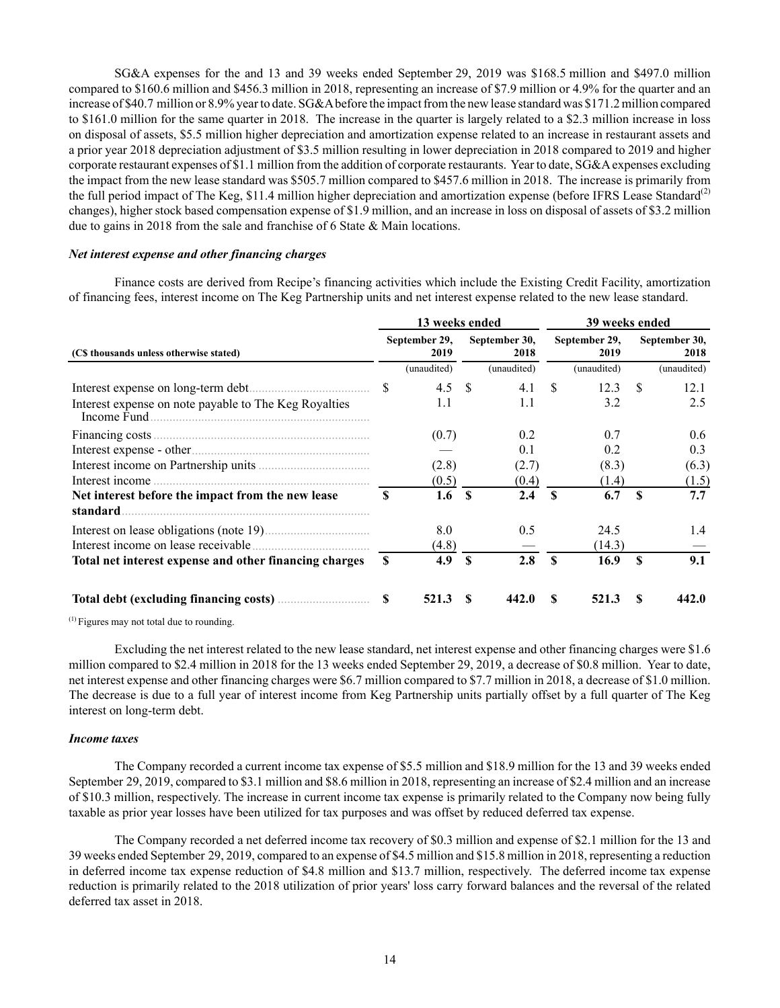SG&A expenses for the and 13 and 39 weeks ended September 29, 2019 was \$168.5 million and \$497.0 million compared to \$160.6 million and \$456.3 million in 2018, representing an increase of \$7.9 million or 4.9% for the quarter and an increase of \$40.7 million or 8.9% year to date. SG&A before the impact from the new lease standard was \$171.2 million compared to \$161.0 million for the same quarter in 2018. The increase in the quarter is largely related to a \$2.3 million increase in loss on disposal of assets, \$5.5 million higher depreciation and amortization expense related to an increase in restaurant assets and a prior year 2018 depreciation adjustment of \$3.5 million resulting in lower depreciation in 2018 compared to 2019 and higher corporate restaurant expenses of \$1.1 million from the addition of corporate restaurants. Year to date, SG&A expenses excluding the impact from the new lease standard was \$505.7 million compared to \$457.6 million in 2018. The increase is primarily from the full period impact of The Keg, \$11.4 million higher depreciation and amortization expense (before IFRS Lease Standard<sup>(2)</sup> changes), higher stock based compensation expense of \$1.9 million, and an increase in loss on disposal of assets of \$3.2 million due to gains in 2018 from the sale and franchise of 6 State & Main locations.

## *Net interest expense and other financing charges*

Finance costs are derived from Recipe's financing activities which include the Existing Credit Facility, amortization of financing fees, interest income on The Keg Partnership units and net interest expense related to the new lease standard.

|                                                               |   | 13 weeks ended        |              |                       | 39 weeks ended |                       |          |                       |  |  |
|---------------------------------------------------------------|---|-----------------------|--------------|-----------------------|----------------|-----------------------|----------|-----------------------|--|--|
| (C\$ thousands unless otherwise stated)                       |   | September 29,<br>2019 |              | September 30,<br>2018 |                | September 29,<br>2019 |          | September 30,<br>2018 |  |  |
|                                                               |   | (unaudited)           |              | (unaudited)           |                | (unaudited)           |          | (unaudited)           |  |  |
|                                                               |   | 4.5 $\sqrt{ }$        |              | 4.1                   | -S             | 12.3                  | -S       | 12.1                  |  |  |
| Interest expense on note payable to The Keg Royalties         |   | 1.1                   |              | 1.1                   |                | 3.2                   |          | 2.5                   |  |  |
|                                                               |   | (0.7)                 |              | 0.2                   |                | 0.7                   |          | 0.6                   |  |  |
|                                                               |   |                       |              | 0.1                   |                | 0.2                   |          | 0.3                   |  |  |
|                                                               |   | (2.8)                 |              | (2.7)                 |                | (8.3)                 |          | (6.3)                 |  |  |
|                                                               |   | (0.5)                 |              | (0.4)                 |                | (1.4)                 |          | (1.5)                 |  |  |
| Net interest before the impact from the new lease<br>standard |   | 1.6                   | $\mathbf{s}$ | 2.4                   | <b>S</b>       | 6.7                   | <b>S</b> | 7.7                   |  |  |
| Interest on lease obligations (note 19)                       |   | 8.0                   |              | 0.5                   |                | 24.5                  |          | 1.4                   |  |  |
|                                                               |   | (4.8)                 |              |                       |                | (14.3)                |          |                       |  |  |
| Total net interest expense and other financing charges        | S | 4.9                   | <b>S</b>     | 2.8                   | $\mathbf{s}$   | 16.9                  | <b>S</b> | 9.1                   |  |  |
|                                                               |   | 521.3                 |              | 442.0                 | S              | 521.3                 | S        | 442.0                 |  |  |

 $<sup>(1)</sup>$  Figures may not total due to rounding.</sup>

Excluding the net interest related to the new lease standard, net interest expense and other financing charges were \$1.6 million compared to \$2.4 million in 2018 for the 13 weeks ended September 29, 2019, a decrease of \$0.8 million. Year to date, net interest expense and other financing charges were \$6.7 million compared to \$7.7 million in 2018, a decrease of \$1.0 million. The decrease is due to a full year of interest income from Keg Partnership units partially offset by a full quarter of The Keg interest on long-term debt.

#### *Income taxes*

The Company recorded a current income tax expense of \$5.5 million and \$18.9 million for the 13 and 39 weeks ended September 29, 2019, compared to \$3.1 million and \$8.6 million in 2018, representing an increase of \$2.4 million and an increase of \$10.3 million, respectively. The increase in current income tax expense is primarily related to the Company now being fully taxable as prior year losses have been utilized for tax purposes and was offset by reduced deferred tax expense.

The Company recorded a net deferred income tax recovery of \$0.3 million and expense of \$2.1 million for the 13 and 39 weeks ended September 29, 2019, compared to an expense of \$4.5 million and \$15.8 million in 2018, representing a reduction in deferred income tax expense reduction of \$4.8 million and \$13.7 million, respectively. The deferred income tax expense reduction is primarily related to the 2018 utilization of prior years' loss carry forward balances and the reversal of the related deferred tax asset in 2018.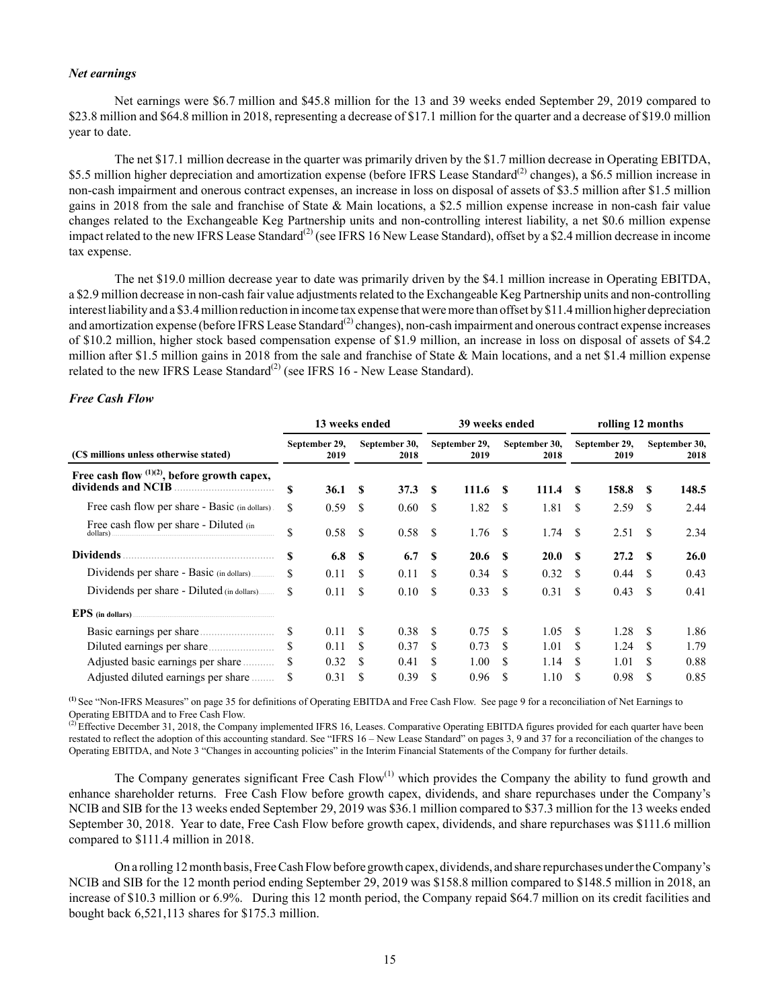### *Net earnings*

Net earnings were \$6.7 million and \$45.8 million for the 13 and 39 weeks ended September 29, 2019 compared to \$23.8 million and \$64.8 million in 2018, representing a decrease of \$17.1 million for the quarter and a decrease of \$19.0 million year to date.

The net \$17.1 million decrease in the quarter was primarily driven by the \$1.7 million decrease in Operating EBITDA, \$5.5 million higher depreciation and amortization expense (before IFRS Lease Standard<sup>(2)</sup> changes), a \$6.5 million increase in non-cash impairment and onerous contract expenses, an increase in loss on disposal of assets of \$3.5 million after \$1.5 million gains in 2018 from the sale and franchise of State & Main locations, a \$2.5 million expense increase in non-cash fair value changes related to the Exchangeable Keg Partnership units and non-controlling interest liability, a net \$0.6 million expense impact related to the new IFRS Lease Standard<sup>(2)</sup> (see IFRS 16 New Lease Standard), offset by a \$2.4 million decrease in income tax expense.

The net \$19.0 million decrease year to date was primarily driven by the \$4.1 million increase in Operating EBITDA, a \$2.9 million decrease in non-cash fair value adjustments related to the Exchangeable Keg Partnership units and non-controlling interest liability and a \$3.4 million reduction in income tax expense that were more than offset by \$11.4 million higher depreciation and amortization expense (before IFRS Lease Standard<sup>(2)</sup> changes), non-cash impairment and onerous contract expense increases of \$10.2 million, higher stock based compensation expense of \$1.9 million, an increase in loss on disposal of assets of \$4.2 million after \$1.5 million gains in 2018 from the sale and franchise of State & Main locations, and a net \$1.4 million expense related to the new IFRS Lease Standard<sup>(2)</sup> (see IFRS 16 - New Lease Standard).

# *Free Cash Flow*

|                                                                       |     | 13 weeks ended        |          |                       |                       | 39 weeks ended  |                       |             | rolling 12 months     |       |                       |             |  |
|-----------------------------------------------------------------------|-----|-----------------------|----------|-----------------------|-----------------------|-----------------|-----------------------|-------------|-----------------------|-------|-----------------------|-------------|--|
| (C\$ millions unless otherwise stated)                                |     | September 29,<br>2019 |          | September 30,<br>2018 | September 29,<br>2019 |                 | September 30,<br>2018 |             | September 29,<br>2019 |       | September 30,<br>2018 |             |  |
| Free cash flow $(1)(2)$ , before growth capex,<br>dividends and NCIB. | \$  | 36.1                  | <b>S</b> | 37.3                  | -S                    | 111.6 \$        |                       | 111.4       | -S                    | 158.8 | -S                    | 148.5       |  |
| Free cash flow per share - Basic (in dollars)                         | \$  | 0.59                  | -S       | 0.60                  | -S                    | $1.82 \quad$ \$ |                       | 1.81        | \$.                   | 2.59  | -S                    | 2.44        |  |
| Free cash flow per share - Diluted (in<br>dollars)                    | \$  | 0.58                  | -S       | 0.58                  | -S                    | 1.76            | - \$                  | 1.74        | -S                    | 2.51  | -S                    | 2.34        |  |
| <b>Dividends</b>                                                      | S   | 6.8 <sup>8</sup>      |          | 6.7                   | -S                    | $20.6-5$        |                       | <b>20.0</b> | £.                    | 27.2  | -S                    | <b>26.0</b> |  |
| Dividends per share - Basic (in dollars)                              | \$. |                       |          | 0.11                  | -S                    | $0.34 \quad$ \$ |                       | 0.32        | -S                    | 0.44  | -S                    | 0.43        |  |
| Dividends per share - Diluted (in dollars)                            | \$  | 0.11                  | \$.      | 0.10                  | \$.                   | 0.33            | - \$                  | 0.31        | \$                    | 0.43  | -S                    | 0.41        |  |
| EPS (in dollars)                                                      |     |                       |          |                       |                       |                 |                       |             |                       |       |                       |             |  |
|                                                                       |     | 0.11                  | S        | 0.38                  | -S                    | 0.75            | -S                    | 1.05        | -S                    | 1.28  | -S                    | 1.86        |  |
|                                                                       |     | 0.11                  | \$       | 0.37                  | \$.                   | 0.73            | -S                    | 1.01        | £.                    | 1.24  | -S                    | 1.79        |  |
| Adjusted basic earnings per share                                     |     | 0.32                  | \$       | 0.41                  | \$                    | 1.00            | -S                    | 1.14        | \$                    | 1.01  | S                     | 0.88        |  |
| Adjusted diluted earnings per share                                   |     | 0.31                  | \$       | 0.39                  | \$.                   | 0.96            | -S                    | 1.10        | \$.                   | 0.98  | \$.                   | 0.85        |  |

**(1)** See "Non-IFRS Measures" on page 35 for definitions of Operating EBITDA and Free Cash Flow. See page 9 for a reconciliation of Net Earnings to Operating EBITDA and to Free Cash Flow.

 $^{(2)}$  Effective December 31, 2018, the Company implemented IFRS 16, Leases. Comparative Operating EBITDA figures provided for each quarter have been restated to reflect the adoption of this accounting standard. See "IFRS 16 – New Lease Standard" on pages 3, 9 and 37 for a reconciliation of the changes to Operating EBITDA, and Note 3 "Changes in accounting policies" in the Interim Financial Statements of the Company for further details.

The Company generates significant Free Cash  $Flow^{(1)}$  which provides the Company the ability to fund growth and enhance shareholder returns. Free Cash Flow before growth capex, dividends, and share repurchases under the Company's NCIB and SIB for the 13 weeks ended September 29, 2019 was \$36.1 million compared to \$37.3 million for the 13 weeks ended September 30, 2018. Year to date, Free Cash Flow before growth capex, dividends, and share repurchases was \$111.6 million compared to \$111.4 million in 2018.

On a rolling 12 month basis, Free Cash Flow before growth capex, dividends, and share repurchases under the Company's NCIB and SIB for the 12 month period ending September 29, 2019 was \$158.8 million compared to \$148.5 million in 2018, an increase of \$10.3 million or 6.9%. During this 12 month period, the Company repaid \$64.7 million on its credit facilities and bought back 6,521,113 shares for \$175.3 million.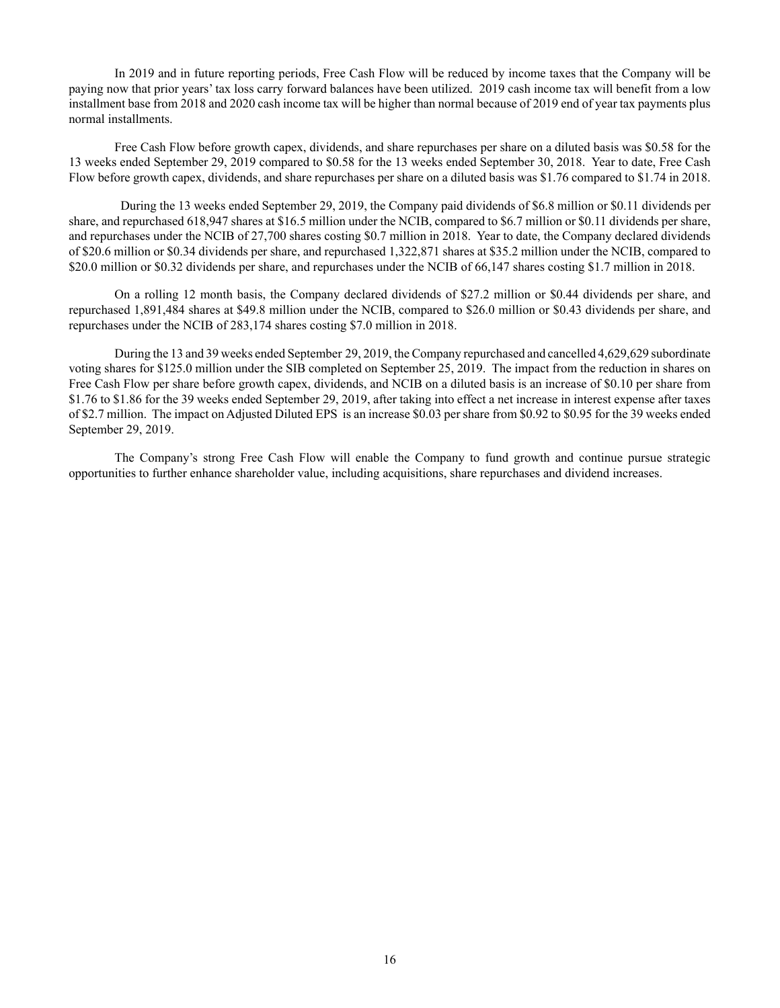In 2019 and in future reporting periods, Free Cash Flow will be reduced by income taxes that the Company will be paying now that prior years' tax loss carry forward balances have been utilized. 2019 cash income tax will benefit from a low installment base from 2018 and 2020 cash income tax will be higher than normal because of 2019 end of year tax payments plus normal installments.

Free Cash Flow before growth capex, dividends, and share repurchases per share on a diluted basis was \$0.58 for the 13 weeks ended September 29, 2019 compared to \$0.58 for the 13 weeks ended September 30, 2018. Year to date, Free Cash Flow before growth capex, dividends, and share repurchases per share on a diluted basis was \$1.76 compared to \$1.74 in 2018.

 During the 13 weeks ended September 29, 2019, the Company paid dividends of \$6.8 million or \$0.11 dividends per share, and repurchased 618,947 shares at \$16.5 million under the NCIB, compared to \$6.7 million or \$0.11 dividends per share, and repurchases under the NCIB of 27,700 shares costing \$0.7 million in 2018. Year to date, the Company declared dividends of \$20.6 million or \$0.34 dividends per share, and repurchased 1,322,871 shares at \$35.2 million under the NCIB, compared to \$20.0 million or \$0.32 dividends per share, and repurchases under the NCIB of 66,147 shares costing \$1.7 million in 2018.

On a rolling 12 month basis, the Company declared dividends of \$27.2 million or \$0.44 dividends per share, and repurchased 1,891,484 shares at \$49.8 million under the NCIB, compared to \$26.0 million or \$0.43 dividends per share, and repurchases under the NCIB of 283,174 shares costing \$7.0 million in 2018.

During the 13 and 39 weeks ended September 29, 2019, the Company repurchased and cancelled 4,629,629 subordinate voting shares for \$125.0 million under the SIB completed on September 25, 2019. The impact from the reduction in shares on Free Cash Flow per share before growth capex, dividends, and NCIB on a diluted basis is an increase of \$0.10 per share from \$1.76 to \$1.86 for the 39 weeks ended September 29, 2019, after taking into effect a net increase in interest expense after taxes of \$2.7 million. The impact on Adjusted Diluted EPS is an increase \$0.03 per share from \$0.92 to \$0.95 for the 39 weeks ended September 29, 2019.

The Company's strong Free Cash Flow will enable the Company to fund growth and continue pursue strategic opportunities to further enhance shareholder value, including acquisitions, share repurchases and dividend increases.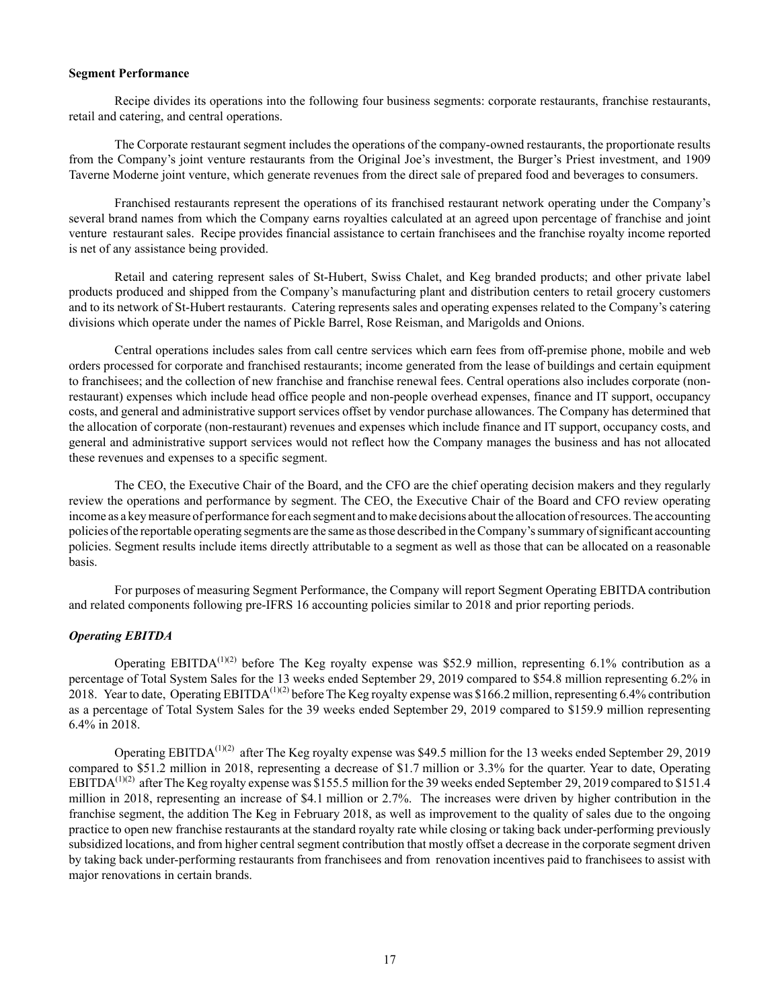### **Segment Performance**

Recipe divides its operations into the following four business segments: corporate restaurants, franchise restaurants, retail and catering, and central operations.

The Corporate restaurant segment includes the operations of the company-owned restaurants, the proportionate results from the Company's joint venture restaurants from the Original Joe's investment, the Burger's Priest investment, and 1909 Taverne Moderne joint venture, which generate revenues from the direct sale of prepared food and beverages to consumers.

Franchised restaurants represent the operations of its franchised restaurant network operating under the Company's several brand names from which the Company earns royalties calculated at an agreed upon percentage of franchise and joint venture restaurant sales. Recipe provides financial assistance to certain franchisees and the franchise royalty income reported is net of any assistance being provided.

Retail and catering represent sales of St-Hubert, Swiss Chalet, and Keg branded products; and other private label products produced and shipped from the Company's manufacturing plant and distribution centers to retail grocery customers and to its network of St-Hubert restaurants. Catering represents sales and operating expenses related to the Company's catering divisions which operate under the names of Pickle Barrel, Rose Reisman, and Marigolds and Onions.

Central operations includes sales from call centre services which earn fees from off-premise phone, mobile and web orders processed for corporate and franchised restaurants; income generated from the lease of buildings and certain equipment to franchisees; and the collection of new franchise and franchise renewal fees. Central operations also includes corporate (nonrestaurant) expenses which include head office people and non-people overhead expenses, finance and IT support, occupancy costs, and general and administrative support services offset by vendor purchase allowances. The Company has determined that the allocation of corporate (non-restaurant) revenues and expenses which include finance and IT support, occupancy costs, and general and administrative support services would not reflect how the Company manages the business and has not allocated these revenues and expenses to a specific segment.

The CEO, the Executive Chair of the Board, and the CFO are the chief operating decision makers and they regularly review the operations and performance by segment. The CEO, the Executive Chair of the Board and CFO review operating income as a key measure of performance for each segment and to make decisions about the allocation of resources. The accounting policies of the reportable operating segments are the same as those described in the Company's summary of significant accounting policies. Segment results include items directly attributable to a segment as well as those that can be allocated on a reasonable basis.

For purposes of measuring Segment Performance, the Company will report Segment Operating EBITDA contribution and related components following pre-IFRS 16 accounting policies similar to 2018 and prior reporting periods.

### *Operating EBITDA*

Operating EBITDA<sup>(1)(2)</sup> before The Keg royalty expense was \$52.9 million, representing 6.1% contribution as a percentage of Total System Sales for the 13 weeks ended September 29, 2019 compared to \$54.8 million representing 6.2% in 2018. Year to date, Operating EBITDA<sup>(1)(2)</sup> before The Keg royalty expense was \$166.2 million, representing 6.4% contribution as a percentage of Total System Sales for the 39 weeks ended September 29, 2019 compared to \$159.9 million representing 6.4% in 2018.

Operating EBITDA(1)(2) after The Keg royalty expense was \$49.5 million for the 13 weeks ended September 29, 2019 compared to \$51.2 million in 2018, representing a decrease of \$1.7 million or 3.3% for the quarter. Year to date, Operating EBITDA<sup>(1)(2)</sup> after The Keg royalty expense was \$155.5 million for the 39 weeks ended September 29, 2019 compared to \$151.4 million in 2018, representing an increase of \$4.1 million or 2.7%. The increases were driven by higher contribution in the franchise segment, the addition The Keg in February 2018, as well as improvement to the quality of sales due to the ongoing practice to open new franchise restaurants at the standard royalty rate while closing or taking back under-performing previously subsidized locations, and from higher central segment contribution that mostly offset a decrease in the corporate segment driven by taking back under-performing restaurants from franchisees and from renovation incentives paid to franchisees to assist with major renovations in certain brands.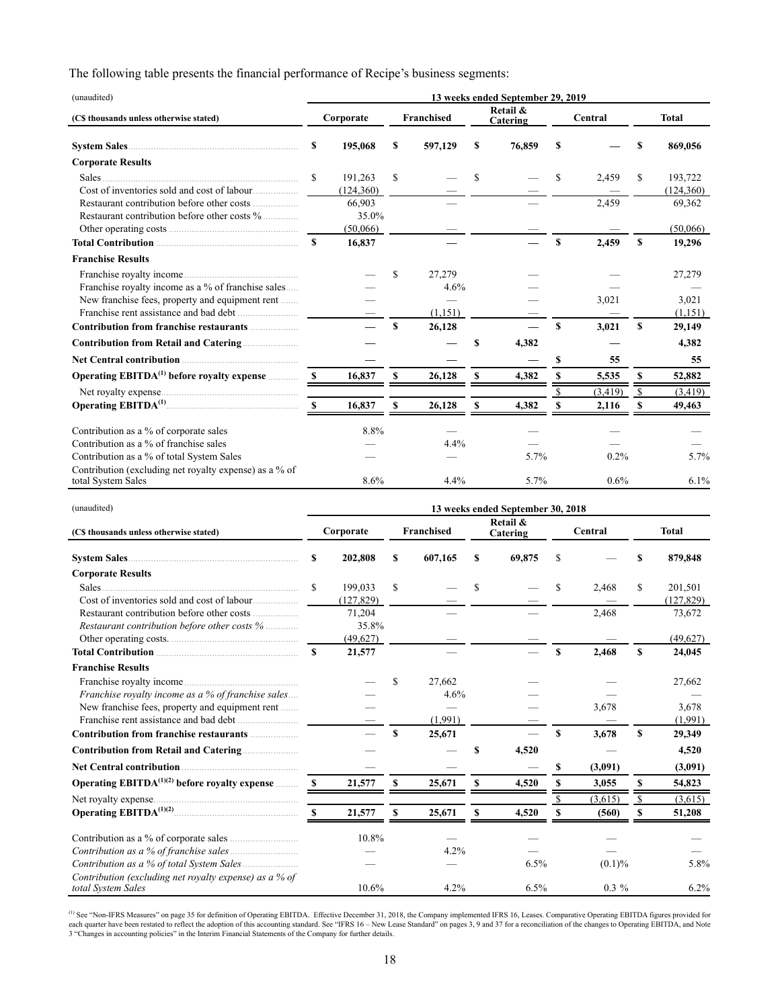The following table presents the financial performance of Recipe's business segments:

| (unaudited)                                            | 13 weeks ended September 29, 2019 |           |              |            |    |                      |             |          |               |            |
|--------------------------------------------------------|-----------------------------------|-----------|--------------|------------|----|----------------------|-------------|----------|---------------|------------|
| (C\$ thousands unless otherwise stated)                |                                   | Corporate |              | Franchised |    | Retail &<br>Catering |             | Central  | <b>Total</b>  |            |
|                                                        | S                                 | 195,068   | s            | 597,129    | S  | 76,859               | S           |          | \$            | 869,056    |
| <b>Corporate Results</b>                               |                                   |           |              |            |    |                      |             |          |               |            |
| Sales.                                                 | S                                 | 191,263   | S            |            | \$ |                      | \$          | 2,459    | S             | 193.722    |
|                                                        |                                   | (124.360) |              |            |    |                      |             |          |               | (124, 360) |
|                                                        |                                   | 66,903    |              |            |    |                      |             | 2,459    |               | 69,362     |
| Restaurant contribution before other costs %           |                                   | 35.0%     |              |            |    |                      |             |          |               |            |
|                                                        |                                   | (50,066)  |              |            |    |                      |             |          |               | (50,066)   |
|                                                        | $\mathbf{s}$                      | 16,837    |              |            |    |                      | $\mathbf S$ | 2,459    | S             | 19,296     |
| <b>Franchise Results</b>                               |                                   |           |              |            |    |                      |             |          |               |            |
|                                                        |                                   |           | \$           | 27,279     |    |                      |             |          |               | 27,279     |
| Franchise royalty income as a % of franchise sales     |                                   |           |              | 4.6%       |    |                      |             |          |               |            |
| New franchise fees, property and equipment rent        |                                   |           |              |            |    |                      |             | 3,021    |               | 3,021      |
|                                                        |                                   |           |              | (1,151)    |    |                      |             |          |               | (1,151)    |
|                                                        |                                   |           | $\mathbf{s}$ | 26,128     |    |                      | \$          | 3,021    | $\mathbf{s}$  | 29,149     |
|                                                        |                                   |           |              |            | S  | 4,382                |             |          |               | 4.382      |
|                                                        |                                   |           |              |            |    |                      | \$          | 55       |               | 55         |
| Operating EBITDA <sup>(1)</sup> before royalty expense |                                   | 16,837    | S            | 26,128     | S  | 4,382                |             | 5,535    | S             | 52,882     |
|                                                        |                                   |           |              |            |    |                      |             | (3, 419) | <sup>\$</sup> | (3, 419)   |
|                                                        | - \$                              | 16,837    | \$           | 26,128     | S  | 4,382                |             | 2,116    | S             | 49,463     |
| Contribution as a % of corporate sales                 |                                   | 8.8%      |              |            |    |                      |             |          |               |            |
| Contribution as a % of franchise sales                 |                                   |           |              | 4.4%       |    |                      |             |          |               |            |
| Contribution as a % of total System Sales              |                                   |           |              |            |    | 5.7%                 |             | 0.2%     |               | 5.7%       |
| Contribution (excluding net royalty expense) as a % of |                                   |           |              |            |    |                      |             |          |               |            |
| total System Sales                                     |                                   | 8.6%      |              | 4.4%       |    | 5.7%                 |             | 0.6%     |               | 6.1%       |

| (unaudited)                                                                  | 13 weeks ended September 30, 2018 |            |    |            |    |                      |    |         |              |            |
|------------------------------------------------------------------------------|-----------------------------------|------------|----|------------|----|----------------------|----|---------|--------------|------------|
| (C\$ thousands unless otherwise stated)                                      |                                   | Corporate  |    | Franchised |    | Retail &<br>Catering |    | Central | <b>Total</b> |            |
| System Sales                                                                 | S                                 | 202,808    | s  | 607,165    | S  | 69,875               | \$ |         | S            | 879,848    |
| <b>Corporate Results</b>                                                     |                                   |            |    |            |    |                      |    |         |              |            |
| Sales                                                                        | £.                                | 199,033    | \$ |            | S  |                      | S  | 2,468   | S            | 201,501    |
| Cost of inventories sold and cost of labour                                  |                                   | (127, 829) |    |            |    |                      |    |         |              | (127, 829) |
|                                                                              |                                   | 71,204     |    |            |    |                      |    | 2,468   |              | 73,672     |
| Restaurant contribution before other costs %                                 |                                   | 35.8%      |    |            |    |                      |    |         |              |            |
| Other operating costs.                                                       |                                   | (49,627)   |    |            |    |                      |    |         |              | (49,627)   |
| Total Contribution <b>contribution</b>                                       | $\mathbf{s}$                      | 21,577     |    |            |    |                      | \$ | 2,468   | \$           | 24,045     |
| <b>Franchise Results</b>                                                     |                                   |            |    |            |    |                      |    |         |              |            |
|                                                                              |                                   |            | \$ | 27,662     |    |                      |    |         |              | 27,662     |
| Franchise royalty income as a % of franchise sales                           |                                   |            |    | 4.6%       |    |                      |    |         |              |            |
| New franchise fees, property and equipment rent                              |                                   |            |    |            |    |                      |    | 3,678   |              | 3,678      |
|                                                                              |                                   |            |    | (1,991)    |    |                      |    |         |              | (1,991)    |
|                                                                              |                                   |            | S  | 25,671     |    |                      | S  | 3.678   | S            | 29,349     |
|                                                                              |                                   |            |    |            | \$ | 4,520                |    |         |              | 4,520      |
|                                                                              |                                   |            |    |            |    |                      | \$ | (3,091) |              | (3,091)    |
| Operating EBITDA <sup>(1)(2)</sup> before royalty expense                    |                                   | 21,577     | \$ | 25,671     | \$ | 4,520                | S  | 3,055   | \$           | 54,823     |
| Net royalty expense                                                          |                                   |            |    |            |    |                      |    | (3,615) | S            | (3,615)    |
|                                                                              | - \$                              | 21,577     | \$ | 25,671     | S  | 4,520                | S  | (560)   | \$           | 51,208     |
|                                                                              |                                   | 10.8%      |    |            |    |                      |    |         |              |            |
|                                                                              |                                   |            |    | 4.2%       |    |                      |    |         |              |            |
|                                                                              |                                   |            |    |            |    | 6.5%                 |    | (0.1)%  |              | 5.8%       |
| Contribution (excluding net royalty expense) as a % of<br>total System Sales |                                   | 10.6%      |    | 4.2%       |    | 6.5%                 |    | $0.3\%$ |              | 6.2%       |

<sup>(1)</sup> See "Non-IFRS Measures" on page 35 for definition of Operating EBITDA. Effective December 31, 2018, the Company implemented IFRS 16, Leases. Comparative Operating EBITDA figures provided for each quarter have been re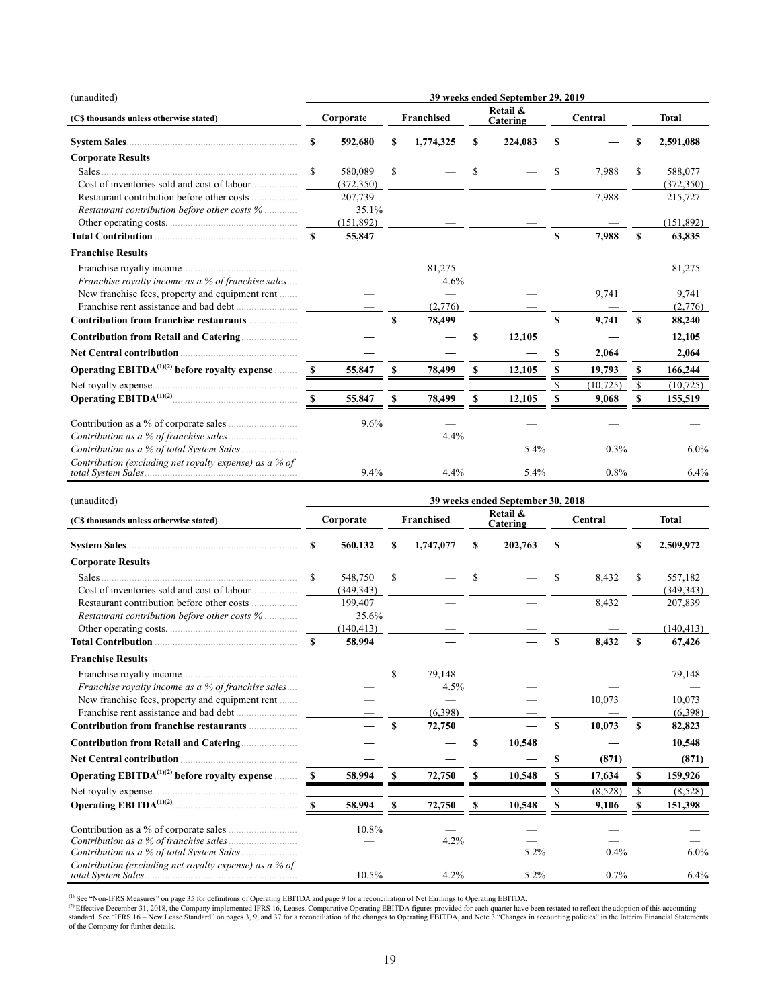| (unaudited)                                               | 39 weeks ended September 29, 2019 |                       |    |                   |    |                      |     |           |    |                       |
|-----------------------------------------------------------|-----------------------------------|-----------------------|----|-------------------|----|----------------------|-----|-----------|----|-----------------------|
| (C\$ thousands unless otherwise stated)                   | Corporate                         |                       |    | <b>Franchised</b> |    | Retail &<br>Catering |     | Central   |    | <b>Total</b>          |
|                                                           | \$                                | 592,680               | S  | 1,774,325         | \$ | 224,083              | \$  |           | \$ | 2,591,088             |
| <b>Corporate Results</b>                                  |                                   |                       |    |                   |    |                      |     |           |    |                       |
| Cost of inventories sold and cost of labour               | \$                                | 580,089<br>(372, 350) | S  |                   | \$ |                      | \$  | 7,988     | \$ | 588,077<br>(372, 350) |
| Restaurant contribution before other costs %              |                                   | 207,739<br>35.1%      |    |                   |    |                      |     | 7,988     |    | 215,727               |
| Other operating costs.                                    |                                   | (151, 892)            |    |                   |    |                      |     |           |    | (151, 892)            |
| Total Contribution <b>Contribution</b>                    | $\mathbf{s}$                      | 55,847                |    |                   |    |                      | S   | 7,988     | \$ | 63,835                |
| <b>Franchise Results</b>                                  |                                   |                       |    |                   |    |                      |     |           |    |                       |
|                                                           |                                   |                       |    | 81,275            |    |                      |     |           |    | 81,275                |
| Franchise royalty income as a % of franchise sales        |                                   |                       |    | 4.6%              |    |                      |     |           |    |                       |
| New franchise fees, property and equipment rent           |                                   |                       |    |                   |    |                      |     | 9,741     |    | 9,741                 |
|                                                           |                                   |                       |    | (2,776)           |    |                      |     |           |    | (2,776)               |
|                                                           |                                   |                       | \$ | 78,499            |    |                      | \$. | 9,741     | S  | 88,240                |
|                                                           |                                   |                       |    |                   | S  | 12,105               |     |           |    | 12,105                |
|                                                           |                                   |                       |    |                   |    |                      | \$  | 2,064     |    | 2,064                 |
| Operating EBITDA <sup>(1)(2)</sup> before royalty expense |                                   | 55,847                | \$ | 78,499            | S  | 12,105               |     | 19,793    | S  | 166,244               |
|                                                           |                                   |                       |    |                   |    |                      |     | (10, 725) | S  | (10, 725)             |
|                                                           | <sup>S</sup>                      | 55,847                | S  | 78,499            | S  | 12,105               |     | 9,068     |    | 155,519               |
|                                                           |                                   | 9.6%                  |    |                   |    |                      |     |           |    |                       |
|                                                           |                                   |                       |    | 4.4%              |    |                      |     |           |    |                       |
|                                                           |                                   |                       |    |                   |    | 5.4%                 |     | 0.3%      |    | $6.0\%$               |
| Contribution (excluding net royalty expense) as a % of    |                                   | 9.4%                  |    | 4.4%              |    | 5.4%                 |     | 0.8%      |    | 6.4%                  |

| (unaudited)                                               | 39 weeks ended September 30, 2018 |            |    |                   |   |                      |     |         |               |              |
|-----------------------------------------------------------|-----------------------------------|------------|----|-------------------|---|----------------------|-----|---------|---------------|--------------|
| (C\$ thousands unless otherwise stated)                   |                                   | Corporate  |    | <b>Franchised</b> |   | Retail &<br>Catering |     | Central |               | <b>Total</b> |
| System Sales                                              | S                                 | 560,132    | \$ | 1,747,077         | S | 202,763              | \$  |         | \$            | 2,509,972    |
| <b>Corporate Results</b>                                  |                                   |            |    |                   |   |                      |     |         |               |              |
| <b>Sales</b>                                              | \$.                               | 548,750    | \$ |                   | S |                      | S   | 8,432   | \$            | 557,182      |
|                                                           |                                   | (349, 343) |    |                   |   |                      |     |         |               | (349, 343)   |
|                                                           |                                   | 199,407    |    |                   |   |                      |     | 8,432   |               | 207,839      |
| Restaurant contribution before other costs %              |                                   | 35.6%      |    |                   |   |                      |     |         |               |              |
|                                                           |                                   | (140, 413) |    |                   |   |                      |     |         |               | (140, 413)   |
|                                                           | $\mathbf{s}$                      | 58,994     |    |                   |   |                      | \$  | 8,432   | \$            | 67,426       |
| <b>Franchise Results</b>                                  |                                   |            |    |                   |   |                      |     |         |               |              |
|                                                           |                                   |            | \$ | 79,148            |   |                      |     |         |               | 79,148       |
| Franchise royalty income as a % of franchise sales        |                                   |            |    | 4.5%              |   |                      |     |         |               |              |
| New franchise fees, property and equipment rent           |                                   |            |    |                   |   |                      |     | 10,073  |               | 10,073       |
|                                                           |                                   |            |    | (6,398)           |   |                      |     |         |               | (6,398)      |
| Contribution from franchise restaurants                   |                                   |            | S  | 72,750            |   |                      | \$. | 10,073  | S             | 82,823       |
|                                                           |                                   |            |    |                   | S | 10,548               |     |         |               | 10,548       |
|                                                           |                                   |            |    |                   |   |                      | \$  | (871)   |               | (871)        |
| Operating EBITDA <sup>(1)(2)</sup> before royalty expense | -8                                | 58,994     | S  | 72,750            | S | 10,548               |     | 17,634  | S             | 159,926      |
|                                                           |                                   |            |    |                   |   |                      |     | (8,528) | <sup>\$</sup> | (8,528)      |
|                                                           | -S                                | 58,994     | S  | 72,750            | S | 10,548               |     | 9,106   | S             | 151,398      |
|                                                           |                                   | 10.8%      |    |                   |   |                      |     |         |               |              |
|                                                           |                                   |            |    | 4.2%              |   |                      |     |         |               |              |
| Contribution as a % of total System Sales                 |                                   |            |    |                   |   | 5.2%                 |     | 0.4%    |               | $6.0\%$      |
| Contribution (excluding net royalty expense) as a % of    |                                   | 10.5%      |    | 4.2%              |   | 5.2%                 |     | 0.7%    |               | 6.4%         |

(1) See "Non-IFRS Measures" on page 35 for definitions of Operating EBITDA and page 9 for a reconciliation of Net Earnings to Operating EBITDA.<br>© Effective December 31, 2018, the Company implemented IFRS 16, Leases. Compar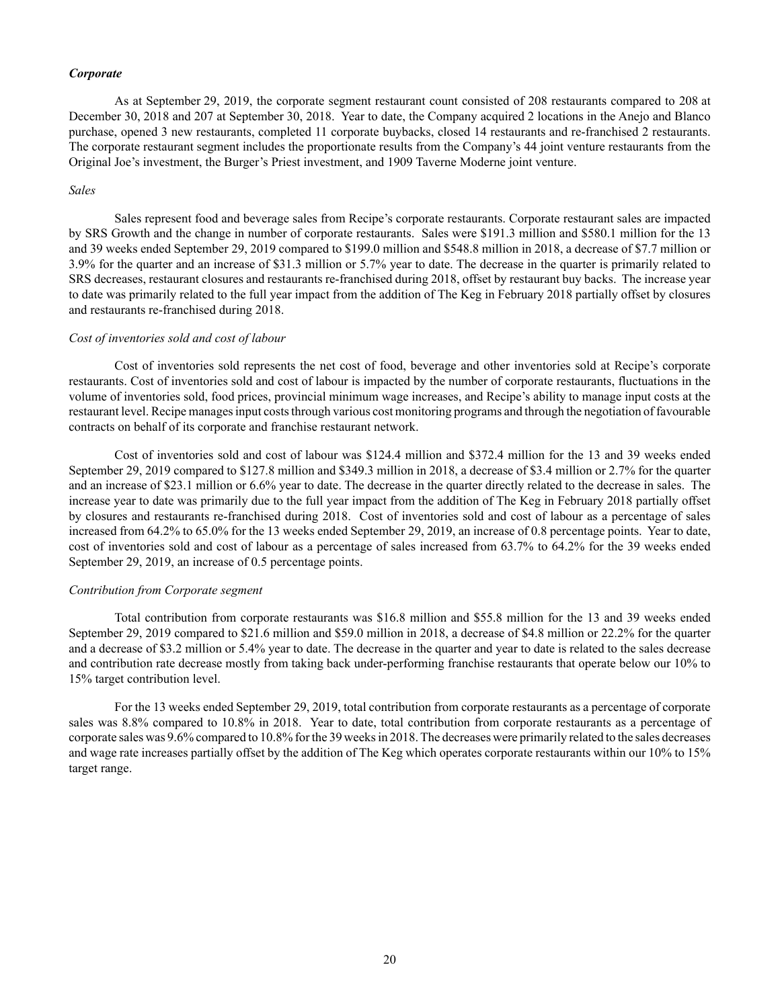### *Corporate*

As at September 29, 2019, the corporate segment restaurant count consisted of 208 restaurants compared to 208 at December 30, 2018 and 207 at September 30, 2018. Year to date, the Company acquired 2 locations in the Anejo and Blanco purchase, opened 3 new restaurants, completed 11 corporate buybacks, closed 14 restaurants and re-franchised 2 restaurants. The corporate restaurant segment includes the proportionate results from the Company's 44 joint venture restaurants from the Original Joe's investment, the Burger's Priest investment, and 1909 Taverne Moderne joint venture.

#### *Sales*

Sales represent food and beverage sales from Recipe's corporate restaurants. Corporate restaurant sales are impacted by SRS Growth and the change in number of corporate restaurants. Sales were \$191.3 million and \$580.1 million for the 13 and 39 weeks ended September 29, 2019 compared to \$199.0 million and \$548.8 million in 2018, a decrease of \$7.7 million or 3.9% for the quarter and an increase of \$31.3 million or 5.7% year to date. The decrease in the quarter is primarily related to SRS decreases, restaurant closures and restaurants re-franchised during 2018, offset by restaurant buy backs. The increase year to date was primarily related to the full year impact from the addition of The Keg in February 2018 partially offset by closures and restaurants re-franchised during 2018.

#### *Cost of inventories sold and cost of labour*

Cost of inventories sold represents the net cost of food, beverage and other inventories sold at Recipe's corporate restaurants. Cost of inventories sold and cost of labour is impacted by the number of corporate restaurants, fluctuations in the volume of inventories sold, food prices, provincial minimum wage increases, and Recipe's ability to manage input costs at the restaurant level. Recipe manages input costs through various cost monitoring programs and through the negotiation of favourable contracts on behalf of its corporate and franchise restaurant network.

Cost of inventories sold and cost of labour was \$124.4 million and \$372.4 million for the 13 and 39 weeks ended September 29, 2019 compared to \$127.8 million and \$349.3 million in 2018, a decrease of \$3.4 million or 2.7% for the quarter and an increase of \$23.1 million or 6.6% year to date. The decrease in the quarter directly related to the decrease in sales. The increase year to date was primarily due to the full year impact from the addition of The Keg in February 2018 partially offset by closures and restaurants re-franchised during 2018. Cost of inventories sold and cost of labour as a percentage of sales increased from 64.2% to 65.0% for the 13 weeks ended September 29, 2019, an increase of 0.8 percentage points. Year to date, cost of inventories sold and cost of labour as a percentage of sales increased from 63.7% to 64.2% for the 39 weeks ended September 29, 2019, an increase of 0.5 percentage points.

### *Contribution from Corporate segment*

Total contribution from corporate restaurants was \$16.8 million and \$55.8 million for the 13 and 39 weeks ended September 29, 2019 compared to \$21.6 million and \$59.0 million in 2018, a decrease of \$4.8 million or 22.2% for the quarter and a decrease of \$3.2 million or 5.4% year to date. The decrease in the quarter and year to date is related to the sales decrease and contribution rate decrease mostly from taking back under-performing franchise restaurants that operate below our 10% to 15% target contribution level.

For the 13 weeks ended September 29, 2019, total contribution from corporate restaurants as a percentage of corporate sales was 8.8% compared to 10.8% in 2018. Year to date, total contribution from corporate restaurants as a percentage of corporate sales was 9.6% compared to 10.8% for the 39 weeks in 2018. The decreases were primarily related to the sales decreases and wage rate increases partially offset by the addition of The Keg which operates corporate restaurants within our 10% to 15% target range.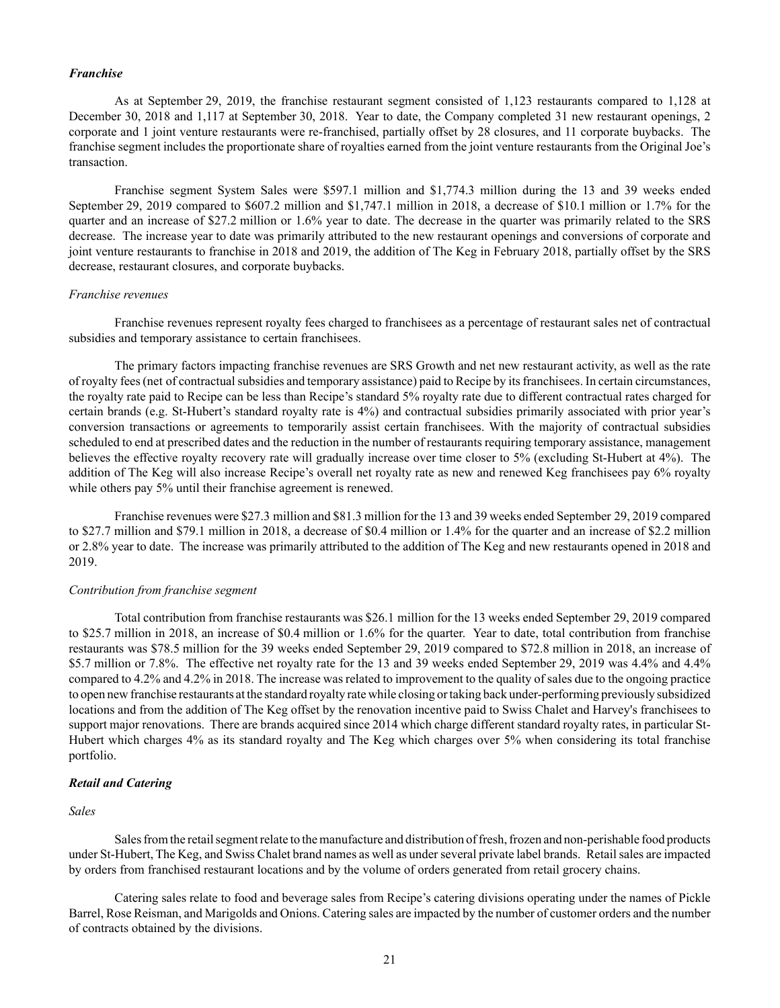#### *Franchise*

As at September 29, 2019, the franchise restaurant segment consisted of 1,123 restaurants compared to 1,128 at December 30, 2018 and 1,117 at September 30, 2018. Year to date, the Company completed 31 new restaurant openings, 2 corporate and 1 joint venture restaurants were re-franchised, partially offset by 28 closures, and 11 corporate buybacks. The franchise segment includes the proportionate share of royalties earned from the joint venture restaurants from the Original Joe's transaction.

Franchise segment System Sales were \$597.1 million and \$1,774.3 million during the 13 and 39 weeks ended September 29, 2019 compared to \$607.2 million and \$1,747.1 million in 2018, a decrease of \$10.1 million or 1.7% for the quarter and an increase of \$27.2 million or 1.6% year to date. The decrease in the quarter was primarily related to the SRS decrease. The increase year to date was primarily attributed to the new restaurant openings and conversions of corporate and joint venture restaurants to franchise in 2018 and 2019, the addition of The Keg in February 2018, partially offset by the SRS decrease, restaurant closures, and corporate buybacks.

#### *Franchise revenues*

Franchise revenues represent royalty fees charged to franchisees as a percentage of restaurant sales net of contractual subsidies and temporary assistance to certain franchisees.

The primary factors impacting franchise revenues are SRS Growth and net new restaurant activity, as well as the rate of royalty fees (net of contractual subsidies and temporary assistance) paid to Recipe by its franchisees. In certain circumstances, the royalty rate paid to Recipe can be less than Recipe's standard 5% royalty rate due to different contractual rates charged for certain brands (e.g. St-Hubert's standard royalty rate is 4%) and contractual subsidies primarily associated with prior year's conversion transactions or agreements to temporarily assist certain franchisees. With the majority of contractual subsidies scheduled to end at prescribed dates and the reduction in the number of restaurants requiring temporary assistance, management believes the effective royalty recovery rate will gradually increase over time closer to 5% (excluding St-Hubert at 4%). The addition of The Keg will also increase Recipe's overall net royalty rate as new and renewed Keg franchisees pay 6% royalty while others pay 5% until their franchise agreement is renewed.

Franchise revenues were \$27.3 million and \$81.3 million for the 13 and 39 weeks ended September 29, 2019 compared to \$27.7 million and \$79.1 million in 2018, a decrease of \$0.4 million or 1.4% for the quarter and an increase of \$2.2 million or 2.8% year to date. The increase was primarily attributed to the addition of The Keg and new restaurants opened in 2018 and 2019.

### *Contribution from franchise segment*

Total contribution from franchise restaurants was \$26.1 million for the 13 weeks ended September 29, 2019 compared to \$25.7 million in 2018, an increase of \$0.4 million or 1.6% for the quarter. Year to date, total contribution from franchise restaurants was \$78.5 million for the 39 weeks ended September 29, 2019 compared to \$72.8 million in 2018, an increase of \$5.7 million or 7.8%. The effective net royalty rate for the 13 and 39 weeks ended September 29, 2019 was 4.4% and 4.4% compared to 4.2% and 4.2% in 2018. The increase was related to improvement to the quality of sales due to the ongoing practice to open new franchise restaurants at the standard royalty rate while closing or taking back under-performing previously subsidized locations and from the addition of The Keg offset by the renovation incentive paid to Swiss Chalet and Harvey's franchisees to support major renovations. There are brands acquired since 2014 which charge different standard royalty rates, in particular St-Hubert which charges 4% as its standard royalty and The Keg which charges over 5% when considering its total franchise portfolio.

# *Retail and Catering*

#### *Sales*

Sales from the retail segment relate to the manufacture and distribution of fresh, frozen and non-perishable food products under St-Hubert, The Keg, and Swiss Chalet brand names as well as under several private label brands. Retail sales are impacted by orders from franchised restaurant locations and by the volume of orders generated from retail grocery chains.

Catering sales relate to food and beverage sales from Recipe's catering divisions operating under the names of Pickle Barrel, Rose Reisman, and Marigolds and Onions. Catering sales are impacted by the number of customer orders and the number of contracts obtained by the divisions.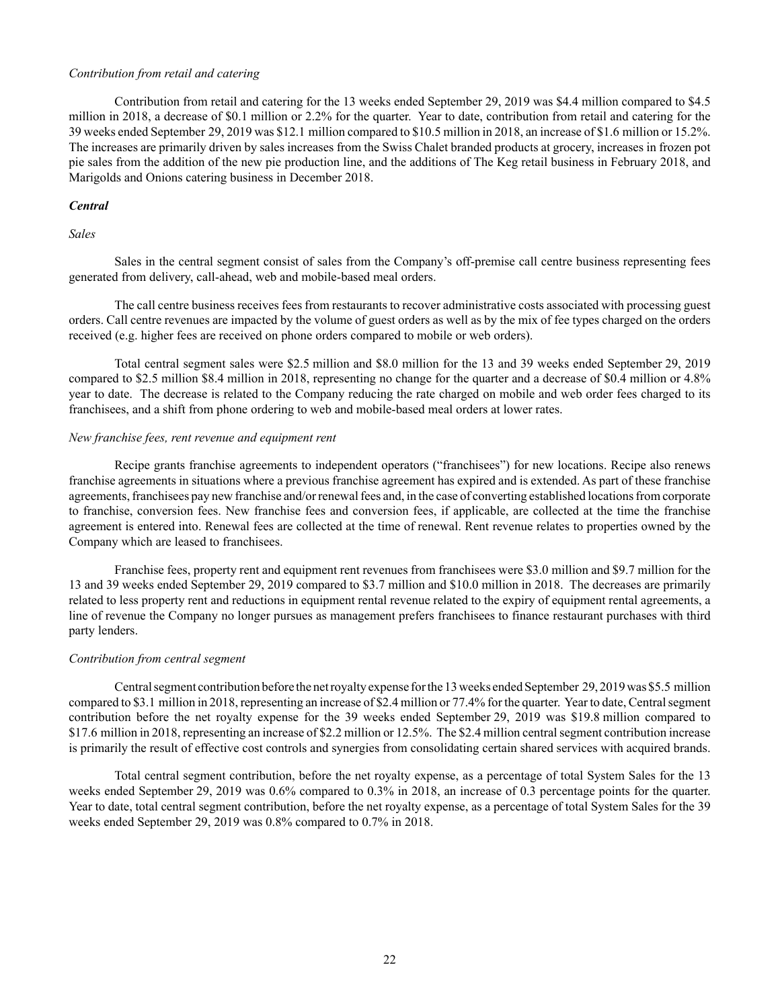### *Contribution from retail and catering*

Contribution from retail and catering for the 13 weeks ended September 29, 2019 was \$4.4 million compared to \$4.5 million in 2018, a decrease of \$0.1 million or 2.2% for the quarter. Year to date, contribution from retail and catering for the 39 weeks ended September 29, 2019 was \$12.1 million compared to \$10.5 million in 2018, an increase of \$1.6 million or 15.2%. The increases are primarily driven by sales increases from the Swiss Chalet branded products at grocery, increases in frozen pot pie sales from the addition of the new pie production line, and the additions of The Keg retail business in February 2018, and Marigolds and Onions catering business in December 2018.

### *Central*

### *Sales*

Sales in the central segment consist of sales from the Company's off-premise call centre business representing fees generated from delivery, call-ahead, web and mobile-based meal orders.

The call centre business receives fees from restaurants to recover administrative costs associated with processing guest orders. Call centre revenues are impacted by the volume of guest orders as well as by the mix of fee types charged on the orders received (e.g. higher fees are received on phone orders compared to mobile or web orders).

Total central segment sales were \$2.5 million and \$8.0 million for the 13 and 39 weeks ended September 29, 2019 compared to \$2.5 million \$8.4 million in 2018, representing no change for the quarter and a decrease of \$0.4 million or 4.8% year to date. The decrease is related to the Company reducing the rate charged on mobile and web order fees charged to its franchisees, and a shift from phone ordering to web and mobile-based meal orders at lower rates.

### *New franchise fees, rent revenue and equipment rent*

Recipe grants franchise agreements to independent operators ("franchisees") for new locations. Recipe also renews franchise agreements in situations where a previous franchise agreement has expired and is extended. As part of these franchise agreements, franchisees pay new franchise and/or renewal fees and, in the case of converting established locations from corporate to franchise, conversion fees. New franchise fees and conversion fees, if applicable, are collected at the time the franchise agreement is entered into. Renewal fees are collected at the time of renewal. Rent revenue relates to properties owned by the Company which are leased to franchisees.

Franchise fees, property rent and equipment rent revenues from franchisees were \$3.0 million and \$9.7 million for the 13 and 39 weeks ended September 29, 2019 compared to \$3.7 million and \$10.0 million in 2018. The decreases are primarily related to less property rent and reductions in equipment rental revenue related to the expiry of equipment rental agreements, a line of revenue the Company no longer pursues as management prefers franchisees to finance restaurant purchases with third party lenders.

## *Contribution from central segment*

Central segment contribution before the net royalty expense for the 13 weeks ended September 29, 2019 was \$5.5 million compared to \$3.1 million in 2018, representing an increase of \$2.4 million or 77.4% for the quarter. Year to date, Central segment contribution before the net royalty expense for the 39 weeks ended September 29, 2019 was \$19.8 million compared to \$17.6 million in 2018, representing an increase of \$2.2 million or 12.5%. The \$2.4 million central segment contribution increase is primarily the result of effective cost controls and synergies from consolidating certain shared services with acquired brands.

Total central segment contribution, before the net royalty expense, as a percentage of total System Sales for the 13 weeks ended September 29, 2019 was 0.6% compared to 0.3% in 2018, an increase of 0.3 percentage points for the quarter. Year to date, total central segment contribution, before the net royalty expense, as a percentage of total System Sales for the 39 weeks ended September 29, 2019 was 0.8% compared to 0.7% in 2018.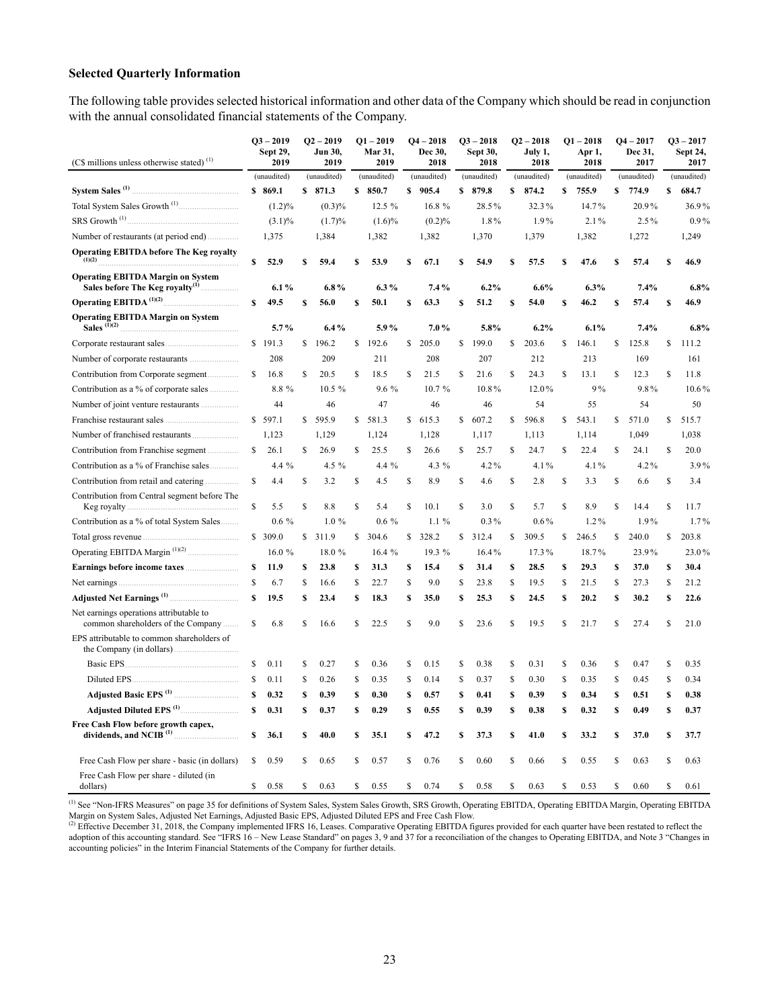# **Selected Quarterly Information**

The following table provides selected historical information and other data of the Company which should be read in conjunction with the annual consolidated financial statements of the Company.

| (C\$ millions unless otherwise stated) <sup>(1)</sup>                         |    | $Q3 - 2019$<br>Sept 29,<br>2019 |    | $Q2 - 2019$<br>Jun 30,<br>2019 |    | $Q1 - 2019$<br>Mar 31,<br>2019 |    | $Q4 - 2018$<br>Dec 30,<br>2018 |    | $Q3 - 2018$<br>Sept 30,<br>2018 |    | $Q2 - 2018$<br>July 1,<br>2018 |    | $Q1 - 2018$<br>Apr 1,<br>2018 |              | $Q4 - 2017$<br>Dec 31,<br>2017 |    | $Q3 - 2017$<br>Sept 24,<br>2017 |
|-------------------------------------------------------------------------------|----|---------------------------------|----|--------------------------------|----|--------------------------------|----|--------------------------------|----|---------------------------------|----|--------------------------------|----|-------------------------------|--------------|--------------------------------|----|---------------------------------|
|                                                                               |    | (unaudited)                     |    | (unaudited)                    |    | (unaudited)                    |    | (unaudited)                    |    | (unaudited)                     |    | (unaudited)                    |    | (unaudited)                   |              | (unaudited)                    |    | (unaudited)                     |
| System Sales <sup>(1)</sup>                                                   |    | \$869.1                         |    | \$871.3                        |    | \$850.7                        |    | \$905.4                        |    | \$879.8                         |    | \$874.2                        | S  | 755.9                         | \$           | 774.9                          | \$ | 684.7                           |
|                                                                               |    | $(1.2)\%$                       |    | $(0.3)\%$                      |    | 12.5 %                         |    | 16.8 %                         |    | 28.5%                           |    | 32.3%                          |    | 14.7%                         |              | 20.9%                          |    | 36.9%                           |
| SRS Growth <sup>(1)</sup>                                                     |    | $(3.1)\%$                       |    | (1.7)%                         |    | $(1.6)\%$                      |    | (0.2)%                         |    | 1.8%                            |    | 1.9%                           |    | 2.1%                          |              | 2.5%                           |    | $0.9\%$                         |
|                                                                               |    | 1,375                           |    | 1,384                          |    | 1,382                          |    | 1,382                          |    | 1,370                           |    | 1,379                          |    | 1,382                         |              | 1,272                          |    | 1,249                           |
| <b>Operating EBITDA before The Keg royalty</b><br>(1)(2)                      | \$ | 52.9                            | S  | 59.4                           | s  | 53.9                           | S  | 67.1                           | S  | 54.9                            | S  | 57.5                           | S  | 47.6                          | S            | 57.4                           | s  | 46.9                            |
| <b>Operating EBITDA Margin on System</b>                                      |    | $6.1\%$                         |    | $6.8\%$                        |    | $6.3\%$                        |    | 7.4%                           |    | 6.2%                            |    | 6.6%                           |    | 6.3%                          |              | 7.4%                           |    | 6.8%                            |
| <b>Operating EBITDA</b> <sup>(1)(2)</sup>                                     | \$ | 49.5                            | \$ | 56.0                           | \$ | 50.1                           | \$ | 63.3                           | \$ | 51.2                            | \$ | 54.0                           | \$ | 46.2                          | \$           | 57.4                           | \$ | 46.9                            |
| <b>Operating EBITDA Margin on System</b><br>Sales $(D(2))$                    |    | $5.7\%$                         |    | 6.4%                           |    | 5.9%                           |    | 7.0%                           |    | 5.8%                            |    | 6.2%                           |    | 6.1%                          |              | 7.4%                           |    | 6.8%                            |
|                                                                               |    | \$191.3                         | \$ | 196.2                          | \$ | 192.6                          | \$ | 205.0                          | \$ | 199.0                           | \$ | 203.6                          | \$ | 146.1                         | \$           | 125.8                          | \$ | 111.2                           |
|                                                                               |    | 208                             |    | 209                            |    | 211                            |    | 208                            |    | 207                             |    | 212                            |    | 213                           |              | 169                            |    | 161                             |
| Contribution from Corporate segment                                           | \$ | 16.8                            | S  | 20.5                           | S  | 18.5                           | \$ | 21.5                           | \$ | 21.6                            | \$ | 24.3                           | \$ | 13.1                          | \$           | 12.3                           | \$ | 11.8                            |
| Contribution as a % of corporate sales                                        |    | 8.8 %                           |    | 10.5 %                         |    | 9.6 %                          |    | 10.7%                          |    | 10.8%                           |    | 12.0%                          |    | 9%                            |              | 9.8%                           |    | 10.6%                           |
| Number of joint venture restaurants<br>.                                      |    | 44                              |    | 46                             |    | 47                             |    | 46                             |    | 46                              |    | 54                             |    | 55                            |              | 54                             |    | 50                              |
| Franchise restaurant sales                                                    |    | \$597.1                         | \$ | 595.9                          |    | \$581.3                        |    | \$615.3                        |    | \$607.2                         | \$ | 596.8                          | \$ | 543.1                         | \$           | 571.0                          | \$ | 515.7                           |
|                                                                               |    | 1,123                           |    | 1,129                          |    | 1,124                          |    | 1,128                          |    | 1,117                           |    | 1,113                          |    | 1,114                         |              | 1,049                          |    | 1,038                           |
|                                                                               | \$ | 26.1                            | \$ | 26.9                           | \$ | 25.5                           | \$ | 26.6                           | \$ | 25.7                            | \$ | 24.7                           | \$ | 22.4                          | \$           | 24.1                           | \$ | 20.0                            |
| Contribution as a % of Franchise sales                                        |    | 4.4 %                           |    | 4.5 %                          |    | 4.4 %                          |    | 4.3 %                          |    | 4.2%                            |    | 4.1%                           |    | 4.1%                          |              | 4.2%                           |    | 3.9%                            |
| Contribution from retail and catering<br>.                                    | \$ | 4.4                             | \$ | 3.2                            | \$ | 4.5                            | \$ | 8.9                            | \$ | 4.6                             | \$ | 2.8                            | \$ | 3.3                           | \$           | 6.6                            | \$ | 3.4                             |
| Contribution from Central segment before The<br>Keg royalty                   | \$ | 5.5                             | \$ | 8.8                            | S  | 5.4                            | \$ | 10.1                           | S  | 3.0                             | Ŝ  | 5.7                            | \$ | 8.9                           | S            | 14.4                           | \$ | 11.7                            |
| Contribution as a % of total System Sales                                     |    | $0.6\%$                         |    | 1.0%                           |    | $0.6\%$                        |    | $1.1\%$                        |    | $0.3\%$                         |    | $0.6\%$                        |    | $1.2\%$                       |              | 1.9%                           |    | 1.7%                            |
|                                                                               |    | \$309.0                         | S. | 311.9                          | S  | 304.6                          | \$ | 328.2                          | S  | 312.4                           | \$ | 309.5                          | \$ | 246.5                         | $\mathbb{S}$ | 240.0                          | \$ | 203.8                           |
|                                                                               |    | 16.0%                           |    | 18.0 %                         |    | 16.4%                          |    | 19.3 %                         |    | 16.4%                           |    | 17.3%                          |    | 18.7%                         |              | 23.9%                          |    | 23.0%                           |
| Earnings before income taxes                                                  | S  | 11.9                            | s  | 23.8                           | \$ | 31.3                           | \$ | 15.4                           | \$ | 31.4                            | \$ | 28.5                           | \$ | 29.3                          | S            | 37.0                           | \$ | 30.4                            |
| Net earnings                                                                  | \$ | 6.7                             | \$ | 16.6                           | \$ | 22.7                           | \$ | 9.0                            | \$ | 23.8                            | \$ | 19.5                           | \$ | 21.5                          | \$           | 27.3                           | \$ | 21.2                            |
|                                                                               | \$ | 19.5                            | S  | 23.4                           | S  | 18.3                           | \$ | 35.0                           | \$ | 25.3                            | \$ | 24.5                           | \$ | 20.2                          | \$           | 30.2                           | \$ | 22.6                            |
| Net earnings operations attributable to<br>common shareholders of the Company | \$ | 6.8                             | \$ | 16.6                           | \$ | 22.5                           | \$ | 9.0                            | \$ | 23.6                            | \$ | 19.5                           | \$ | 21.7                          | S            | 27.4                           | S  | 21.0                            |
| EPS attributable to common shareholders of                                    |    |                                 |    |                                |    |                                |    |                                |    |                                 |    |                                |    |                               |              |                                |    |                                 |
| <b>Basic EPS</b>                                                              | \$ | 0.11                            | \$ | 0.27                           | \$ | 0.36                           | \$ | 0.15                           | \$ | 0.38                            | \$ | 0.31                           | \$ | 0.36                          | \$           | 0.47                           | \$ | 0.35                            |
| Diluted EPS.                                                                  | \$ | 0.11                            | \$ | 0.26                           | \$ | 0.35                           | \$ | 0.14                           | \$ | 0.37                            | \$ | 0.30                           | \$ | 0.35                          | \$           | 0.45                           | \$ | 0.34                            |
| Adjusted Basic EPS <sup>(1)</sup>                                             | S  | 0.32                            | S  | 0.39                           | S  | 0.30                           | S  | 0.57                           | \$ | 0.41                            | S  | 0.39                           | \$ | 0.34                          | \$           | 0.51                           | S  | 0.38                            |
| Adjusted Diluted EPS <sup>(1)</sup><br>.                                      | \$ | 0.31                            | S  | 0.37                           | S  | 0.29                           | S  | 0.55                           | \$ | 0.39                            | S  | 0.38                           | \$ | 0.32                          | S            | 0.49                           | S  | 0.37                            |
| Free Cash Flow before growth capex,<br>dividends, and NCIB <sup>(1)</sup>     | S  | 36.1                            | S  | 40.0                           | \$ | 35.1                           | S  | 47.2                           | \$ | 37.3                            | \$ | 41.0                           | \$ | 33.2                          | \$           | 37.0                           | S  | 37.7                            |
| Free Cash Flow per share - basic (in dollars)                                 | \$ | 0.59                            | S  | 0.65                           | S  | 0.57                           | \$ | 0.76                           | S  | 0.60                            | S  | 0.66                           | \$ | 0.55                          | S            | 0.63                           | S  | 0.63                            |
| Free Cash Flow per share - diluted (in<br>dollars)                            | S  | 0.58                            | \$ | 0.63                           | S  | 0.55                           | Ŝ  | 0.74                           | S  | 0.58                            | \$ | 0.63                           | \$ | 0.53                          | Ś            | 0.60                           |    | 0.61                            |

(1) See "Non-IFRS Measures" on page 35 for definitions of System Sales, System Sales Growth, SRS Growth, Operating EBITDA, Operating EBITDA Margin, Operating EBITDA Margin on System Sales, Adjusted Net Earnings, Adjusted Basic EPS, Adjusted Diluted EPS and Free Cash Flow.<br><sup>(2)</sup> Effective December 31, 2018, the Company implemented IFRS 16, Leases. Comparative Operating EBITDA figures p

adoption of this accounting standard. See "IFRS 16 – New Lease Standard" on pages 3, 9 and 37 for a reconciliation of the changes to Operating EBITDA, and Note 3 "Changes in accounting policies" in the Interim Financial Statements of the Company for further details.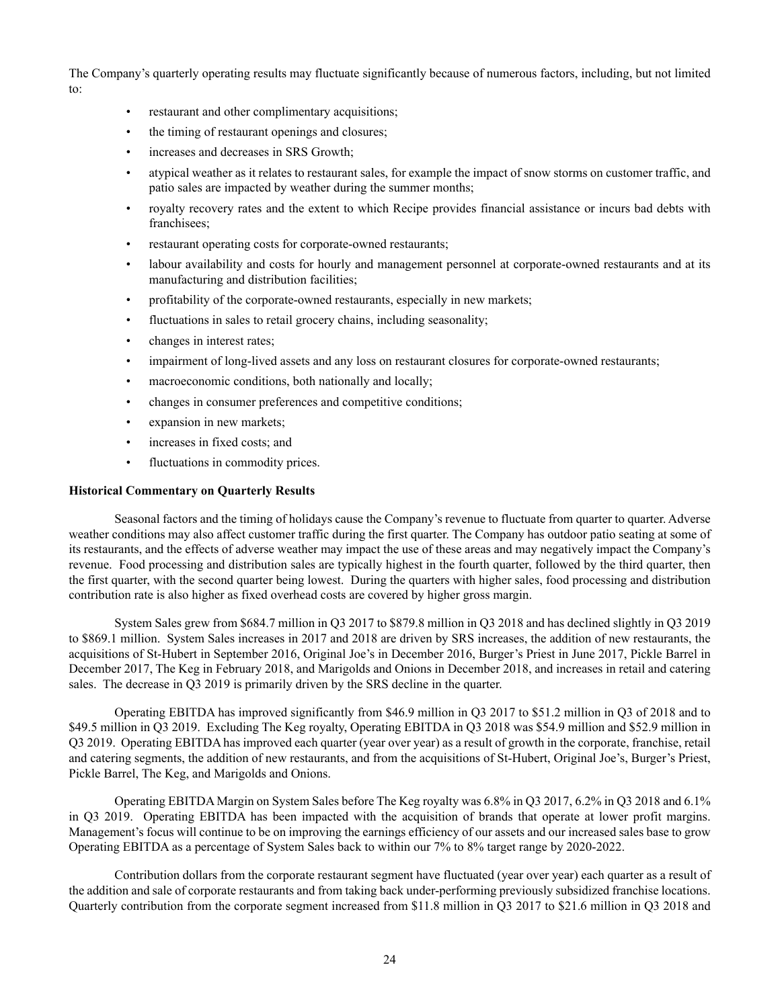The Company's quarterly operating results may fluctuate significantly because of numerous factors, including, but not limited to:

- restaurant and other complimentary acquisitions;
- the timing of restaurant openings and closures;
- increases and decreases in SRS Growth;
- atypical weather as it relates to restaurant sales, for example the impact of snow storms on customer traffic, and patio sales are impacted by weather during the summer months;
- royalty recovery rates and the extent to which Recipe provides financial assistance or incurs bad debts with franchisees;
- restaurant operating costs for corporate-owned restaurants;
- labour availability and costs for hourly and management personnel at corporate-owned restaurants and at its manufacturing and distribution facilities;
- profitability of the corporate-owned restaurants, especially in new markets;
- fluctuations in sales to retail grocery chains, including seasonality;
- changes in interest rates;
- impairment of long-lived assets and any loss on restaurant closures for corporate-owned restaurants;
- macroeconomic conditions, both nationally and locally;
- changes in consumer preferences and competitive conditions;
- expansion in new markets;
- increases in fixed costs; and
- fluctuations in commodity prices.

## **Historical Commentary on Quarterly Results**

Seasonal factors and the timing of holidays cause the Company's revenue to fluctuate from quarter to quarter. Adverse weather conditions may also affect customer traffic during the first quarter. The Company has outdoor patio seating at some of its restaurants, and the effects of adverse weather may impact the use of these areas and may negatively impact the Company's revenue. Food processing and distribution sales are typically highest in the fourth quarter, followed by the third quarter, then the first quarter, with the second quarter being lowest. During the quarters with higher sales, food processing and distribution contribution rate is also higher as fixed overhead costs are covered by higher gross margin.

System Sales grew from \$684.7 million in Q3 2017 to \$879.8 million in Q3 2018 and has declined slightly in Q3 2019 to \$869.1 million. System Sales increases in 2017 and 2018 are driven by SRS increases, the addition of new restaurants, the acquisitions of St-Hubert in September 2016, Original Joe's in December 2016, Burger's Priest in June 2017, Pickle Barrel in December 2017, The Keg in February 2018, and Marigolds and Onions in December 2018, and increases in retail and catering sales. The decrease in Q3 2019 is primarily driven by the SRS decline in the quarter.

Operating EBITDA has improved significantly from \$46.9 million in Q3 2017 to \$51.2 million in Q3 of 2018 and to \$49.5 million in Q3 2019. Excluding The Keg royalty, Operating EBITDA in Q3 2018 was \$54.9 million and \$52.9 million in Q3 2019. Operating EBITDA has improved each quarter (year over year) as a result of growth in the corporate, franchise, retail and catering segments, the addition of new restaurants, and from the acquisitions of St-Hubert, Original Joe's, Burger's Priest, Pickle Barrel, The Keg, and Marigolds and Onions.

Operating EBITDA Margin on System Sales before The Keg royalty was 6.8% in Q3 2017, 6.2% in Q3 2018 and 6.1% in Q3 2019. Operating EBITDA has been impacted with the acquisition of brands that operate at lower profit margins. Management's focus will continue to be on improving the earnings efficiency of our assets and our increased sales base to grow Operating EBITDA as a percentage of System Sales back to within our 7% to 8% target range by 2020-2022.

Contribution dollars from the corporate restaurant segment have fluctuated (year over year) each quarter as a result of the addition and sale of corporate restaurants and from taking back under-performing previously subsidized franchise locations. Quarterly contribution from the corporate segment increased from \$11.8 million in Q3 2017 to \$21.6 million in Q3 2018 and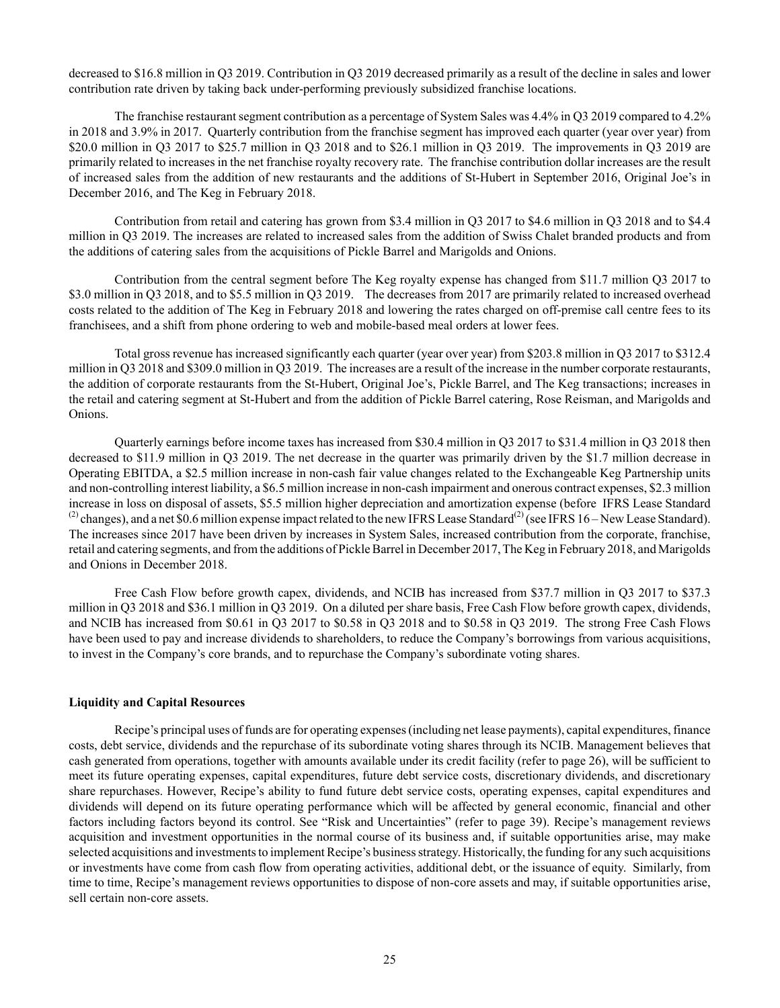decreased to \$16.8 million in Q3 2019. Contribution in Q3 2019 decreased primarily as a result of the decline in sales and lower contribution rate driven by taking back under-performing previously subsidized franchise locations.

The franchise restaurant segment contribution as a percentage of System Sales was 4.4% in Q3 2019 compared to 4.2% in 2018 and 3.9% in 2017. Quarterly contribution from the franchise segment has improved each quarter (year over year) from \$20.0 million in Q3 2017 to \$25.7 million in Q3 2018 and to \$26.1 million in Q3 2019. The improvements in Q3 2019 are primarily related to increases in the net franchise royalty recovery rate. The franchise contribution dollar increases are the result of increased sales from the addition of new restaurants and the additions of St-Hubert in September 2016, Original Joe's in December 2016, and The Keg in February 2018.

Contribution from retail and catering has grown from \$3.4 million in Q3 2017 to \$4.6 million in Q3 2018 and to \$4.4 million in Q3 2019. The increases are related to increased sales from the addition of Swiss Chalet branded products and from the additions of catering sales from the acquisitions of Pickle Barrel and Marigolds and Onions.

Contribution from the central segment before The Keg royalty expense has changed from \$11.7 million Q3 2017 to \$3.0 million in Q3 2018, and to \$5.5 million in Q3 2019. The decreases from 2017 are primarily related to increased overhead costs related to the addition of The Keg in February 2018 and lowering the rates charged on off-premise call centre fees to its franchisees, and a shift from phone ordering to web and mobile-based meal orders at lower fees.

Total gross revenue has increased significantly each quarter (year over year) from \$203.8 million in Q3 2017 to \$312.4 million in Q3 2018 and \$309.0 million in Q3 2019. The increases are a result of the increase in the number corporate restaurants, the addition of corporate restaurants from the St-Hubert, Original Joe's, Pickle Barrel, and The Keg transactions; increases in the retail and catering segment at St-Hubert and from the addition of Pickle Barrel catering, Rose Reisman, and Marigolds and Onions.

Quarterly earnings before income taxes has increased from \$30.4 million in Q3 2017 to \$31.4 million in Q3 2018 then decreased to \$11.9 million in Q3 2019. The net decrease in the quarter was primarily driven by the \$1.7 million decrease in Operating EBITDA, a \$2.5 million increase in non-cash fair value changes related to the Exchangeable Keg Partnership units and non-controlling interest liability, a \$6.5 million increase in non-cash impairment and onerous contract expenses, \$2.3 million increase in loss on disposal of assets, \$5.5 million higher depreciation and amortization expense (before IFRS Lease Standard  $^{(2)}$  changes), and a net \$0.6 million expense impact related to the new IFRS Lease Standard<sup>(2)</sup> (see IFRS 16 – New Lease Standard). The increases since 2017 have been driven by increases in System Sales, increased contribution from the corporate, franchise, retail and catering segments, and from the additions of Pickle Barrel in December 2017, The Keg in February 2018, and Marigolds and Onions in December 2018.

Free Cash Flow before growth capex, dividends, and NCIB has increased from \$37.7 million in Q3 2017 to \$37.3 million in Q3 2018 and \$36.1 million in Q3 2019. On a diluted per share basis, Free Cash Flow before growth capex, dividends, and NCIB has increased from \$0.61 in Q3 2017 to \$0.58 in Q3 2018 and to \$0.58 in Q3 2019. The strong Free Cash Flows have been used to pay and increase dividends to shareholders, to reduce the Company's borrowings from various acquisitions, to invest in the Company's core brands, and to repurchase the Company's subordinate voting shares.

## **Liquidity and Capital Resources**

Recipe's principal uses of funds are for operating expenses (including net lease payments), capital expenditures, finance costs, debt service, dividends and the repurchase of its subordinate voting shares through its NCIB. Management believes that cash generated from operations, together with amounts available under its credit facility (refer to page 26), will be sufficient to meet its future operating expenses, capital expenditures, future debt service costs, discretionary dividends, and discretionary share repurchases. However, Recipe's ability to fund future debt service costs, operating expenses, capital expenditures and dividends will depend on its future operating performance which will be affected by general economic, financial and other factors including factors beyond its control. See "Risk and Uncertainties" (refer to page 39). Recipe's management reviews acquisition and investment opportunities in the normal course of its business and, if suitable opportunities arise, may make selected acquisitions and investments to implement Recipe's business strategy. Historically, the funding for any such acquisitions or investments have come from cash flow from operating activities, additional debt, or the issuance of equity. Similarly, from time to time, Recipe's management reviews opportunities to dispose of non-core assets and may, if suitable opportunities arise, sell certain non-core assets.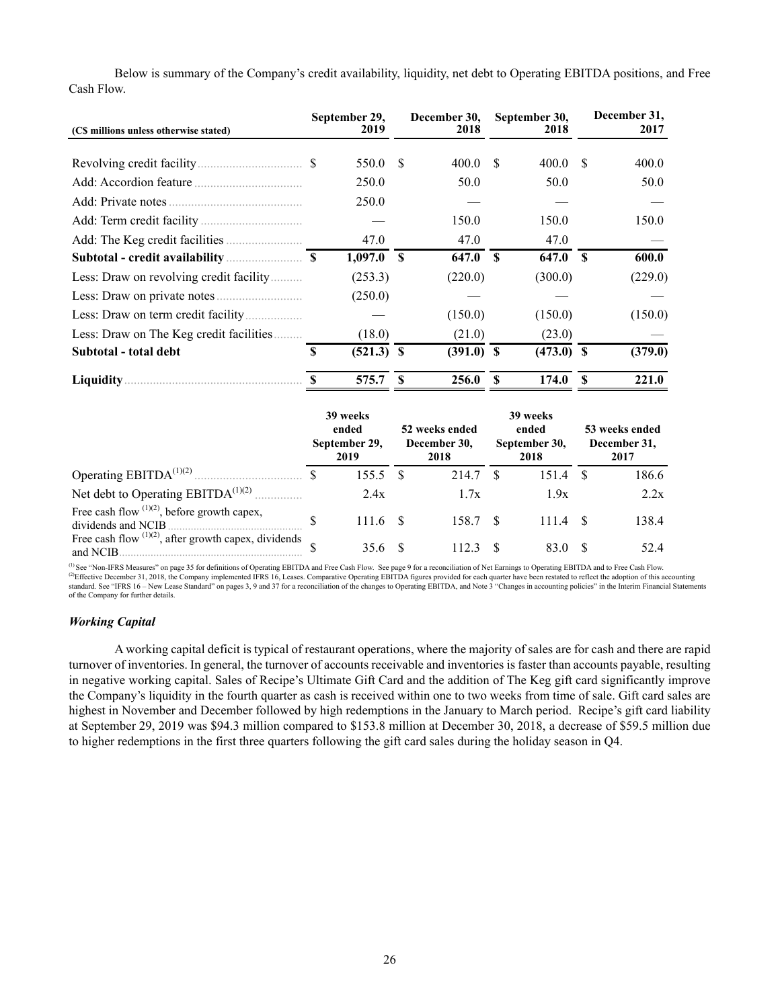| (C\$ millions unless otherwise stated)  |   | September 29,<br>2019 |              | December 30,<br>2018 |              | September 30,<br>2018 |      | December 31,<br>2017 |
|-----------------------------------------|---|-----------------------|--------------|----------------------|--------------|-----------------------|------|----------------------|
|                                         |   | 550.0                 | \$.          | 400.0                | -S           | 400.0                 | - \$ | 400.0                |
|                                         |   | 250.0                 |              | 50.0                 |              | 50.0                  |      | 50.0                 |
|                                         |   | 250.0                 |              |                      |              |                       |      |                      |
|                                         |   |                       |              | 150.0                |              | 150.0                 |      | 150.0                |
|                                         |   | 47.0                  |              | 47.0                 |              | 47.0                  |      |                      |
|                                         |   | 1,097.0               | $\mathbf{s}$ | 647.0                | $\mathbf{s}$ | 647.0                 | - \$ | 600.0                |
| Less: Draw on revolving credit facility |   | (253.3)               |              | (220.0)              |              | (300.0)               |      | (229.0)              |
|                                         |   | (250.0)               |              |                      |              |                       |      |                      |
|                                         |   |                       |              | (150.0)              |              | (150.0)               |      | (150.0)              |
| Less: Draw on The Keg credit facilities |   | (18.0)                |              | (21.0)               |              | (23.0)                |      |                      |
| Subtotal - total debt                   | S | $(521.3)$ \$          |              | $(391.0)$ \$         |              | $(473.0)$ \$          |      | (379.0)              |
| <b>Liquidity</b> .                      |   | 575.7                 | S            | 256.0                | S            | 174.0                 | \$   | 221.0                |

Below is summary of the Company's credit availability, liquidity, net debt to Operating EBITDA positions, and Free Cash Flow.

|                                                                      |  | 39 weeks<br>ended<br>September 29,<br>2019 |    | 52 weeks ended<br>December 30,<br>2018 |    | 39 weeks<br>ended<br>September 30,<br>2018 | 53 weeks ended<br>December 31,<br>2017 |       |  |
|----------------------------------------------------------------------|--|--------------------------------------------|----|----------------------------------------|----|--------------------------------------------|----------------------------------------|-------|--|
|                                                                      |  | 155.5                                      | -8 | 214.7                                  |    | 151.4                                      |                                        | 186.6 |  |
| Net debt to Operating $EBITDA^{(1)(2)}$                              |  | 2.4x                                       |    | 1.7x                                   |    | 1.9x                                       |                                        | 2.2x  |  |
| Free cash flow $(1)(2)$ , before growth capex,<br>dividends and NCIB |  | 111.6                                      |    | 158.7                                  | -8 | 111.4                                      |                                        | 138.4 |  |
| Free cash flow $(1)(2)$ , after growth capex, dividends<br>and NCIB. |  | 35.6                                       |    | 112.3                                  |    | 83.0                                       |                                        | 52.4  |  |

(1) See "Non-IFRS Measures" on page 35 for definitions of Operating EBITDA and Free Cash Flow. See page 9 for a reconciliation of Net Earnings to Operating EBITDA and to Free Cash Flow. <sup>(2)</sup>Effective December 31, 2018, the Company implemented IFRS 16, Leases. Comparative Operating EBITDA figures provided for each quarter have been restated to reflect the adoption of this accounting<br>standard. See "IFRS 16 of the Company for further details.

## *Working Capital*

A working capital deficit is typical of restaurant operations, where the majority of sales are for cash and there are rapid turnover of inventories. In general, the turnover of accounts receivable and inventories is faster than accounts payable, resulting in negative working capital. Sales of Recipe's Ultimate Gift Card and the addition of The Keg gift card significantly improve the Company's liquidity in the fourth quarter as cash is received within one to two weeks from time of sale. Gift card sales are highest in November and December followed by high redemptions in the January to March period. Recipe's gift card liability at September 29, 2019 was \$94.3 million compared to \$153.8 million at December 30, 2018, a decrease of \$59.5 million due to higher redemptions in the first three quarters following the gift card sales during the holiday season in Q4.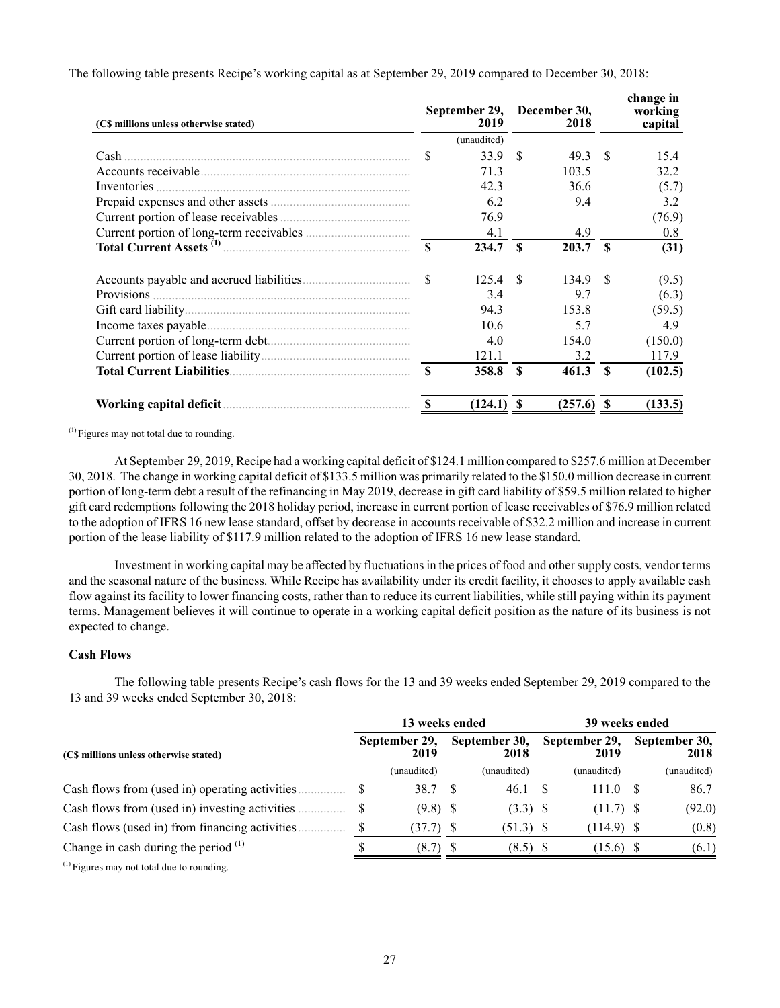| (C\$ millions unless otherwise stated) |                        | September 29,<br>2019 |              | December 30,<br>2018 |              | change in<br>working<br>capital |
|----------------------------------------|------------------------|-----------------------|--------------|----------------------|--------------|---------------------------------|
|                                        |                        | (unaudited)           |              |                      |              |                                 |
| Cash                                   | \$                     | 33.9                  | -S           | 49.3                 | -S           | 15.4                            |
|                                        |                        | 71.3                  |              | 103.5                |              | 32.2                            |
| Inventories                            |                        | 42.3                  |              | 36.6                 |              | (5.7)                           |
|                                        |                        | 6.2                   |              | 9.4                  |              | 3.2                             |
|                                        |                        | 76.9                  |              |                      |              | (76.9)                          |
|                                        |                        | 4.1                   |              | 4.9                  |              | 0.8                             |
|                                        | $\mathbf{\mathcal{S}}$ | 234.7                 | $\mathbf{s}$ | 203.7                | $\mathbf{s}$ | (31)                            |
|                                        | \$                     | 125.4                 | -8           | 134.9                | -S           | (9.5)                           |
|                                        |                        | 3.4                   |              | 9.7                  |              | (6.3)                           |
|                                        |                        | 94.3                  |              | 153.8                |              | (59.5)                          |
|                                        |                        | 10.6                  |              | 5.7                  |              | 4.9                             |
|                                        |                        | 4.0                   |              | 154.0                |              | (150.0)                         |
|                                        |                        | 121.1                 |              | 3.2                  |              | 117.9                           |
|                                        | $\mathbf{\mathcal{S}}$ | 358.8                 | $\mathbf{s}$ | 461.3                | $\mathbf{s}$ | (102.5)                         |
|                                        |                        | (124.1)               |              | (257.6)              |              | (133.5)                         |

The following table presents Recipe's working capital as at September 29, 2019 compared to December 30, 2018:

(1) Figures may not total due to rounding.

At September 29, 2019, Recipe had a working capital deficit of \$124.1 million compared to \$257.6 million at December 30, 2018. The change in working capital deficit of \$133.5 million was primarily related to the \$150.0 million decrease in current portion of long-term debt a result of the refinancing in May 2019, decrease in gift card liability of \$59.5 million related to higher gift card redemptions following the 2018 holiday period, increase in current portion of lease receivables of \$76.9 million related to the adoption of IFRS 16 new lease standard, offset by decrease in accounts receivable of \$32.2 million and increase in current portion of the lease liability of \$117.9 million related to the adoption of IFRS 16 new lease standard.

Investment in working capital may be affected by fluctuations in the prices of food and other supply costs, vendor terms and the seasonal nature of the business. While Recipe has availability under its credit facility, it chooses to apply available cash flow against its facility to lower financing costs, rather than to reduce its current liabilities, while still paying within its payment terms. Management believes it will continue to operate in a working capital deficit position as the nature of its business is not expected to change.

# **Cash Flows**

The following table presents Recipe's cash flows for the 13 and 39 weeks ended September 29, 2019 compared to the 13 and 39 weeks ended September 30, 2018:

|                                                | 13 weeks ended |                       |  |                       | 39 weeks ended |                       |     |                       |  |
|------------------------------------------------|----------------|-----------------------|--|-----------------------|----------------|-----------------------|-----|-----------------------|--|
| (CS millions unless otherwise stated)          |                | September 29,<br>2019 |  | September 30,<br>2018 |                | September 29,<br>2019 |     | September 30,<br>2018 |  |
|                                                |                | (unaudited)           |  | (unaudited)           |                | (unaudited)           |     | (unaudited)           |  |
| Cash flows from (used in) operating activities | \$             | 38.7 \$               |  | 46.1 S                |                | 111.0                 | - S | 86.7                  |  |
| Cash flows from (used in) investing activities | S              | $(9.8)$ \$            |  | $(3.3)$ \$            |                | $(11.7)$ \$           |     | (92.0)                |  |
| Cash flows (used in) from financing activities | \$             | $(37.7)$ \$           |  | $(51.3)$ \$           |                | $(114.9)$ \$          |     | (0.8)                 |  |
| Change in cash during the period $(1)$         |                | $(8.7)$ \$            |  | $(8.5)$ \$            |                | $(15.6)$ \$           |     | (6.1)                 |  |

 $<sup>(1)</sup>$  Figures may not total due to rounding.</sup>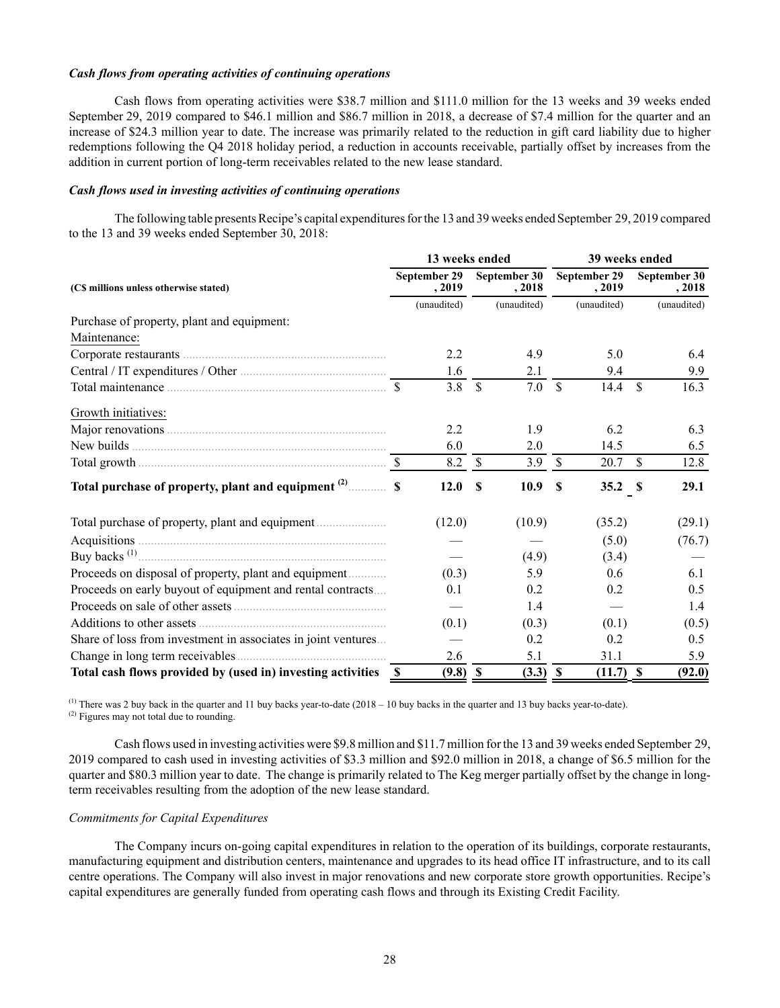### *Cash flows from operating activities of continuing operations*

Cash flows from operating activities were \$38.7 million and \$111.0 million for the 13 weeks and 39 weeks ended September 29, 2019 compared to \$46.1 million and \$86.7 million in 2018, a decrease of \$7.4 million for the quarter and an increase of \$24.3 million year to date. The increase was primarily related to the reduction in gift card liability due to higher redemptions following the Q4 2018 holiday period, a reduction in accounts receivable, partially offset by increases from the addition in current portion of long-term receivables related to the new lease standard.

## *Cash flows used in investing activities of continuing operations*

The following table presents Recipe's capital expenditures for the 13 and 39 weeks ended September 29, 2019 compared to the 13 and 39 weeks ended September 30, 2018:

|                                                                | 13 weeks ended         |               |                        | 39 weeks ended            |                               |               |                        |  |  |
|----------------------------------------------------------------|------------------------|---------------|------------------------|---------------------------|-------------------------------|---------------|------------------------|--|--|
| (C\$ millions unless otherwise stated)                         | September 29<br>, 2019 |               | September 30<br>, 2018 |                           | September 29<br>, 2019        |               | September 30<br>, 2018 |  |  |
|                                                                | (unaudited)            |               | (unaudited)            |                           | (unaudited)                   |               | (unaudited)            |  |  |
| Purchase of property, plant and equipment:                     |                        |               |                        |                           |                               |               |                        |  |  |
| Maintenance:                                                   |                        |               |                        |                           |                               |               |                        |  |  |
|                                                                | 2.2                    |               | 4.9                    |                           | 5.0                           |               | 6.4                    |  |  |
|                                                                | 1.6                    |               | 2.1                    |                           | 9.4                           |               | 9.9                    |  |  |
|                                                                | 3.8                    | <sup>\$</sup> | 7.0                    | <sup>\$</sup>             | 14.4                          | $\mathcal{S}$ | 16.3                   |  |  |
| Growth initiatives:                                            |                        |               |                        |                           |                               |               |                        |  |  |
|                                                                | 2.2                    |               | 1.9                    |                           | 6.2                           |               | 6.3                    |  |  |
|                                                                | 6.0                    |               | 2.0                    |                           | 14.5                          |               | 6.5                    |  |  |
|                                                                | 8.2                    | <sup>\$</sup> | 3.9                    | <sup>\$</sup>             | 20.7                          | $\mathbb{S}$  | 12.8                   |  |  |
|                                                                | 12.0                   | $\mathbf{s}$  | 10.9                   | $\boldsymbol{\mathsf{S}}$ | 35.2 $S$                      |               | 29.1                   |  |  |
|                                                                | (12.0)                 |               | (10.9)                 |                           | (35.2)                        |               | (29.1)                 |  |  |
|                                                                |                        |               |                        |                           | (5.0)                         |               | (76.7)                 |  |  |
|                                                                |                        |               | (4.9)                  |                           | (3.4)                         |               |                        |  |  |
| Proceeds on disposal of property, plant and equipment          | (0.3)                  |               | 5.9                    |                           | 0.6                           |               | 6.1                    |  |  |
| Proceeds on early buyout of equipment and rental contracts     | 0.1                    |               | 0.2                    |                           | 0.2                           |               | 0.5                    |  |  |
|                                                                |                        |               | 1.4                    |                           | $\overbrace{\phantom{aaaaa}}$ |               | 1.4                    |  |  |
|                                                                | (0.1)                  |               | (0.3)                  |                           | (0.1)                         |               | (0.5)                  |  |  |
| Share of loss from investment in associates in joint ventures  |                        |               | 0.2                    |                           | 0.2                           |               | 0.5                    |  |  |
| Change in long term receivables                                | 2.6                    |               | 5.1                    |                           | 31.1                          |               | 5.9                    |  |  |
| Total cash flows provided by (used in) investing activities \$ | $(9.8)$ \$             |               | $(3.3)$ \$             |                           | $(11.7)$ \$                   |               | (92.0)                 |  |  |

 $^{(1)}$  There was 2 buy back in the quarter and 11 buy backs year-to-date (2018 – 10 buy backs in the quarter and 13 buy backs year-to-date). (2) Figures may not total due to rounding.

Cash flows used in investing activities were \$9.8 million and \$11.7 million for the 13 and 39 weeks ended September 29, 2019 compared to cash used in investing activities of \$3.3 million and \$92.0 million in 2018, a change of \$6.5 million for the quarter and \$80.3 million year to date. The change is primarily related to The Keg merger partially offset by the change in longterm receivables resulting from the adoption of the new lease standard.

# *Commitments for Capital Expenditures*

The Company incurs on-going capital expenditures in relation to the operation of its buildings, corporate restaurants, manufacturing equipment and distribution centers, maintenance and upgrades to its head office IT infrastructure, and to its call centre operations. The Company will also invest in major renovations and new corporate store growth opportunities. Recipe's capital expenditures are generally funded from operating cash flows and through its Existing Credit Facility.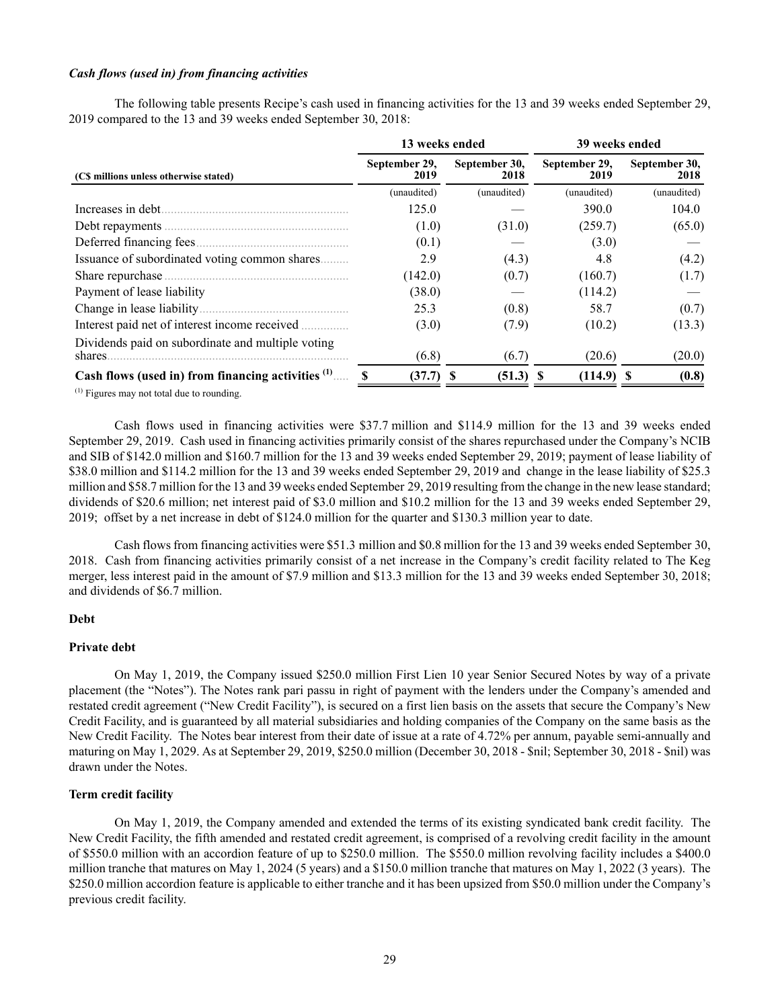### *Cash flows (used in) from financing activities*

The following table presents Recipe's cash used in financing activities for the 13 and 39 weeks ended September 29, 2019 compared to the 13 and 39 weeks ended September 30, 2018:

|                                                              | 13 weeks ended        |                       | 39 weeks ended        |                       |  |  |  |
|--------------------------------------------------------------|-----------------------|-----------------------|-----------------------|-----------------------|--|--|--|
| (C\$ millions unless otherwise stated)                       | September 29,<br>2019 | September 30,<br>2018 | September 29,<br>2019 | September 30,<br>2018 |  |  |  |
|                                                              | (unaudited)           | (unaudited)           | (unaudited)           | (unaudited)           |  |  |  |
| Increases in debt.                                           | 125.0                 |                       | 390.0                 | 104.0                 |  |  |  |
|                                                              | (1.0)                 | (31.0)                | (259.7)               | (65.0)                |  |  |  |
|                                                              | (0.1)                 |                       | (3.0)                 |                       |  |  |  |
| Issuance of subordinated voting common shares                | 2.9                   | (4.3)                 | 4.8                   | (4.2)                 |  |  |  |
|                                                              | (142.0)               | (0.7)                 | (160.7)               | (1.7)                 |  |  |  |
| Payment of lease liability                                   | (38.0)                |                       | (114.2)               |                       |  |  |  |
|                                                              | 25.3                  | (0.8)                 | 58.7                  | (0.7)                 |  |  |  |
| Interest paid net of interest income received                | (3.0)                 | (7.9)                 | (10.2)                | (13.3)                |  |  |  |
| Dividends paid on subordinate and multiple voting<br>shares. | (6.8)                 | (6.7)                 | (20.6)                | (20.0)                |  |  |  |
| Cash flows (used in) from financing activities (1)           | $(37.7)$ \$           | $(51.3)$ \$           | $(114.9)$ \$          | (0.8)                 |  |  |  |

 $<sup>(1)</sup>$  Figures may not total due to rounding.</sup>

Cash flows used in financing activities were \$37.7 million and \$114.9 million for the 13 and 39 weeks ended September 29, 2019. Cash used in financing activities primarily consist of the shares repurchased under the Company's NCIB and SIB of \$142.0 million and \$160.7 million for the 13 and 39 weeks ended September 29, 2019; payment of lease liability of \$38.0 million and \$114.2 million for the 13 and 39 weeks ended September 29, 2019 and change in the lease liability of \$25.3 million and \$58.7 million for the 13 and 39 weeks ended September 29, 2019 resulting from the change in the new lease standard; dividends of \$20.6 million; net interest paid of \$3.0 million and \$10.2 million for the 13 and 39 weeks ended September 29, 2019; offset by a net increase in debt of \$124.0 million for the quarter and \$130.3 million year to date.

Cash flows from financing activities were \$51.3 million and \$0.8 million for the 13 and 39 weeks ended September 30, 2018. Cash from financing activities primarily consist of a net increase in the Company's credit facility related to The Keg merger, less interest paid in the amount of \$7.9 million and \$13.3 million for the 13 and 39 weeks ended September 30, 2018; and dividends of \$6.7 million.

## **Debt**

## **Private debt**

On May 1, 2019, the Company issued \$250.0 million First Lien 10 year Senior Secured Notes by way of a private placement (the "Notes"). The Notes rank pari passu in right of payment with the lenders under the Company's amended and restated credit agreement ("New Credit Facility"), is secured on a first lien basis on the assets that secure the Company's New Credit Facility, and is guaranteed by all material subsidiaries and holding companies of the Company on the same basis as the New Credit Facility. The Notes bear interest from their date of issue at a rate of 4.72% per annum, payable semi-annually and maturing on May 1, 2029. As at September 29, 2019, \$250.0 million (December 30, 2018 - \$nil; September 30, 2018 - \$nil) was drawn under the Notes.

## **Term credit facility**

On May 1, 2019, the Company amended and extended the terms of its existing syndicated bank credit facility. The New Credit Facility, the fifth amended and restated credit agreement, is comprised of a revolving credit facility in the amount of \$550.0 million with an accordion feature of up to \$250.0 million. The \$550.0 million revolving facility includes a \$400.0 million tranche that matures on May 1, 2024 (5 years) and a \$150.0 million tranche that matures on May 1, 2022 (3 years). The \$250.0 million accordion feature is applicable to either tranche and it has been upsized from \$50.0 million under the Company's previous credit facility.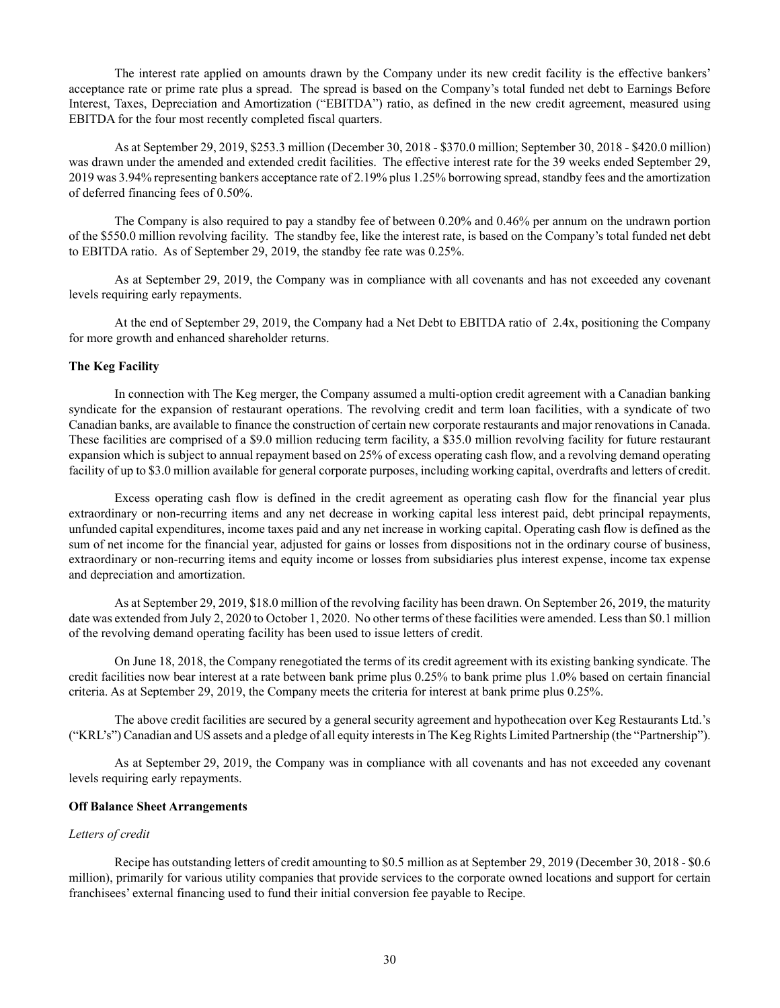The interest rate applied on amounts drawn by the Company under its new credit facility is the effective bankers' acceptance rate or prime rate plus a spread. The spread is based on the Company's total funded net debt to Earnings Before Interest, Taxes, Depreciation and Amortization ("EBITDA") ratio, as defined in the new credit agreement, measured using EBITDA for the four most recently completed fiscal quarters.

As at September 29, 2019, \$253.3 million (December 30, 2018 - \$370.0 million; September 30, 2018 - \$420.0 million) was drawn under the amended and extended credit facilities. The effective interest rate for the 39 weeks ended September 29, 2019 was 3.94% representing bankers acceptance rate of 2.19% plus 1.25% borrowing spread, standby fees and the amortization of deferred financing fees of 0.50%.

The Company is also required to pay a standby fee of between 0.20% and 0.46% per annum on the undrawn portion of the \$550.0 million revolving facility. The standby fee, like the interest rate, is based on the Company's total funded net debt to EBITDA ratio. As of September 29, 2019, the standby fee rate was 0.25%.

As at September 29, 2019, the Company was in compliance with all covenants and has not exceeded any covenant levels requiring early repayments.

At the end of September 29, 2019, the Company had a Net Debt to EBITDA ratio of 2.4x, positioning the Company for more growth and enhanced shareholder returns.

# **The Keg Facility**

In connection with The Keg merger, the Company assumed a multi-option credit agreement with a Canadian banking syndicate for the expansion of restaurant operations. The revolving credit and term loan facilities, with a syndicate of two Canadian banks, are available to finance the construction of certain new corporate restaurants and major renovations in Canada. These facilities are comprised of a \$9.0 million reducing term facility, a \$35.0 million revolving facility for future restaurant expansion which is subject to annual repayment based on 25% of excess operating cash flow, and a revolving demand operating facility of up to \$3.0 million available for general corporate purposes, including working capital, overdrafts and letters of credit.

Excess operating cash flow is defined in the credit agreement as operating cash flow for the financial year plus extraordinary or non-recurring items and any net decrease in working capital less interest paid, debt principal repayments, unfunded capital expenditures, income taxes paid and any net increase in working capital. Operating cash flow is defined as the sum of net income for the financial year, adjusted for gains or losses from dispositions not in the ordinary course of business, extraordinary or non-recurring items and equity income or losses from subsidiaries plus interest expense, income tax expense and depreciation and amortization.

As at September 29, 2019, \$18.0 million of the revolving facility has been drawn. On September 26, 2019, the maturity date was extended from July 2, 2020 to October 1, 2020. No other terms of these facilities were amended. Less than \$0.1 million of the revolving demand operating facility has been used to issue letters of credit.

On June 18, 2018, the Company renegotiated the terms of its credit agreement with its existing banking syndicate. The credit facilities now bear interest at a rate between bank prime plus 0.25% to bank prime plus 1.0% based on certain financial criteria. As at September 29, 2019, the Company meets the criteria for interest at bank prime plus 0.25%.

The above credit facilities are secured by a general security agreement and hypothecation over Keg Restaurants Ltd.'s ("KRL's") Canadian and US assets and a pledge of all equity interests in The Keg Rights Limited Partnership (the "Partnership").

As at September 29, 2019, the Company was in compliance with all covenants and has not exceeded any covenant levels requiring early repayments.

## **Off Balance Sheet Arrangements**

# *Letters of credit*

Recipe has outstanding letters of credit amounting to \$0.5 million as at September 29, 2019 (December 30, 2018 - \$0.6 million), primarily for various utility companies that provide services to the corporate owned locations and support for certain franchisees' external financing used to fund their initial conversion fee payable to Recipe.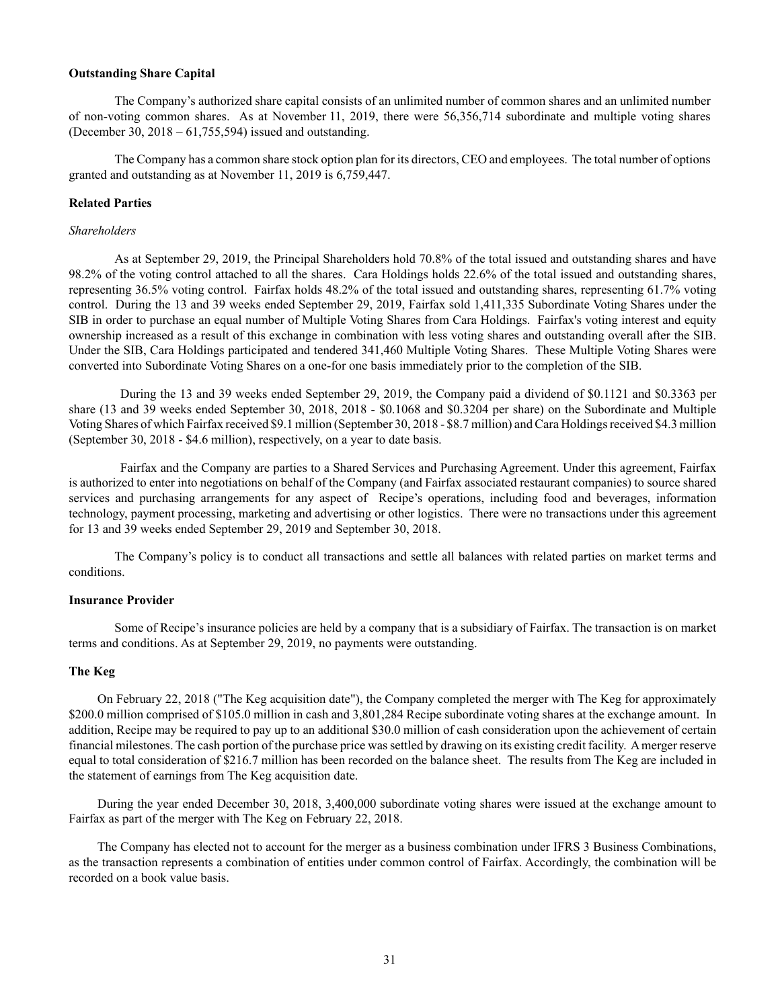### **Outstanding Share Capital**

The Company's authorized share capital consists of an unlimited number of common shares and an unlimited number of non-voting common shares. As at November 11, 2019, there were 56,356,714 subordinate and multiple voting shares (December 30, 2018 – 61,755,594) issued and outstanding.

The Company has a common share stock option plan for its directors, CEO and employees. The total number of options granted and outstanding as at November 11, 2019 is 6,759,447.

## **Related Parties**

#### *Shareholders*

As at September 29, 2019, the Principal Shareholders hold 70.8% of the total issued and outstanding shares and have 98.2% of the voting control attached to all the shares. Cara Holdings holds 22.6% of the total issued and outstanding shares, representing 36.5% voting control. Fairfax holds 48.2% of the total issued and outstanding shares, representing 61.7% voting control. During the 13 and 39 weeks ended September 29, 2019, Fairfax sold 1,411,335 Subordinate Voting Shares under the SIB in order to purchase an equal number of Multiple Voting Shares from Cara Holdings. Fairfax's voting interest and equity ownership increased as a result of this exchange in combination with less voting shares and outstanding overall after the SIB. Under the SIB, Cara Holdings participated and tendered 341,460 Multiple Voting Shares. These Multiple Voting Shares were converted into Subordinate Voting Shares on a one-for one basis immediately prior to the completion of the SIB.

During the 13 and 39 weeks ended September 29, 2019, the Company paid a dividend of \$0.1121 and \$0.3363 per share (13 and 39 weeks ended September 30, 2018, 2018 - \$0.1068 and \$0.3204 per share) on the Subordinate and Multiple Voting Shares of which Fairfax received \$9.1 million (September 30, 2018 - \$8.7 million) and Cara Holdings received \$4.3 million (September 30, 2018 - \$4.6 million), respectively, on a year to date basis.

Fairfax and the Company are parties to a Shared Services and Purchasing Agreement. Under this agreement, Fairfax is authorized to enter into negotiations on behalf of the Company (and Fairfax associated restaurant companies) to source shared services and purchasing arrangements for any aspect of Recipe's operations, including food and beverages, information technology, payment processing, marketing and advertising or other logistics. There were no transactions under this agreement for 13 and 39 weeks ended September 29, 2019 and September 30, 2018.

The Company's policy is to conduct all transactions and settle all balances with related parties on market terms and conditions.

#### **Insurance Provider**

Some of Recipe's insurance policies are held by a company that is a subsidiary of Fairfax. The transaction is on market terms and conditions. As at September 29, 2019, no payments were outstanding.

### **The Keg**

On February 22, 2018 ("The Keg acquisition date"), the Company completed the merger with The Keg for approximately \$200.0 million comprised of \$105.0 million in cash and 3,801,284 Recipe subordinate voting shares at the exchange amount. In addition, Recipe may be required to pay up to an additional \$30.0 million of cash consideration upon the achievement of certain financial milestones. The cash portion of the purchase price was settled by drawing on its existing credit facility. A merger reserve equal to total consideration of \$216.7 million has been recorded on the balance sheet. The results from The Keg are included in the statement of earnings from The Keg acquisition date.

During the year ended December 30, 2018, 3,400,000 subordinate voting shares were issued at the exchange amount to Fairfax as part of the merger with The Keg on February 22, 2018.

The Company has elected not to account for the merger as a business combination under IFRS 3 Business Combinations, as the transaction represents a combination of entities under common control of Fairfax. Accordingly, the combination will be recorded on a book value basis.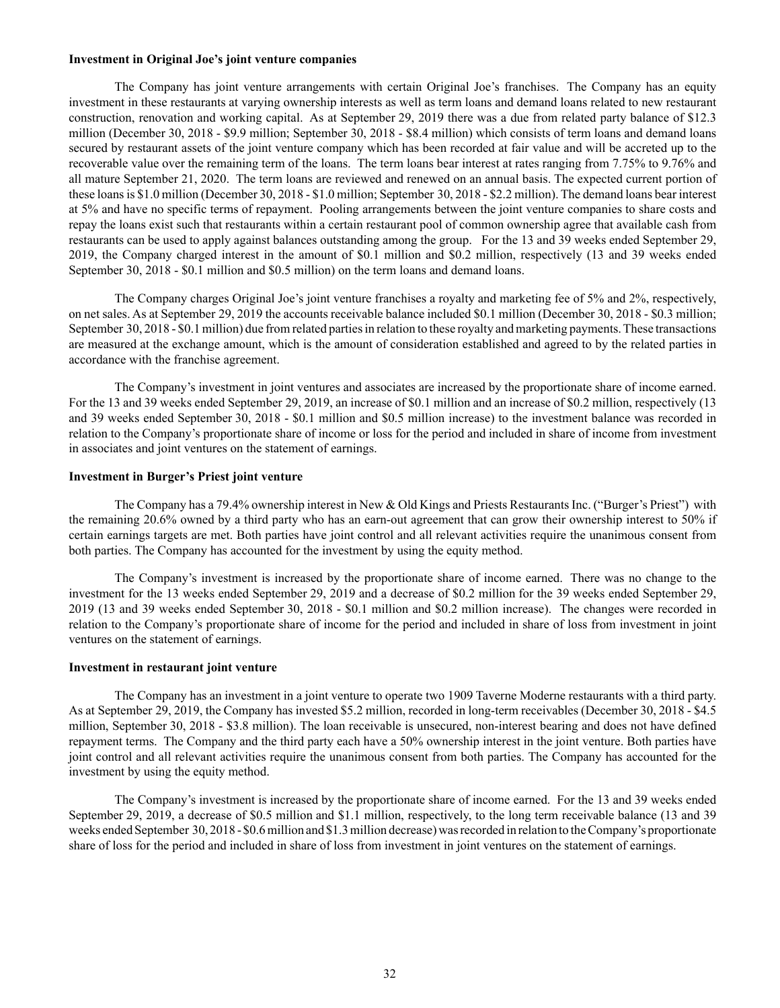#### **Investment in Original Joe's joint venture companies**

The Company has joint venture arrangements with certain Original Joe's franchises. The Company has an equity investment in these restaurants at varying ownership interests as well as term loans and demand loans related to new restaurant construction, renovation and working capital. As at September 29, 2019 there was a due from related party balance of \$12.3 million (December 30, 2018 - \$9.9 million; September 30, 2018 - \$8.4 million) which consists of term loans and demand loans secured by restaurant assets of the joint venture company which has been recorded at fair value and will be accreted up to the recoverable value over the remaining term of the loans. The term loans bear interest at rates ranging from 7.75% to 9.76% and all mature September 21, 2020. The term loans are reviewed and renewed on an annual basis. The expected current portion of these loans is \$1.0 million (December 30, 2018 - \$1.0 million; September 30, 2018 - \$2.2 million). The demand loans bear interest at 5% and have no specific terms of repayment. Pooling arrangements between the joint venture companies to share costs and repay the loans exist such that restaurants within a certain restaurant pool of common ownership agree that available cash from restaurants can be used to apply against balances outstanding among the group. For the 13 and 39 weeks ended September 29, 2019, the Company charged interest in the amount of \$0.1 million and \$0.2 million, respectively (13 and 39 weeks ended September 30, 2018 - \$0.1 million and \$0.5 million) on the term loans and demand loans.

The Company charges Original Joe's joint venture franchises a royalty and marketing fee of 5% and 2%, respectively, on net sales. As at September 29, 2019 the accounts receivable balance included \$0.1 million (December 30, 2018 - \$0.3 million; September 30, 2018 - \$0.1 million) due from related parties in relation to these royalty and marketing payments. These transactions are measured at the exchange amount, which is the amount of consideration established and agreed to by the related parties in accordance with the franchise agreement.

The Company's investment in joint ventures and associates are increased by the proportionate share of income earned. For the 13 and 39 weeks ended September 29, 2019, an increase of \$0.1 million and an increase of \$0.2 million, respectively (13 and 39 weeks ended September 30, 2018 - \$0.1 million and \$0.5 million increase) to the investment balance was recorded in relation to the Company's proportionate share of income or loss for the period and included in share of income from investment in associates and joint ventures on the statement of earnings.

### **Investment in Burger's Priest joint venture**

The Company has a 79.4% ownership interest in New & Old Kings and Priests Restaurants Inc. ("Burger's Priest") with the remaining 20.6% owned by a third party who has an earn-out agreement that can grow their ownership interest to 50% if certain earnings targets are met. Both parties have joint control and all relevant activities require the unanimous consent from both parties. The Company has accounted for the investment by using the equity method.

The Company's investment is increased by the proportionate share of income earned. There was no change to the investment for the 13 weeks ended September 29, 2019 and a decrease of \$0.2 million for the 39 weeks ended September 29, 2019 (13 and 39 weeks ended September 30, 2018 - \$0.1 million and \$0.2 million increase). The changes were recorded in relation to the Company's proportionate share of income for the period and included in share of loss from investment in joint ventures on the statement of earnings.

## **Investment in restaurant joint venture**

The Company has an investment in a joint venture to operate two 1909 Taverne Moderne restaurants with a third party. As at September 29, 2019, the Company has invested \$5.2 million, recorded in long-term receivables (December 30, 2018 - \$4.5 million, September 30, 2018 - \$3.8 million). The loan receivable is unsecured, non-interest bearing and does not have defined repayment terms. The Company and the third party each have a 50% ownership interest in the joint venture. Both parties have joint control and all relevant activities require the unanimous consent from both parties. The Company has accounted for the investment by using the equity method.

The Company's investment is increased by the proportionate share of income earned. For the 13 and 39 weeks ended September 29, 2019, a decrease of \$0.5 million and \$1.1 million, respectively, to the long term receivable balance (13 and 39 weeks ended September 30, 2018 - \$0.6 million and \$1.3 million decrease) was recorded in relation to the Company's proportionate share of loss for the period and included in share of loss from investment in joint ventures on the statement of earnings.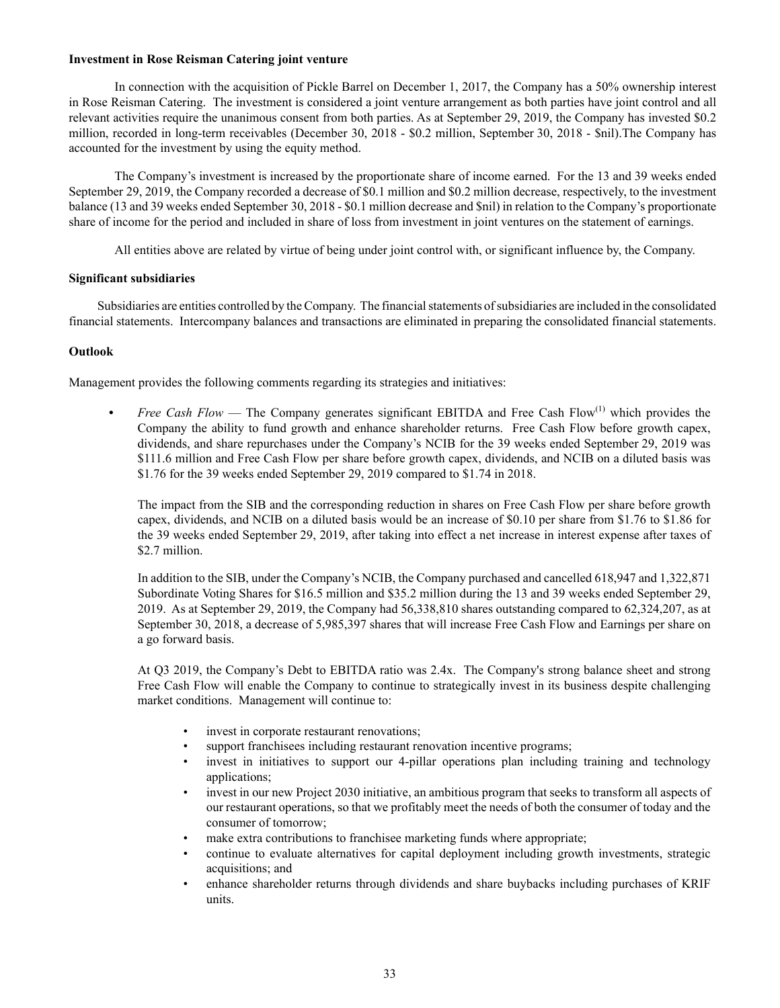# **Investment in Rose Reisman Catering joint venture**

In connection with the acquisition of Pickle Barrel on December 1, 2017, the Company has a 50% ownership interest in Rose Reisman Catering. The investment is considered a joint venture arrangement as both parties have joint control and all relevant activities require the unanimous consent from both parties. As at September 29, 2019, the Company has invested \$0.2 million, recorded in long-term receivables (December 30, 2018 - \$0.2 million, September 30, 2018 - \$nil).The Company has accounted for the investment by using the equity method.

The Company's investment is increased by the proportionate share of income earned. For the 13 and 39 weeks ended September 29, 2019, the Company recorded a decrease of \$0.1 million and \$0.2 million decrease, respectively, to the investment balance (13 and 39 weeks ended September 30, 2018 - \$0.1 million decrease and \$nil) in relation to the Company's proportionate share of income for the period and included in share of loss from investment in joint ventures on the statement of earnings.

All entities above are related by virtue of being under joint control with, or significant influence by, the Company.

# **Significant subsidiaries**

Subsidiaries are entities controlled by the Company. The financial statements of subsidiaries are included in the consolidated financial statements. Intercompany balances and transactions are eliminated in preparing the consolidated financial statements.

# **Outlook**

Management provides the following comments regarding its strategies and initiatives:

*Free Cash Flow* — The Company generates significant EBITDA and Free Cash Flow<sup>(1)</sup> which provides the Company the ability to fund growth and enhance shareholder returns. Free Cash Flow before growth capex, dividends, and share repurchases under the Company's NCIB for the 39 weeks ended September 29, 2019 was \$111.6 million and Free Cash Flow per share before growth capex, dividends, and NCIB on a diluted basis was \$1.76 for the 39 weeks ended September 29, 2019 compared to \$1.74 in 2018.

The impact from the SIB and the corresponding reduction in shares on Free Cash Flow per share before growth capex, dividends, and NCIB on a diluted basis would be an increase of \$0.10 per share from \$1.76 to \$1.86 for the 39 weeks ended September 29, 2019, after taking into effect a net increase in interest expense after taxes of \$2.7 million.

In addition to the SIB, under the Company's NCIB, the Company purchased and cancelled 618,947 and 1,322,871 Subordinate Voting Shares for \$16.5 million and \$35.2 million during the 13 and 39 weeks ended September 29, 2019. As at September 29, 2019, the Company had 56,338,810 shares outstanding compared to 62,324,207, as at September 30, 2018, a decrease of 5,985,397 shares that will increase Free Cash Flow and Earnings per share on a go forward basis.

At Q3 2019, the Company's Debt to EBITDA ratio was 2.4x. The Company's strong balance sheet and strong Free Cash Flow will enable the Company to continue to strategically invest in its business despite challenging market conditions. Management will continue to:

- invest in corporate restaurant renovations;
- support franchisees including restaurant renovation incentive programs;
- invest in initiatives to support our 4-pillar operations plan including training and technology applications;
- invest in our new Project 2030 initiative, an ambitious program that seeks to transform all aspects of our restaurant operations, so that we profitably meet the needs of both the consumer of today and the consumer of tomorrow;
- make extra contributions to franchisee marketing funds where appropriate;
- continue to evaluate alternatives for capital deployment including growth investments, strategic acquisitions; and
- enhance shareholder returns through dividends and share buybacks including purchases of KRIF units.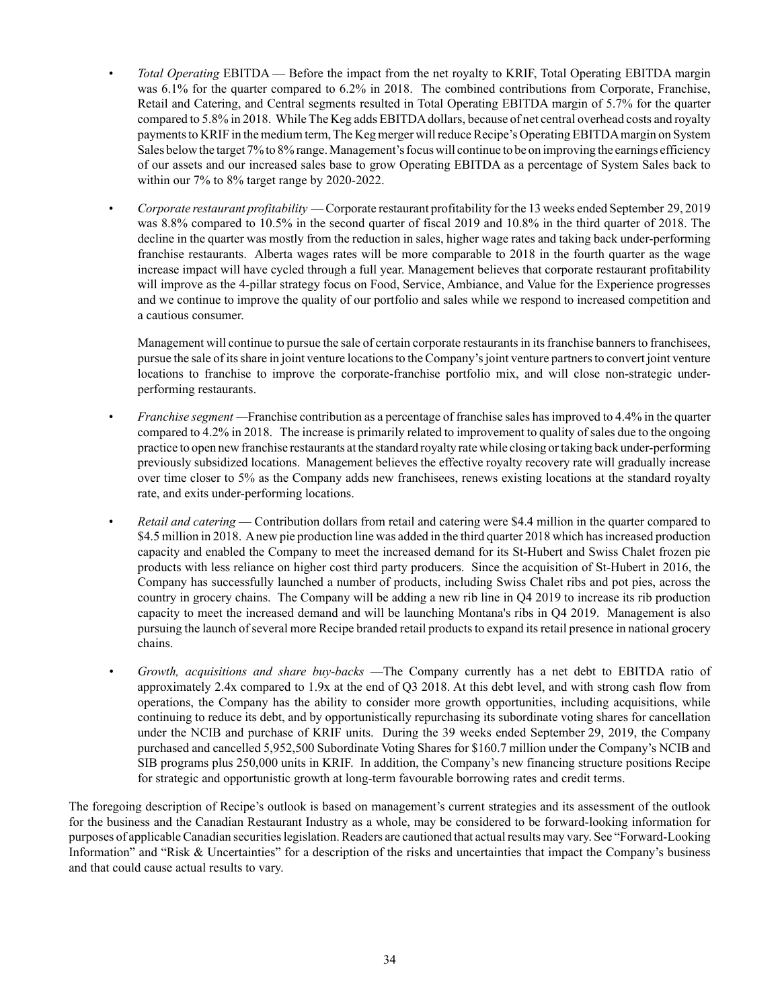- *Total Operating* EBITDA Before the impact from the net royalty to KRIF, Total Operating EBITDA margin was 6.1% for the quarter compared to 6.2% in 2018. The combined contributions from Corporate, Franchise, Retail and Catering, and Central segments resulted in Total Operating EBITDA margin of 5.7% for the quarter compared to 5.8% in 2018. While The Keg adds EBITDA dollars, because of net central overhead costs and royalty payments to KRIF in the medium term, The Keg merger will reduce Recipe's Operating EBITDA margin on System Sales below the target 7% to 8% range. Management's focus will continue to be on improving the earnings efficiency of our assets and our increased sales base to grow Operating EBITDA as a percentage of System Sales back to within our 7% to 8% target range by 2020-2022.
- *Corporate restaurant profitability* Corporate restaurant profitability for the 13 weeks ended September 29, 2019 was 8.8% compared to 10.5% in the second quarter of fiscal 2019 and 10.8% in the third quarter of 2018. The decline in the quarter was mostly from the reduction in sales, higher wage rates and taking back under-performing franchise restaurants. Alberta wages rates will be more comparable to 2018 in the fourth quarter as the wage increase impact will have cycled through a full year. Management believes that corporate restaurant profitability will improve as the 4-pillar strategy focus on Food, Service, Ambiance, and Value for the Experience progresses and we continue to improve the quality of our portfolio and sales while we respond to increased competition and a cautious consumer.

Management will continue to pursue the sale of certain corporate restaurants in its franchise banners to franchisees, pursue the sale of its share in joint venture locations to the Company's joint venture partners to convert joint venture locations to franchise to improve the corporate-franchise portfolio mix, and will close non-strategic underperforming restaurants.

- *Franchise segment —*Franchise contribution as a percentage of franchise sales has improved to 4.4% in the quarter compared to 4.2% in 2018. The increase is primarily related to improvement to quality of sales due to the ongoing practice to open new franchise restaurants at the standard royalty rate while closing or taking back under-performing previously subsidized locations. Management believes the effective royalty recovery rate will gradually increase over time closer to 5% as the Company adds new franchisees, renews existing locations at the standard royalty rate, and exits under-performing locations.
- *Retail and catering*  Contribution dollars from retail and catering were \$4.4 million in the quarter compared to \$4.5 million in 2018. A new pie production line was added in the third quarter 2018 which has increased production capacity and enabled the Company to meet the increased demand for its St-Hubert and Swiss Chalet frozen pie products with less reliance on higher cost third party producers. Since the acquisition of St-Hubert in 2016, the Company has successfully launched a number of products, including Swiss Chalet ribs and pot pies, across the country in grocery chains. The Company will be adding a new rib line in Q4 2019 to increase its rib production capacity to meet the increased demand and will be launching Montana's ribs in Q4 2019. Management is also pursuing the launch of several more Recipe branded retail products to expand its retail presence in national grocery chains.
- *• Growth, acquisitions and share buy-backs* —The Company currently has a net debt to EBITDA ratio of approximately 2.4x compared to 1.9x at the end of Q3 2018. At this debt level, and with strong cash flow from operations, the Company has the ability to consider more growth opportunities, including acquisitions, while continuing to reduce its debt, and by opportunistically repurchasing its subordinate voting shares for cancellation under the NCIB and purchase of KRIF units. During the 39 weeks ended September 29, 2019, the Company purchased and cancelled 5,952,500 Subordinate Voting Shares for \$160.7 million under the Company's NCIB and SIB programs plus 250,000 units in KRIF. In addition, the Company's new financing structure positions Recipe for strategic and opportunistic growth at long-term favourable borrowing rates and credit terms.

The foregoing description of Recipe's outlook is based on management's current strategies and its assessment of the outlook for the business and the Canadian Restaurant Industry as a whole, may be considered to be forward-looking information for purposes of applicable Canadian securities legislation. Readers are cautioned that actual results may vary. See "Forward‑Looking Information" and "Risk & Uncertainties" for a description of the risks and uncertainties that impact the Company's business and that could cause actual results to vary.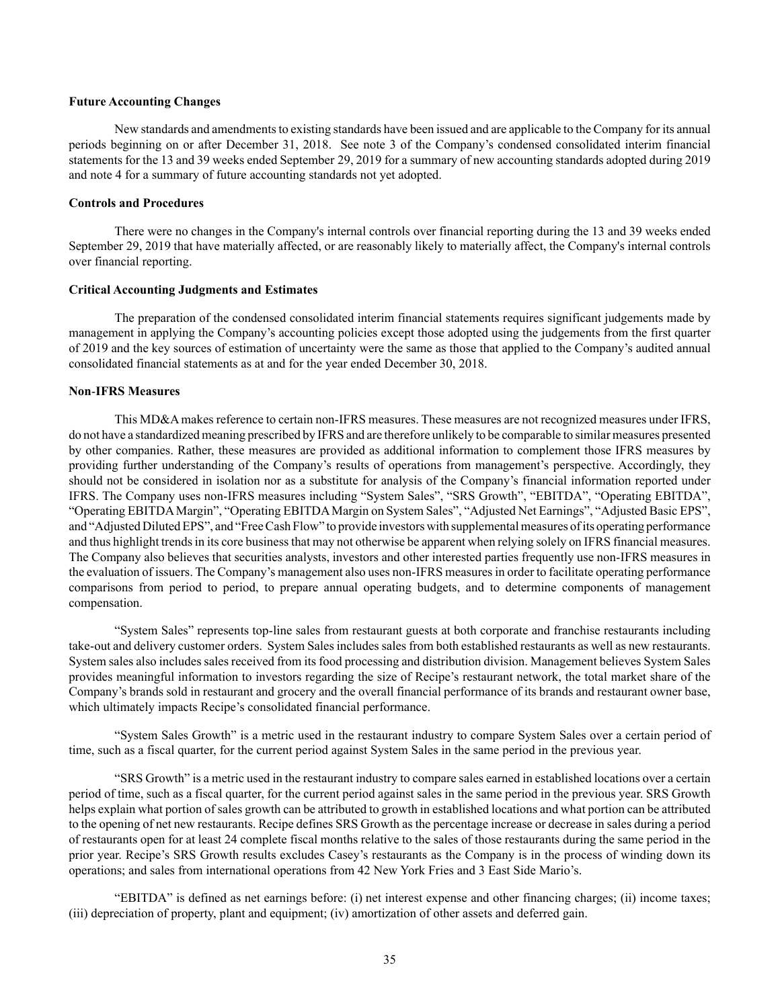### **Future Accounting Changes**

New standards and amendments to existing standards have been issued and are applicable to the Company for its annual periods beginning on or after December 31, 2018. See note 3 of the Company's condensed consolidated interim financial statements for the 13 and 39 weeks ended September 29, 2019 for a summary of new accounting standards adopted during 2019 and note 4 for a summary of future accounting standards not yet adopted.

# **Controls and Procedures**

There were no changes in the Company's internal controls over financial reporting during the 13 and 39 weeks ended September 29, 2019 that have materially affected, or are reasonably likely to materially affect, the Company's internal controls over financial reporting.

### **Critical Accounting Judgments and Estimates**

The preparation of the condensed consolidated interim financial statements requires significant judgements made by management in applying the Company's accounting policies except those adopted using the judgements from the first quarter of 2019 and the key sources of estimation of uncertainty were the same as those that applied to the Company's audited annual consolidated financial statements as at and for the year ended December 30, 2018.

# **Non**‑**IFRS Measures**

This MD&A makes reference to certain non-IFRS measures. These measures are not recognized measures under IFRS, do not have a standardized meaning prescribed by IFRS and are therefore unlikely to be comparable to similar measures presented by other companies. Rather, these measures are provided as additional information to complement those IFRS measures by providing further understanding of the Company's results of operations from management's perspective. Accordingly, they should not be considered in isolation nor as a substitute for analysis of the Company's financial information reported under IFRS. The Company uses non‑IFRS measures including "System Sales", "SRS Growth", "EBITDA", "Operating EBITDA", "Operating EBITDA Margin", "Operating EBITDA Margin on System Sales", "Adjusted Net Earnings", "Adjusted Basic EPS", and "Adjusted Diluted EPS", and "Free Cash Flow" to provide investors with supplemental measures of its operating performance and thus highlight trends in its core business that may not otherwise be apparent when relying solely on IFRS financial measures. The Company also believes that securities analysts, investors and other interested parties frequently use non-IFRS measures in the evaluation of issuers. The Company's management also uses non-IFRS measures in order to facilitate operating performance comparisons from period to period, to prepare annual operating budgets, and to determine components of management compensation.

"System Sales" represents top‑line sales from restaurant guests at both corporate and franchise restaurants including take‑out and delivery customer orders. System Sales includes sales from both established restaurants as well as new restaurants. System sales also includes sales received from its food processing and distribution division. Management believes System Sales provides meaningful information to investors regarding the size of Recipe's restaurant network, the total market share of the Company's brands sold in restaurant and grocery and the overall financial performance of its brands and restaurant owner base, which ultimately impacts Recipe's consolidated financial performance.

"System Sales Growth" is a metric used in the restaurant industry to compare System Sales over a certain period of time, such as a fiscal quarter, for the current period against System Sales in the same period in the previous year.

"SRS Growth" is a metric used in the restaurant industry to compare sales earned in established locations over a certain period of time, such as a fiscal quarter, for the current period against sales in the same period in the previous year. SRS Growth helps explain what portion of sales growth can be attributed to growth in established locations and what portion can be attributed to the opening of net new restaurants. Recipe defines SRS Growth as the percentage increase or decrease in sales during a period of restaurants open for at least 24 complete fiscal months relative to the sales of those restaurants during the same period in the prior year. Recipe's SRS Growth results excludes Casey's restaurants as the Company is in the process of winding down its operations; and sales from international operations from 42 New York Fries and 3 East Side Mario's.

"EBITDA" is defined as net earnings before: (i) net interest expense and other financing charges; (ii) income taxes; (iii) depreciation of property, plant and equipment; (iv) amortization of other assets and deferred gain.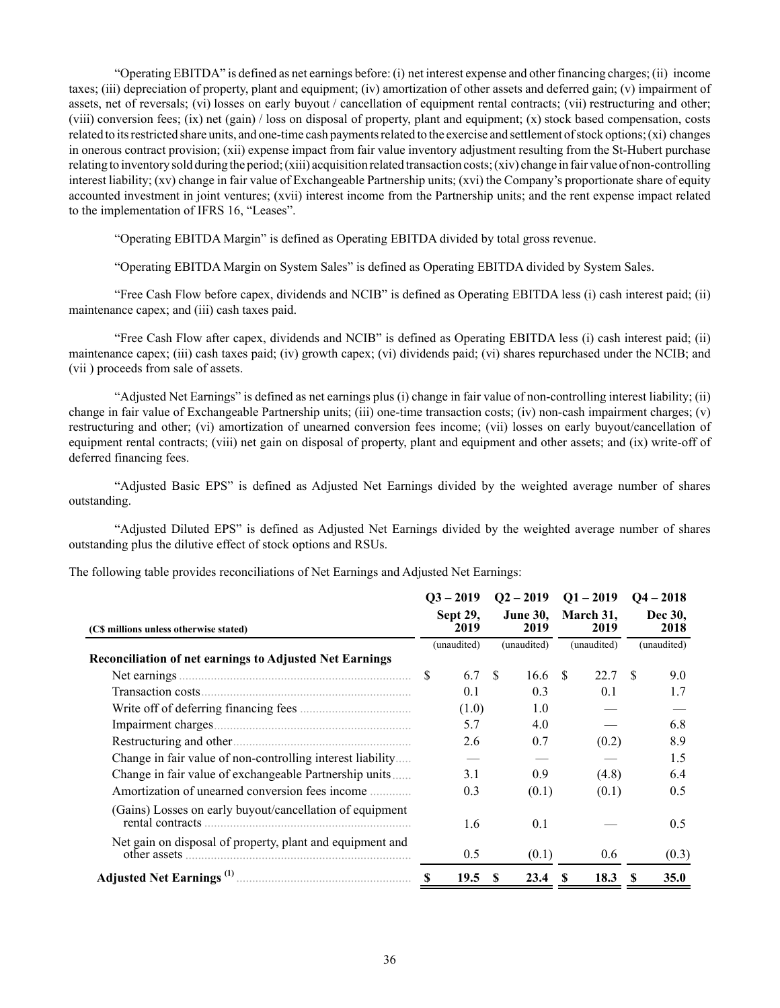"Operating EBITDA" is defined as net earnings before: (i) net interest expense and other financing charges; (ii) income taxes; (iii) depreciation of property, plant and equipment; (iv) amortization of other assets and deferred gain; (v) impairment of assets, net of reversals; (vi) losses on early buyout / cancellation of equipment rental contracts; (vii) restructuring and other; (viii) conversion fees; (ix) net (gain) / loss on disposal of property, plant and equipment; (x) stock based compensation, costs related to its restricted share units, and one-time cash payments related to the exercise and settlement of stock options; (xi) changes in onerous contract provision; (xii) expense impact from fair value inventory adjustment resulting from the St-Hubert purchase relating to inventory sold during the period; (xiii) acquisition related transaction costs; (xiv) change in fair value of non-controlling interest liability; (xv) change in fair value of Exchangeable Partnership units; (xvi) the Company's proportionate share of equity accounted investment in joint ventures; (xvii) interest income from the Partnership units; and the rent expense impact related to the implementation of IFRS 16, "Leases".

"Operating EBITDA Margin" is defined as Operating EBITDA divided by total gross revenue.

"Operating EBITDA Margin on System Sales" is defined as Operating EBITDA divided by System Sales.

"Free Cash Flow before capex, dividends and NCIB" is defined as Operating EBITDA less (i) cash interest paid; (ii) maintenance capex; and (iii) cash taxes paid.

"Free Cash Flow after capex, dividends and NCIB" is defined as Operating EBITDA less (i) cash interest paid; (ii) maintenance capex; (iii) cash taxes paid; (iv) growth capex; (vi) dividends paid; (vi) shares repurchased under the NCIB; and (vii ) proceeds from sale of assets.

"Adjusted Net Earnings" is defined as net earnings plus (i) change in fair value of non-controlling interest liability; (ii) change in fair value of Exchangeable Partnership units; (iii) one-time transaction costs; (iv) non-cash impairment charges; (v) restructuring and other; (vi) amortization of unearned conversion fees income; (vii) losses on early buyout/cancellation of equipment rental contracts; (viii) net gain on disposal of property, plant and equipment and other assets; and (ix) write-off of deferred financing fees.

"Adjusted Basic EPS" is defined as Adjusted Net Earnings divided by the weighted average number of shares outstanding.

"Adjusted Diluted EPS" is defined as Adjusted Net Earnings divided by the weighted average number of shares outstanding plus the dilutive effect of stock options and RSUs.

| The following table provides reconciliations of Net Earnings and Adjusted Net Earnings: |  |
|-----------------------------------------------------------------------------------------|--|
|                                                                                         |  |

|                                                                              | $Q3 - 2019$                                 |    | $Q2 - 2019$       | $Q1 - 2019$     | $Q4 - 2018$      |  |
|------------------------------------------------------------------------------|---------------------------------------------|----|-------------------|-----------------|------------------|--|
| (C\$ millions unless otherwise stated)                                       | Sept 29,<br><b>June 30,</b><br>2019<br>2019 |    | March 31,<br>2019 | Dec 30,<br>2018 |                  |  |
|                                                                              | (unaudited)                                 |    | (unaudited)       | (unaudited)     | (unaudited)      |  |
| <b>Reconciliation of net earnings to Adjusted Net Earnings</b>               |                                             |    |                   |                 |                  |  |
| Net earnings                                                                 | \$<br>6.7                                   | -S | 16.6              | 22.7<br>S.      | S.<br>9.0        |  |
| Transaction costs                                                            | 0.1                                         |    | 0.3               | 0.1             | 1.7              |  |
|                                                                              | (1.0)                                       |    | 1.0               |                 |                  |  |
| Impairment charges                                                           | 5.7                                         |    | 4.0               |                 | 6.8              |  |
|                                                                              | 2.6                                         |    | 0.7               | (0.2)           | 8.9              |  |
| Change in fair value of non-controlling interest liability                   |                                             |    |                   |                 | 1.5              |  |
| Change in fair value of exchangeable Partnership units                       | 3.1                                         |    | 0.9               | (4.8)           | 6.4              |  |
| Amortization of unearned conversion fees income                              | 0.3                                         |    | (0.1)             | (0.1)           | 0.5              |  |
| (Gains) Losses on early buyout/cancellation of equipment<br>rental contracts | 1.6                                         |    | 0.1               |                 | 0.5              |  |
| Net gain on disposal of property, plant and equipment and                    | 0.5                                         |    | (0.1)             | 0.6             | (0.3)            |  |
|                                                                              | 19.5<br><b>S</b>                            | S  | 23.4              | 18.3            | <b>35.0</b><br>S |  |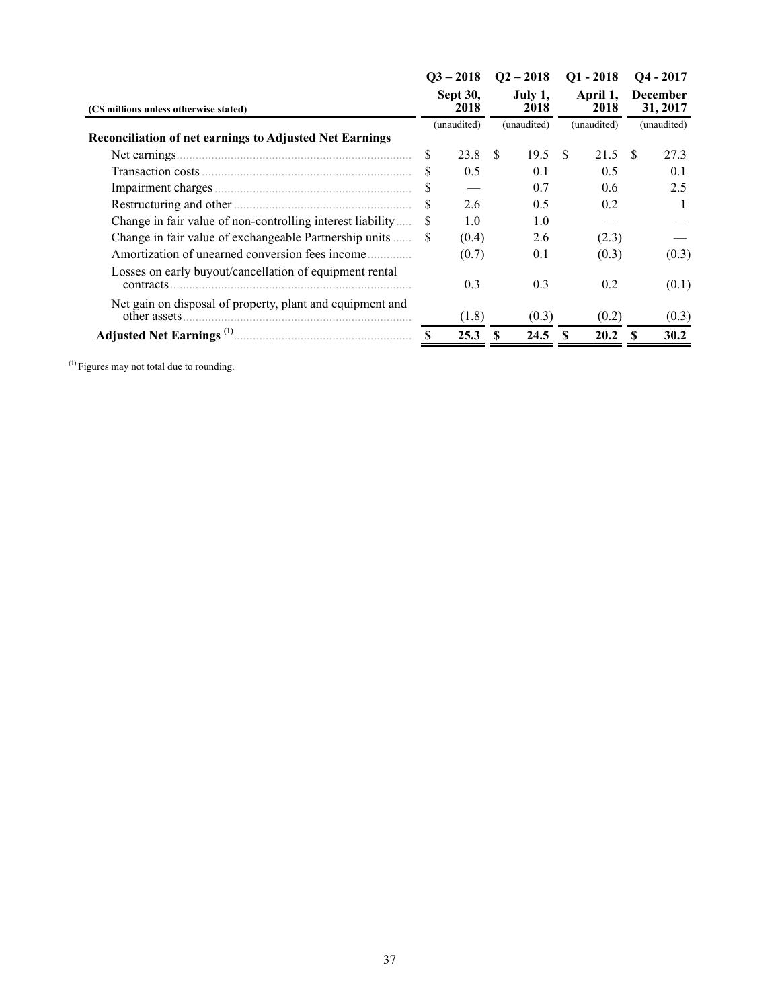|                                                                            |                                 | $Q3 - 2018$ |                                | $Q2 - 2018$ |                                 | $Q1 - 2018$ | $Q4 - 2017$                                |       |  |
|----------------------------------------------------------------------------|---------------------------------|-------------|--------------------------------|-------------|---------------------------------|-------------|--------------------------------------------|-------|--|
| (C\$ millions unless otherwise stated)                                     | Sept 30,<br>2018<br>(unaudited) |             | July 1,<br>2018<br>(unaudited) |             | April 1,<br>2018<br>(unaudited) |             | <b>December</b><br>31, 2017<br>(unaudited) |       |  |
|                                                                            |                                 |             |                                |             |                                 |             |                                            |       |  |
| <b>Reconciliation of net earnings to Adjusted Net Earnings</b>             |                                 |             |                                |             |                                 |             |                                            |       |  |
| Net earnings.                                                              | \$                              | 23.8        | -S                             | 19.5        | S.                              | 21.5        | -S                                         | 27.3  |  |
|                                                                            | S                               | 0.5         |                                | 0.1         |                                 | 0.5         |                                            | 0.1   |  |
|                                                                            | S                               |             |                                | 0.7         |                                 | 0.6         |                                            | 2.5   |  |
|                                                                            | \$.                             | 2.6         |                                | 0.5         |                                 | 0.2         |                                            |       |  |
| Change in fair value of non-controlling interest liability                 | S                               | 1.0         |                                | 1.0         |                                 |             |                                            |       |  |
| Change in fair value of exchangeable Partnership units                     | -S                              | (0.4)       |                                | 2.6         |                                 | (2.3)       |                                            |       |  |
| Amortization of unearned conversion fees income                            |                                 | (0.7)       |                                | 0.1         |                                 | (0.3)       |                                            | (0.3) |  |
| Losses on early buyout/cancellation of equipment rental<br>contracts       |                                 | 0.3         |                                | 0.3         |                                 | 0.2         |                                            | (0.1) |  |
| Net gain on disposal of property, plant and equipment and<br>other assets. |                                 | (1.8)       |                                | (0.3)       |                                 | (0.2)       |                                            | (0.3) |  |
|                                                                            | \$.                             | 25.3        |                                | 24.5        |                                 | 20.2        |                                            | 30.2  |  |

(1) Figures may not total due to rounding.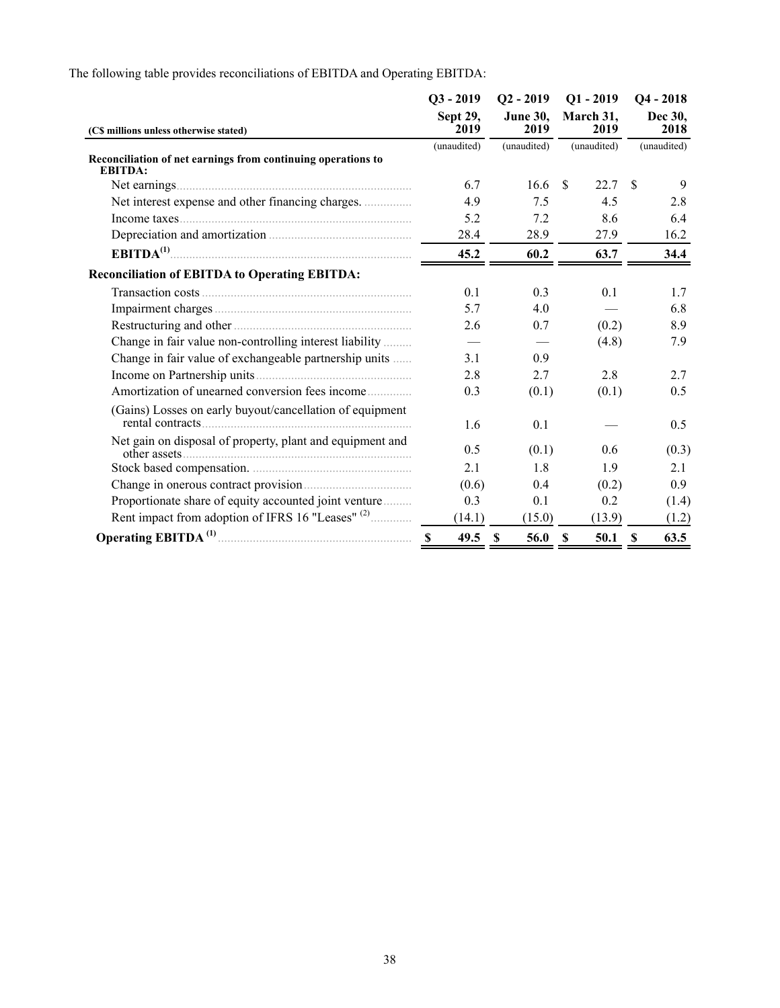|                                                                                | $Q3 - 2019$      | $Q2 - 2019$             | $Q1 - 2019$       | $Q4 - 2018$         |  |  |
|--------------------------------------------------------------------------------|------------------|-------------------------|-------------------|---------------------|--|--|
| (C\$ millions unless otherwise stated)                                         | Sept 29,<br>2019 | <b>June 30,</b><br>2019 | March 31,<br>2019 | Dec 30,<br>2018     |  |  |
| Reconciliation of net earnings from continuing operations to<br><b>EBITDA:</b> | (unaudited)      | (unaudited)             | (unaudited)       | (unaudited)         |  |  |
|                                                                                | 6.7              | 16.6                    | 22.7<br>-S        | 9<br>-S             |  |  |
| Net interest expense and other financing charges.                              | 4.9              | 7.5                     | 4.5               | 2.8                 |  |  |
|                                                                                | 5.2              | 7.2                     | 8.6               | 6.4                 |  |  |
|                                                                                | 28.4             | 28.9                    | 27.9              | 16.2                |  |  |
| EBITDA <sup>(1)</sup>                                                          | 45.2             | 60.2                    | 63.7              | 34.4                |  |  |
| <b>Reconciliation of EBITDA to Operating EBITDA:</b>                           |                  |                         |                   |                     |  |  |
|                                                                                | 0.1              | 0.3                     | 0.1               | 1.7                 |  |  |
|                                                                                | 5.7              | 4.0                     |                   | 6.8                 |  |  |
|                                                                                | 2.6              | 0.7                     | (0.2)             | 8.9                 |  |  |
| Change in fair value non-controlling interest liability                        |                  |                         | (4.8)             | 7.9                 |  |  |
| Change in fair value of exchangeable partnership units                         | 3.1              | 0.9                     |                   |                     |  |  |
|                                                                                | 2.8              | 2.7                     | 2.8               | 2.7                 |  |  |
| Amortization of unearned conversion fees income                                | 0.3              | (0.1)                   | (0.1)             | 0.5                 |  |  |
| (Gains) Losses on early buyout/cancellation of equipment                       | 1.6              | 0.1                     |                   | 0.5                 |  |  |
| Net gain on disposal of property, plant and equipment and                      | 0.5              | (0.1)                   | 0.6               | (0.3)               |  |  |
|                                                                                | 2.1              | 1.8                     | 1.9               | 2.1                 |  |  |
|                                                                                | (0.6)            | 0.4                     | (0.2)             | 0.9                 |  |  |
| Proportionate share of equity accounted joint venture                          | 0.3              | 0.1                     | 0.2               | (1.4)               |  |  |
| Rent impact from adoption of IFRS 16 "Leases" (2)                              | (14.1)           | (15.0)                  | (13.9)            | (1.2)               |  |  |
|                                                                                | 49.5 \$          | 56.0                    | <b>S</b><br>50.1  | $\mathbf S$<br>63.5 |  |  |

The following table provides reconciliations of EBITDA and Operating EBITDA: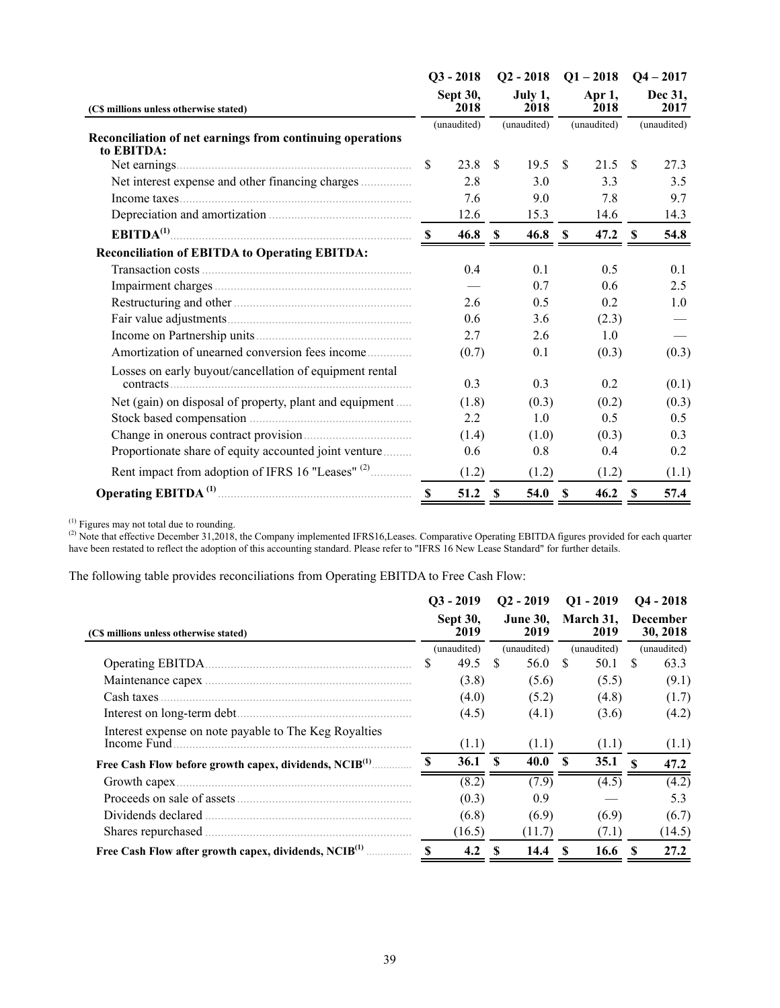|                                                           |                  | $O3 - 2018$ |                 | $Q2 - 2018$    | $Q1 - 2018$   |       | $Q4 - 2017$     |       |  |  |  |  |  |  |  |  |  |  |  |  |  |  |  |  |  |  |  |  |  |  |             |  |  |  |  |  |  |  |  |  |  |             |  |             |
|-----------------------------------------------------------|------------------|-------------|-----------------|----------------|---------------|-------|-----------------|-------|--|--|--|--|--|--|--|--|--|--|--|--|--|--|--|--|--|--|--|--|--|--|-------------|--|--|--|--|--|--|--|--|--|--|-------------|--|-------------|
| (C\$ millions unless otherwise stated)                    | Sept 30,<br>2018 |             | July 1,<br>2018 | Apr 1,<br>2018 |               |       | Dec 31,<br>2017 |       |  |  |  |  |  |  |  |  |  |  |  |  |  |  |  |  |  |  |  |  |  |  |             |  |  |  |  |  |  |  |  |  |  |             |  |             |
| Reconciliation of net earnings from continuing operations | (unaudited)      |             |                 |                |               |       |                 |       |  |  |  |  |  |  |  |  |  |  |  |  |  |  |  |  |  |  |  |  |  |  | (unaudited) |  |  |  |  |  |  |  |  |  |  | (unaudited) |  | (unaudited) |
| to EBITDA:                                                |                  |             |                 |                |               |       |                 |       |  |  |  |  |  |  |  |  |  |  |  |  |  |  |  |  |  |  |  |  |  |  |             |  |  |  |  |  |  |  |  |  |  |             |  |             |
|                                                           | \$               | 23.8        | <sup>\$</sup>   | 19.5           | <sup>\$</sup> | 21.5  | <sup>\$</sup>   | 27.3  |  |  |  |  |  |  |  |  |  |  |  |  |  |  |  |  |  |  |  |  |  |  |             |  |  |  |  |  |  |  |  |  |  |             |  |             |
| Net interest expense and other financing charges          |                  | 2.8         |                 | 3.0            |               | 3.3   |                 | 3.5   |  |  |  |  |  |  |  |  |  |  |  |  |  |  |  |  |  |  |  |  |  |  |             |  |  |  |  |  |  |  |  |  |  |             |  |             |
|                                                           |                  | 7.6         |                 | 9.0            |               | 7.8   |                 | 9.7   |  |  |  |  |  |  |  |  |  |  |  |  |  |  |  |  |  |  |  |  |  |  |             |  |  |  |  |  |  |  |  |  |  |             |  |             |
|                                                           |                  | 12.6        |                 | 15.3           |               | 14.6  |                 | 14.3  |  |  |  |  |  |  |  |  |  |  |  |  |  |  |  |  |  |  |  |  |  |  |             |  |  |  |  |  |  |  |  |  |  |             |  |             |
|                                                           |                  | 46.8 S      |                 | 46.8           | <sup>S</sup>  | 47.2  | <sup>\$</sup>   | 54.8  |  |  |  |  |  |  |  |  |  |  |  |  |  |  |  |  |  |  |  |  |  |  |             |  |  |  |  |  |  |  |  |  |  |             |  |             |
| <b>Reconciliation of EBITDA to Operating EBITDA:</b>      |                  |             |                 |                |               |       |                 |       |  |  |  |  |  |  |  |  |  |  |  |  |  |  |  |  |  |  |  |  |  |  |             |  |  |  |  |  |  |  |  |  |  |             |  |             |
|                                                           |                  | 0.4         |                 | 0.1            |               | 0.5   |                 | 0.1   |  |  |  |  |  |  |  |  |  |  |  |  |  |  |  |  |  |  |  |  |  |  |             |  |  |  |  |  |  |  |  |  |  |             |  |             |
|                                                           |                  |             |                 | 0.7            |               | 0.6   |                 | 2.5   |  |  |  |  |  |  |  |  |  |  |  |  |  |  |  |  |  |  |  |  |  |  |             |  |  |  |  |  |  |  |  |  |  |             |  |             |
|                                                           |                  | 2.6         |                 | 0.5            |               | 0.2   |                 | 1.0   |  |  |  |  |  |  |  |  |  |  |  |  |  |  |  |  |  |  |  |  |  |  |             |  |  |  |  |  |  |  |  |  |  |             |  |             |
|                                                           |                  | 0.6         |                 | 3.6            |               | (2.3) |                 |       |  |  |  |  |  |  |  |  |  |  |  |  |  |  |  |  |  |  |  |  |  |  |             |  |  |  |  |  |  |  |  |  |  |             |  |             |
|                                                           |                  | 2.7         |                 | 2.6            |               | 1.0   |                 |       |  |  |  |  |  |  |  |  |  |  |  |  |  |  |  |  |  |  |  |  |  |  |             |  |  |  |  |  |  |  |  |  |  |             |  |             |
| Amortization of unearned conversion fees income           |                  | (0.7)       |                 | 0.1            |               | (0.3) |                 | (0.3) |  |  |  |  |  |  |  |  |  |  |  |  |  |  |  |  |  |  |  |  |  |  |             |  |  |  |  |  |  |  |  |  |  |             |  |             |
| Losses on early buyout/cancellation of equipment rental   |                  | 0.3         |                 | 0.3            |               | 0.2   |                 | (0.1) |  |  |  |  |  |  |  |  |  |  |  |  |  |  |  |  |  |  |  |  |  |  |             |  |  |  |  |  |  |  |  |  |  |             |  |             |
| Net (gain) on disposal of property, plant and equipment   |                  | (1.8)       |                 | (0.3)          |               | (0.2) |                 | (0.3) |  |  |  |  |  |  |  |  |  |  |  |  |  |  |  |  |  |  |  |  |  |  |             |  |  |  |  |  |  |  |  |  |  |             |  |             |
|                                                           |                  | 2.2         |                 | 1.0            |               | 0.5   |                 | 0.5   |  |  |  |  |  |  |  |  |  |  |  |  |  |  |  |  |  |  |  |  |  |  |             |  |  |  |  |  |  |  |  |  |  |             |  |             |
|                                                           |                  | (1.4)       |                 | (1.0)          |               | (0.3) |                 | 0.3   |  |  |  |  |  |  |  |  |  |  |  |  |  |  |  |  |  |  |  |  |  |  |             |  |  |  |  |  |  |  |  |  |  |             |  |             |
| Proportionate share of equity accounted joint venture     |                  | 0.6         |                 | 0.8            |               | 0.4   |                 | 0.2   |  |  |  |  |  |  |  |  |  |  |  |  |  |  |  |  |  |  |  |  |  |  |             |  |  |  |  |  |  |  |  |  |  |             |  |             |
|                                                           |                  |             |                 |                |               |       |                 |       |  |  |  |  |  |  |  |  |  |  |  |  |  |  |  |  |  |  |  |  |  |  |             |  |  |  |  |  |  |  |  |  |  |             |  |             |
| Rent impact from adoption of IFRS 16 "Leases" (2)         |                  | (1.2)       |                 | (1.2)          |               | (1.2) |                 | (1.1) |  |  |  |  |  |  |  |  |  |  |  |  |  |  |  |  |  |  |  |  |  |  |             |  |  |  |  |  |  |  |  |  |  |             |  |             |
|                                                           |                  | 51.2        | $\mathbf{s}$    | 54.0           | <b>S</b>      | 46.2  | -S              | 57.4  |  |  |  |  |  |  |  |  |  |  |  |  |  |  |  |  |  |  |  |  |  |  |             |  |  |  |  |  |  |  |  |  |  |             |  |             |

 $<sup>(1)</sup>$  Figures may not total due to rounding.</sup>

(2) Note that effective December 31,2018, the Company implemented IFRS16, Leases. Comparative Operating EBITDA figures provided for each quarter have been restated to reflect the adoption of this accounting standard. Please refer to "IFRS 16 New Lease Standard" for further details.

The following table provides reconciliations from Operating EBITDA to Free Cash Flow:

|                                                                      |     | $O3 - 2019$                            |              | $O2 - 2019$                            | $O1 - 2019$  |                   | $Q4 - 2018$ |                             |
|----------------------------------------------------------------------|-----|----------------------------------------|--------------|----------------------------------------|--------------|-------------------|-------------|-----------------------------|
| (C\$ millions unless otherwise stated)                               |     | <b>Sept 30,</b><br>2019<br>(unaudited) |              | <b>June 30,</b><br>2019<br>(unaudited) |              | March 31,<br>2019 |             | <b>December</b><br>30, 2018 |
|                                                                      |     |                                        |              |                                        |              | (unaudited)       | (unaudited) |                             |
|                                                                      | S   | 49.5                                   | -S           | 56.0                                   | -S           | 50.1              | \$.         | 63.3                        |
|                                                                      |     | (3.8)                                  |              | (5.6)                                  |              | (5.5)             |             | (9.1)                       |
| Cash taxes                                                           |     | (4.0)                                  |              | (5.2)                                  |              | (4.8)             |             | (1.7)                       |
|                                                                      |     | (4.5)                                  |              | (4.1)                                  |              | (3.6)             |             | (4.2)                       |
| Interest expense on note payable to The Keg Royalties<br>Income Fund |     | (1.1)                                  |              | (1.1)                                  |              | (1.1)             |             | (1.1)                       |
| Free Cash Flow before growth capex, dividends, NCIB <sup>(1)</sup>   | \$. | 36.1                                   | $\mathbf{s}$ | 40.0                                   | $\mathbf{s}$ | 35.1              | - \$        | 47.2                        |
|                                                                      |     | (8.2)                                  |              | (7.9)                                  |              | (4.5)             |             | (4.2)                       |
| Proceeds on sale of assets                                           |     | (0.3)                                  |              | 0.9                                    |              |                   |             | 5.3                         |
| Dividends declared                                                   |     | (6.8)                                  |              | (6.9)                                  |              | (6.9)             |             | (6.7)                       |
| Shares repurchased.                                                  |     | (16.5)                                 |              | (11.7)                                 |              | (7.1)             |             | (14.5)                      |
| Free Cash Flow after growth capex, dividends, NCIB <sup>(1)</sup>    | S   | 4.2                                    |              | 14.4                                   | S            | 16.6              | -S          | 27.2                        |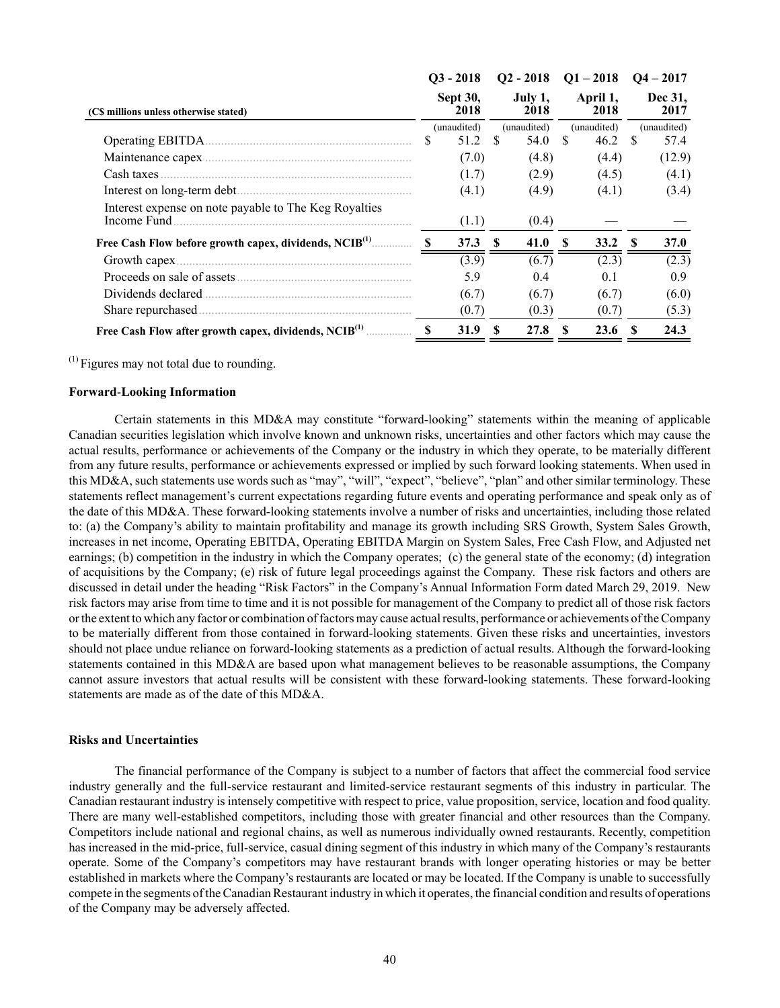|                                                                      |    | $O3 - 2018$                            | $Q2 - 2018$ |                 | $Q1 - 2018$ |                  | $Q4 - 2017$ |                 |  |
|----------------------------------------------------------------------|----|----------------------------------------|-------------|-----------------|-------------|------------------|-------------|-----------------|--|
| (C\$ millions unless otherwise stated)                               |    | <b>Sept 30,</b><br>2018<br>(unaudited) |             | July 1,<br>2018 |             | April 1,<br>2018 |             | Dec 31,<br>2017 |  |
|                                                                      |    |                                        |             | (unaudited)     |             | (unaudited)      | (unaudited) |                 |  |
| Operating EBITDA.                                                    | S  | 51.2                                   | -S          | 54.0            | £.          | 46.2             | -S          | 57.4            |  |
|                                                                      |    | (7.0)                                  |             | (4.8)           |             | (4.4)            |             | (12.9)          |  |
| Cash taxes                                                           |    | (1.7)                                  |             | (2.9)           |             | (4.5)            |             | (4.1)           |  |
|                                                                      |    | (4.1)                                  |             | (4.9)           |             | (4.1)            |             | (3.4)           |  |
| Interest expense on note payable to The Keg Royalties<br>Income Fund |    | (1.1)                                  |             | (0.4)           |             |                  |             |                 |  |
| Free Cash Flow before growth capex, dividends, NCIB <sup>(1)</sup>   |    | 37.3                                   | S           | 41.0            | S           | 33.2             | -8          | <b>37.0</b>     |  |
|                                                                      |    | (3.9)                                  |             | (6.7)           |             | (2.3)            |             | (2.3)           |  |
|                                                                      |    | 5.9                                    |             | 0.4             |             | 0.1              |             | 0.9             |  |
| Dividends declared                                                   |    | (6.7)                                  |             | (6.7)           |             | (6.7)            |             | (6.0)           |  |
|                                                                      |    | (0.7)                                  |             | (0.3)           |             | (0.7)            |             | (5.3)           |  |
| Free Cash Flow after growth capex, dividends, NCIB <sup>(1)</sup>    | -S | 31.9                                   | S           | 27.8            | S           | 23.6             | -8          | 24.3            |  |

 $<sup>(1)</sup>$  Figures may not total due to rounding.</sup>

### **Forward**‑**Looking Information**

Certain statements in this MD&A may constitute "forward-looking" statements within the meaning of applicable Canadian securities legislation which involve known and unknown risks, uncertainties and other factors which may cause the actual results, performance or achievements of the Company or the industry in which they operate, to be materially different from any future results, performance or achievements expressed or implied by such forward looking statements. When used in this MD&A, such statements use words such as "may", "will", "expect", "believe", "plan" and other similar terminology. These statements reflect management's current expectations regarding future events and operating performance and speak only as of the date of this MD&A. These forward-looking statements involve a number of risks and uncertainties, including those related to: (a) the Company's ability to maintain profitability and manage its growth including SRS Growth, System Sales Growth, increases in net income, Operating EBITDA, Operating EBITDA Margin on System Sales, Free Cash Flow, and Adjusted net earnings; (b) competition in the industry in which the Company operates; (c) the general state of the economy; (d) integration of acquisitions by the Company; (e) risk of future legal proceedings against the Company. These risk factors and others are discussed in detail under the heading "Risk Factors" in the Company's Annual Information Form dated March 29, 2019. New risk factors may arise from time to time and it is not possible for management of the Company to predict all of those risk factors or the extent to which any factor or combination of factors may cause actual results, performance or achievements of the Company to be materially different from those contained in forward-looking statements. Given these risks and uncertainties, investors should not place undue reliance on forward-looking statements as a prediction of actual results. Although the forward-looking statements contained in this MD&A are based upon what management believes to be reasonable assumptions, the Company cannot assure investors that actual results will be consistent with these forward-looking statements. These forward-looking statements are made as of the date of this MD&A.

#### **Risks and Uncertainties**

The financial performance of the Company is subject to a number of factors that affect the commercial food service industry generally and the full-service restaurant and limited-service restaurant segments of this industry in particular. The Canadian restaurant industry is intensely competitive with respect to price, value proposition, service, location and food quality. There are many well‑established competitors, including those with greater financial and other resources than the Company. Competitors include national and regional chains, as well as numerous individually owned restaurants. Recently, competition has increased in the mid-price, full-service, casual dining segment of this industry in which many of the Company's restaurants operate. Some of the Company's competitors may have restaurant brands with longer operating histories or may be better established in markets where the Company's restaurants are located or may be located. If the Company is unable to successfully compete in the segments of the Canadian Restaurant industry in which it operates, the financial condition and results of operations of the Company may be adversely affected.